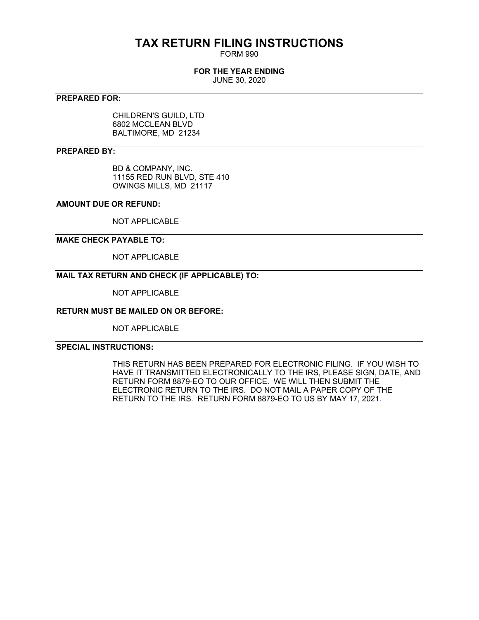# **TAX RETURN FILING INSTRUCTIONS**

FORM 990

#### **FOR THE YEAR ENDING**

JUNE 30, 2020

## **PREPARED FOR:**

CHILDREN'S GUILD, LTD 6802 MCCLEAN BLVD BALTIMORE, MD 21234

#### **PREPARED BY:**

BD & COMPANY, INC. 11155 RED RUN BLVD, STE 410 OWINGS MILLS, MD 21117

## **AMOUNT DUE OR REFUND:**

NOT APPLICABLE

#### **MAKE CHECK PAYABLE TO:**

NOT APPLICABLE

## **MAIL TAX RETURN AND CHECK (IF APPLICABLE) TO:**

NOT APPLICABLE

## **RETURN MUST BE MAILED ON OR BEFORE:**

NOT APPLICABLE

## **SPECIAL INSTRUCTIONS:**

THIS RETURN HAS BEEN PREPARED FOR ELECTRONIC FILING. IF YOU WISH TO HAVE IT TRANSMITTED ELECTRONICALLY TO THE IRS, PLEASE SIGN, DATE, AND RETURN FORM 8879-EO TO OUR OFFICE. WE WILL THEN SUBMIT THE ELECTRONIC RETURN TO THE IRS. DO NOT MAIL A PAPER COPY OF THE RETURN TO THE IRS. RETURN FORM 8879-EO TO US BY MAY 17, 2021.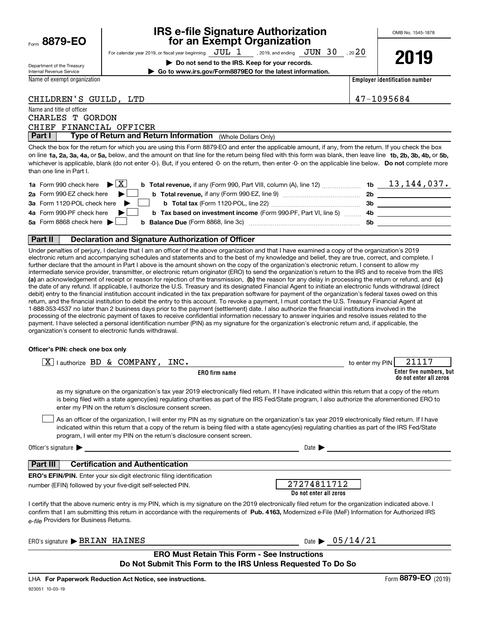|      | 8879-EO |  |
|------|---------|--|
| Form |         |  |

# **IRS e-file Signature Authorization for an Exempt Organization**

For calendar year 2019, or fiscal year beginning  $\rm\,JUL~$   $1$   $\rm\,$  , 2019, and ending  $\rm\,JUN~$   $30$   $\rm\,$  , 20  $20$ 

**| Do not send to the IRS. Keep for your records. | Go to www.irs.gov/Form8879EO for the latest information.**

| Department of the Treasury |
|----------------------------|
| Internal Revenue Service   |

Name of exempt organization

**2019**

**Employer identification number**

| 47-1095684 |  |  |  |  |  |
|------------|--|--|--|--|--|
|------------|--|--|--|--|--|

## CHILDREN'S GUILD, LTD

Name and title of officer

|  | CHARLES T GORDON |                         |
|--|------------------|-------------------------|
|  |                  | CHIEF FINANCIAL OFFICER |

**Part I** | Type of Return and Return Information (Whole Dollars Only)

on line **1a, 2a, 3a, 4a,** or **5a,** below, and the amount on that line for the return being filed with this form was blank, then leave line **1b, 2b, 3b, 4b,** or **5b,** whichever is applicable, blank (do not enter -0-). But, if you entered -0- on the return, then enter -0- on the applicable line below. **Do not** complete more Check the box for the return for which you are using this Form 8879-EO and enter the applicable amount, if any, from the return. If you check the box than one line in Part I.

| <b>1a</b> Form 990 check here $\blacktriangleright \begin{bmatrix} X \end{bmatrix}$                                          |     | 13,144,037. |
|------------------------------------------------------------------------------------------------------------------------------|-----|-------------|
| 2a Form 990-EZ check here $\blacktriangleright$<br><b>b</b> Total revenue, if any (Form 990-EZ, line 9) <i></i>              | 2b  |             |
| 3a Form 1120-POL check here $\blacktriangleright$                                                                            | 3b. |             |
| 4a Form 990-PF check here $\blacktriangleright$<br><b>b</b> Tax based on investment income (Form 990-PF, Part VI, line 5) 4b |     |             |
| 5a Form 8868 check here $\blacktriangleright$                                                                                | .5b |             |
|                                                                                                                              |     |             |

#### **Part II Declaration and Signature Authorization of Officer**

**(a)** an acknowledgement of receipt or reason for rejection of the transmission, (b) the reason for any delay in processing the return or refund, and (c) Under penalties of perjury, I declare that I am an officer of the above organization and that I have examined a copy of the organization's 2019 electronic return and accompanying schedules and statements and to the best of my knowledge and belief, they are true, correct, and complete. I further declare that the amount in Part I above is the amount shown on the copy of the organization's electronic return. I consent to allow my intermediate service provider, transmitter, or electronic return originator (ERO) to send the organization's return to the IRS and to receive from the IRS the date of any refund. If applicable, I authorize the U.S. Treasury and its designated Financial Agent to initiate an electronic funds withdrawal (direct debit) entry to the financial institution account indicated in the tax preparation software for payment of the organization's federal taxes owed on this return, and the financial institution to debit the entry to this account. To revoke a payment, I must contact the U.S. Treasury Financial Agent at 1-888-353-4537 no later than 2 business days prior to the payment (settlement) date. I also authorize the financial institutions involved in the processing of the electronic payment of taxes to receive confidential information necessary to answer inquiries and resolve issues related to the payment. I have selected a personal identification number (PIN) as my signature for the organization's electronic return and, if applicable, the organization's consent to electronic funds withdrawal.

#### **Officer's PIN: check one box only**

| lauthorize BD & COMPANY, INC.<br>X.                                                                                                                                                                                                                                                                                                                                              | to enter my PIN | 21117                                             |
|----------------------------------------------------------------------------------------------------------------------------------------------------------------------------------------------------------------------------------------------------------------------------------------------------------------------------------------------------------------------------------|-----------------|---------------------------------------------------|
| <b>ERO</b> firm name                                                                                                                                                                                                                                                                                                                                                             |                 | Enter five numbers, but<br>do not enter all zeros |
| as my signature on the organization's tax year 2019 electronically filed return. If I have indicated within this return that a copy of the return<br>is being filed with a state agency(ies) regulating charities as part of the IRS Fed/State program, I also authorize the aforementioned ERO to<br>enter my PIN on the return's disclosure consent screen.                    |                 |                                                   |
| As an officer of the organization, I will enter my PIN as my signature on the organization's tax year 2019 electronically filed return. If I have<br>indicated within this return that a copy of the return is being filed with a state agency(ies) regulating charities as part of the IRS Fed/State<br>program, I will enter my PIN on the return's disclosure consent screen. |                 |                                                   |
| Officer's signature $\blacktriangleright$<br>Date $\blacktriangleright$                                                                                                                                                                                                                                                                                                          |                 |                                                   |
| <b>Certification and Authentication</b><br>Part III                                                                                                                                                                                                                                                                                                                              |                 |                                                   |
| <b>ERO's EFIN/PIN.</b> Enter your six-digit electronic filing identification                                                                                                                                                                                                                                                                                                     |                 |                                                   |
| 27274811712<br>number (EFIN) followed by your five-digit self-selected PIN.<br>Do not enter all zeros                                                                                                                                                                                                                                                                            |                 |                                                   |
| I certify that the above numeric entry is my PIN, which is my signature on the 2019 electronically filed return for the organization indicated above. I<br>confirm that I am submitting this return in accordance with the requirements of Pub. 4163, Modernized e-File (MeF) Information for Authorized IRS<br>e-file Providers for Business Returns.                           |                 |                                                   |
| Date $\triangleright$ 05/14/21<br>ERO's signature BRIAN HAINES                                                                                                                                                                                                                                                                                                                   |                 |                                                   |
| <b>ERO Must Retain This Form - See Instructions</b><br>Do Not Submit This Form to the IRS Unless Requested To Do So                                                                                                                                                                                                                                                              |                 |                                                   |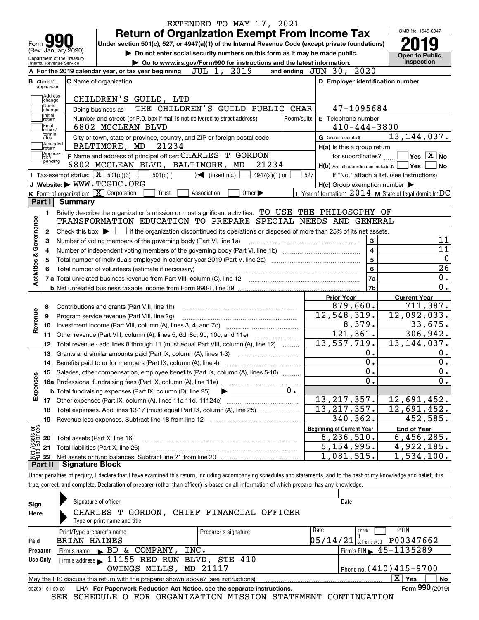|                                                        | EXTENDED TO MAY 17, 2021<br><b>Return of Organization Exempt From Income Tax</b>                                                          |                        |                                                           | OMB No. 1545-0047                                |
|--------------------------------------------------------|-------------------------------------------------------------------------------------------------------------------------------------------|------------------------|-----------------------------------------------------------|--------------------------------------------------|
| Form <b>M</b>                                          | Under section 501(c), 527, or 4947(a)(1) of the Internal Revenue Code (except private foundations)                                        |                        |                                                           |                                                  |
| (Rev. January 2020)                                    | Do not enter social security numbers on this form as it may be made public.                                                               |                        |                                                           | <b>Open to Public</b>                            |
| Department of the Treasury<br>Internal Revenue Service | Go to www.irs.gov/Form990 for instructions and the latest information.                                                                    |                        |                                                           | <b>Inspection</b>                                |
|                                                        | 2019<br>JUL 1,<br>A For the 2019 calendar year, or tax year beginning                                                                     |                        | 2020<br>and ending $JUN$ $30$ ,                           |                                                  |
| <b>B</b> Check if<br>applicable:                       | <b>C</b> Name of organization                                                                                                             |                        | D Employer identification number                          |                                                  |
| Address                                                |                                                                                                                                           |                        |                                                           |                                                  |
| change<br>Name                                         | CHILDREN'S GUILD, LTD<br>THE CHILDREN'S GUILD PUBLIC CHAR                                                                                 |                        | 47-1095684                                                |                                                  |
| change<br>Initial                                      | Doing business as<br>Number and street (or P.O. box if mail is not delivered to street address)                                           | Room/suite             |                                                           |                                                  |
| return<br>Final                                        | 6802 MCCLEAN BLVD                                                                                                                         |                        | E Telephone number<br>$410 - 444 - 3800$                  |                                                  |
| return/<br>termin-<br>ated                             | City or town, state or province, country, and ZIP or foreign postal code                                                                  |                        | G Gross receipts \$                                       | 13, 144, 037.                                    |
| Amended<br>return]                                     | BALTIMORE, MD<br>21234                                                                                                                    |                        | H(a) Is this a group return                               |                                                  |
| Applica-<br>tion                                       | F Name and address of principal officer: CHARLES T GORDON                                                                                 |                        | for subordinates?                                         | $\sqrt{}$ Yes $\sqrt{}$ $\overline{\text{X}}$ No |
| pending                                                | 6802 MCCLEAN BLVD, BALTIMORE, MD                                                                                                          | 21234                  | $H(b)$ Are all subordinates included? $\Box$ Yes          | l No                                             |
|                                                        | Tax-exempt status: $\boxed{\mathbf{X}}$ 501(c)(3)<br>$501(c)$ (<br>$\leq$ (insert no.)                                                    | $4947(a)(1)$ or<br>527 |                                                           | If "No," attach a list. (see instructions)       |
|                                                        | J Website: WWW.TCGDC.ORG                                                                                                                  |                        | $H(c)$ Group exemption number $\blacktriangleright$       |                                                  |
|                                                        | K Form of organization: $\boxed{\mathbf{X}}$ Corporation<br>Other $\blacktriangleright$<br>Trust<br>Association                           |                        | L Year of formation: $2014$ M State of legal domicile: DC |                                                  |
| Part I                                                 | Summary                                                                                                                                   |                        |                                                           |                                                  |
| 1.                                                     | Briefly describe the organization's mission or most significant activities: TO USE THE PHILOSOPHY OF                                      |                        |                                                           |                                                  |
|                                                        | TRANSFORMATION EDUCATION TO PREPARE SPECIAL NEEDS AND GENERAL                                                                             |                        |                                                           |                                                  |
| 2                                                      | Check this box $\blacktriangleright \Box$ if the organization discontinued its operations or disposed of more than 25% of its net assets. |                        |                                                           |                                                  |
| З                                                      | Number of voting members of the governing body (Part VI, line 1a)                                                                         |                        | 3                                                         | 11                                               |
| Governance<br>4                                        |                                                                                                                                           |                        | $\overline{\mathbf{4}}$                                   | 11                                               |
| <b>Activities &amp;</b><br>5                           |                                                                                                                                           |                        | $5\phantom{a}$                                            |                                                  |
|                                                        |                                                                                                                                           |                        | 6                                                         | $\overline{26}$                                  |
|                                                        |                                                                                                                                           |                        | 7a                                                        | 0.                                               |
|                                                        |                                                                                                                                           |                        | 7b                                                        | 0.                                               |
|                                                        |                                                                                                                                           |                        | <b>Prior Year</b>                                         | <b>Current Year</b>                              |
| 8                                                      | Contributions and grants (Part VIII, line 1h)                                                                                             |                        | 879,660.                                                  | 711,387.                                         |
| Revenue<br>9                                           | Program service revenue (Part VIII, line 2g)                                                                                              |                        | 12,548,319.                                               | 12,092,033.                                      |
| 10                                                     |                                                                                                                                           |                        | 8,379.                                                    | 33,675.                                          |
| 11                                                     | Other revenue (Part VIII, column (A), lines 5, 6d, 8c, 9c, 10c, and 11e)                                                                  |                        | 121, 361.                                                 | 306,942.                                         |
| 12                                                     | Total revenue - add lines 8 through 11 (must equal Part VIII, column (A), line 12)                                                        |                        | 13,557,719.                                               | 13, 144, 037.                                    |
| 13                                                     | Grants and similar amounts paid (Part IX, column (A), lines 1-3)                                                                          |                        | 0.                                                        | 0.                                               |
| 14                                                     |                                                                                                                                           |                        | 0.                                                        | 0.                                               |
|                                                        | 15 Salaries, other compensation, employee benefits (Part IX, column (A), lines 5-10)                                                      |                        | $\overline{0}$ .                                          | $\overline{\mathbf{0}}$ .                        |
| Expenses                                               |                                                                                                                                           |                        | 0.                                                        | 0.                                               |
|                                                        | <b>b</b> Total fundraising expenses (Part IX, column (D), line 25)                                                                        | $0 \cdot$              |                                                           |                                                  |
| 17                                                     |                                                                                                                                           |                        | 13, 217, 357.                                             | 12,691,452.                                      |
| 18                                                     | Total expenses. Add lines 13-17 (must equal Part IX, column (A), line 25)                                                                 |                        | 13, 217, 357.                                             | 12,691,452.                                      |
| 19                                                     |                                                                                                                                           |                        | 340,362.                                                  | 452,585.                                         |
|                                                        |                                                                                                                                           |                        | <b>Beginning of Current Year</b>                          | <b>End of Year</b>                               |
|                                                        | Total assets (Part X, line 16)                                                                                                            |                        | 6, 236, 510.                                              | 6,456,285.                                       |
| 20                                                     |                                                                                                                                           |                        |                                                           | 4,922,185.                                       |
| 21                                                     | Total liabilities (Part X, line 26)                                                                                                       |                        | 5, 154, 995.                                              |                                                  |
| t Assets or<br>d Balances<br>鲳<br>22                   |                                                                                                                                           |                        | 1,081,515.                                                | 1,534,100.                                       |

true, correct, and complete. Declaration of preparer (other than officer) is based on all information of which preparer has any knowledge.

| Sign            | Signature of officer                                                                                 |                         | Date     |                                             |  |  |  |  |
|-----------------|------------------------------------------------------------------------------------------------------|-------------------------|----------|---------------------------------------------|--|--|--|--|
| Here            | CHARLES T GORDON.                                                                                    | CHIEF FINANCIAL OFFICER |          |                                             |  |  |  |  |
|                 | Type or print name and title                                                                         |                         |          |                                             |  |  |  |  |
|                 | Print/Type preparer's name                                                                           | Preparer's signature    | Date     | <b>PTIN</b><br>Check                        |  |  |  |  |
| Paid            | <b>BRIAN HAINES</b>                                                                                  |                         | 05/14/21 | P00347662<br>self-emploved                  |  |  |  |  |
| Preparer        | & COMPANY, INC.<br>Firm's name $\blacktriangleright$ BD                                              |                         |          | Firm's EIN $\blacktriangleright$ 45-1135289 |  |  |  |  |
| Use Only        | Firm's address 11155 RED RUN BLVD, STE 410                                                           |                         |          |                                             |  |  |  |  |
|                 | Phone no. $(410)415 - 9700$<br>OWINGS MILLS, MD 21117                                                |                         |          |                                             |  |  |  |  |
|                 | X.<br>No<br>Yes<br>May the IRS discuss this return with the preparer shown above? (see instructions) |                         |          |                                             |  |  |  |  |
| 932001 01-20-20 | LHA For Paperwork Reduction Act Notice, see the separate instructions.                               |                         |          | Form 990 (2019)                             |  |  |  |  |

SEE SCHEDULE O FOR ORGANIZATION MISSION STATEMENT CONTINUATION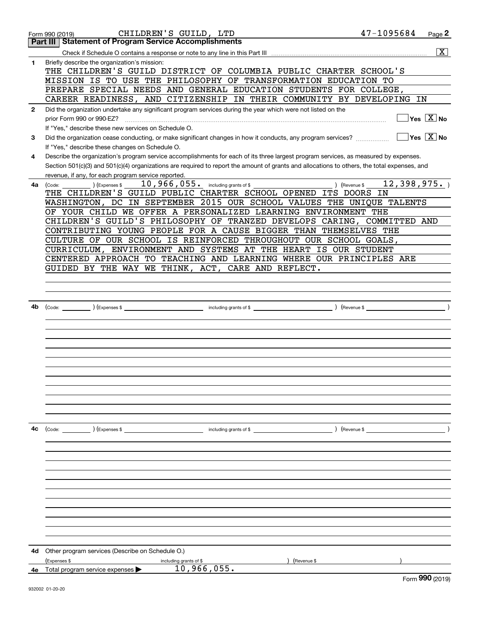|              | Form 990 (2019)                                                                                              | CHILDREN'S GUILD, LTD                 | 47-1095684                                                                                                                                   | Page 2                  |
|--------------|--------------------------------------------------------------------------------------------------------------|---------------------------------------|----------------------------------------------------------------------------------------------------------------------------------------------|-------------------------|
|              | Part III   Statement of Program Service Accomplishments                                                      |                                       |                                                                                                                                              |                         |
|              |                                                                                                              |                                       |                                                                                                                                              | $\overline{\mathbf{x}}$ |
| 1            | Briefly describe the organization's mission:                                                                 |                                       |                                                                                                                                              |                         |
|              |                                                                                                              |                                       | THE CHILDREN'S GUILD DISTRICT OF COLUMBIA PUBLIC CHARTER SCHOOL'S                                                                            |                         |
|              | MISSION IS TO USE THE PHILOSOPHY OF TRANSFORMATION EDUCATION TO                                              |                                       |                                                                                                                                              |                         |
|              |                                                                                                              |                                       | PREPARE SPECIAL NEEDS AND GENERAL EDUCATION STUDENTS FOR COLLEGE,                                                                            |                         |
|              |                                                                                                              |                                       | CAREER READINESS, AND CITIZENSHIP IN THEIR COMMUNITY BY DEVELOPING IN                                                                        |                         |
| $\mathbf{2}$ | Did the organization undertake any significant program services during the year which were not listed on the |                                       |                                                                                                                                              |                         |
|              | prior Form 990 or 990-EZ?                                                                                    |                                       |                                                                                                                                              | $Yes \ \boxed{X}$ No    |
|              | If "Yes," describe these new services on Schedule O.                                                         |                                       |                                                                                                                                              |                         |
| 3            | Did the organization cease conducting, or make significant changes in how it conducts, any program services? |                                       |                                                                                                                                              | $Yes \ \boxed{X}$ No    |
|              | If "Yes," describe these changes on Schedule O.                                                              |                                       |                                                                                                                                              |                         |
| 4            |                                                                                                              |                                       | Describe the organization's program service accomplishments for each of its three largest program services, as measured by expenses.         |                         |
|              |                                                                                                              |                                       | Section 501(c)(3) and 501(c)(4) organizations are required to report the amount of grants and allocations to others, the total expenses, and |                         |
|              | revenue, if any, for each program service reported.                                                          | $10,966,055$ . including grants of \$ |                                                                                                                                              | 12,398,975.             |
| 4a l         | (Expenses \$<br>(Code:<br>THE CHILDREN'S GUILD PUBLIC CHARTER SCHOOL OPENED ITS DOORS IN                     |                                       | ) (Revenue \$                                                                                                                                |                         |
|              |                                                                                                              |                                       | WASHINGTON, DC IN SEPTEMBER 2015 OUR SCHOOL VALUES THE UNIQUE TALENTS                                                                        |                         |
|              | OF YOUR CHILD WE OFFER A PERSONALIZED LEARNING ENVIRONMENT THE                                               |                                       |                                                                                                                                              |                         |
|              |                                                                                                              |                                       | CHILDREN'S GUILD'S PHILOSOPHY OF TRANZED DEVELOPS CARING, COMMITTED AND                                                                      |                         |
|              |                                                                                                              |                                       | CONTRIBUTING YOUNG PEOPLE FOR A CAUSE BIGGER THAN THEMSELVES THE                                                                             |                         |
|              |                                                                                                              |                                       | CULTURE OF OUR SCHOOL IS REINFORCED THROUGHOUT OUR SCHOOL GOALS,                                                                             |                         |
|              |                                                                                                              |                                       | CURRICULUM, ENVIRONMENT AND SYSTEMS AT THE HEART IS OUR STUDENT                                                                              |                         |
|              |                                                                                                              |                                       | CENTERED APPROACH TO TEACHING AND LEARNING WHERE OUR PRINCIPLES ARE                                                                          |                         |
|              | GUIDED BY THE WAY WE THINK, ACT, CARE AND REFLECT.                                                           |                                       |                                                                                                                                              |                         |
|              |                                                                                                              |                                       |                                                                                                                                              |                         |
|              |                                                                                                              |                                       |                                                                                                                                              |                         |
|              |                                                                                                              |                                       |                                                                                                                                              |                         |
| 4b           | (Code:                                                                                                       |                                       | ) (Revenue \$                                                                                                                                |                         |
|              |                                                                                                              |                                       |                                                                                                                                              |                         |
|              |                                                                                                              |                                       |                                                                                                                                              |                         |
|              |                                                                                                              |                                       |                                                                                                                                              |                         |
|              |                                                                                                              |                                       |                                                                                                                                              |                         |
|              |                                                                                                              |                                       |                                                                                                                                              |                         |
|              |                                                                                                              |                                       |                                                                                                                                              |                         |
|              |                                                                                                              |                                       |                                                                                                                                              |                         |
|              |                                                                                                              |                                       |                                                                                                                                              |                         |
|              |                                                                                                              |                                       |                                                                                                                                              |                         |
|              |                                                                                                              |                                       |                                                                                                                                              |                         |
|              |                                                                                                              |                                       |                                                                                                                                              |                         |
|              |                                                                                                              |                                       |                                                                                                                                              |                         |
| 4c           |                                                                                                              |                                       | $($ Revenue \$                                                                                                                               |                         |
|              |                                                                                                              |                                       |                                                                                                                                              |                         |
|              |                                                                                                              |                                       |                                                                                                                                              |                         |
|              |                                                                                                              |                                       |                                                                                                                                              |                         |
|              |                                                                                                              |                                       |                                                                                                                                              |                         |
|              |                                                                                                              |                                       |                                                                                                                                              |                         |
|              |                                                                                                              |                                       |                                                                                                                                              |                         |
|              |                                                                                                              |                                       |                                                                                                                                              |                         |
|              |                                                                                                              |                                       |                                                                                                                                              |                         |
|              |                                                                                                              |                                       |                                                                                                                                              |                         |
|              |                                                                                                              |                                       |                                                                                                                                              |                         |
|              |                                                                                                              |                                       |                                                                                                                                              |                         |
| 4d           | Other program services (Describe on Schedule O.)                                                             |                                       |                                                                                                                                              |                         |
|              | (Expenses \$                                                                                                 | including grants of \$                | (Revenue \$                                                                                                                                  |                         |
| 4е           | Total program service expenses                                                                               | 10,966,055.                           |                                                                                                                                              | $QQQ \sim 0.01$         |
|              |                                                                                                              |                                       |                                                                                                                                              |                         |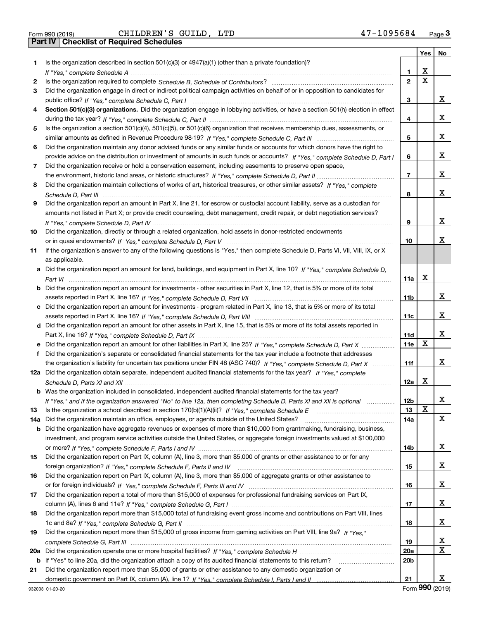|  | Form 990 (2019) |
|--|-----------------|

| Form 990 (2019) |                                                  | CHILDREN'S GUILD, LTD | 47-1095684 | Page $3$ |
|-----------------|--------------------------------------------------|-----------------------|------------|----------|
|                 | <b>Part IV   Checklist of Required Schedules</b> |                       |            |          |

|     |                                                                                                                                                                                                                                |                 | Yes                     | No |
|-----|--------------------------------------------------------------------------------------------------------------------------------------------------------------------------------------------------------------------------------|-----------------|-------------------------|----|
| 1.  | Is the organization described in section $501(c)(3)$ or $4947(a)(1)$ (other than a private foundation)?                                                                                                                        |                 |                         |    |
|     | If "Yes," complete Schedule A measure and a control of the state of the state of the state of the state of the state of the state of the state of the state of the state of the state of the state of the state of the state o | 1               | X                       |    |
| 2   |                                                                                                                                                                                                                                | $\overline{2}$  | $\overline{\mathbf{x}}$ |    |
| 3   | Did the organization engage in direct or indirect political campaign activities on behalf of or in opposition to candidates for                                                                                                |                 |                         |    |
|     |                                                                                                                                                                                                                                | 3               |                         | x  |
| 4   | Section 501(c)(3) organizations. Did the organization engage in lobbying activities, or have a section 501(h) election in effect                                                                                               |                 |                         |    |
|     |                                                                                                                                                                                                                                | 4               |                         | x  |
| 5   | Is the organization a section 501(c)(4), 501(c)(5), or 501(c)(6) organization that receives membership dues, assessments, or                                                                                                   |                 |                         |    |
|     |                                                                                                                                                                                                                                | 5               |                         | x  |
| 6   | Did the organization maintain any donor advised funds or any similar funds or accounts for which donors have the right to                                                                                                      |                 |                         |    |
|     | provide advice on the distribution or investment of amounts in such funds or accounts? If "Yes," complete Schedule D. Part I                                                                                                   | 6               |                         | x  |
| 7   | Did the organization receive or hold a conservation easement, including easements to preserve open space,                                                                                                                      |                 |                         |    |
|     |                                                                                                                                                                                                                                | $\overline{7}$  |                         | x  |
| 8   | Did the organization maintain collections of works of art, historical treasures, or other similar assets? If "Yes," complete                                                                                                   |                 |                         |    |
|     |                                                                                                                                                                                                                                | 8               |                         | x  |
| 9   | Did the organization report an amount in Part X, line 21, for escrow or custodial account liability, serve as a custodian for                                                                                                  |                 |                         |    |
|     | amounts not listed in Part X; or provide credit counseling, debt management, credit repair, or debt negotiation services?                                                                                                      |                 |                         |    |
|     |                                                                                                                                                                                                                                | 9               |                         | x  |
| 10  | Did the organization, directly or through a related organization, hold assets in donor-restricted endowments                                                                                                                   |                 |                         |    |
|     |                                                                                                                                                                                                                                | 10              |                         | x  |
| 11  | If the organization's answer to any of the following questions is "Yes," then complete Schedule D, Parts VI, VII, VIII, IX, or X                                                                                               |                 |                         |    |
|     | as applicable.                                                                                                                                                                                                                 |                 |                         |    |
|     | a Did the organization report an amount for land, buildings, and equipment in Part X, line 10? If "Yes," complete Schedule D,                                                                                                  |                 |                         |    |
|     |                                                                                                                                                                                                                                | 11a             | X                       |    |
|     | <b>b</b> Did the organization report an amount for investments - other securities in Part X, line 12, that is 5% or more of its total                                                                                          |                 |                         |    |
|     |                                                                                                                                                                                                                                | 11b             |                         | х  |
|     | c Did the organization report an amount for investments - program related in Part X, line 13, that is 5% or more of its total                                                                                                  |                 |                         |    |
|     |                                                                                                                                                                                                                                | 11c             |                         | x  |
|     | d Did the organization report an amount for other assets in Part X, line 15, that is 5% or more of its total assets reported in                                                                                                |                 |                         |    |
|     |                                                                                                                                                                                                                                | 11d             |                         | x  |
|     | e Did the organization report an amount for other liabilities in Part X, line 25? If "Yes," complete Schedule D, Part X                                                                                                        | 11e             | X                       |    |
|     | f Did the organization's separate or consolidated financial statements for the tax year include a footnote that addresses                                                                                                      |                 |                         |    |
|     | the organization's liability for uncertain tax positions under FIN 48 (ASC 740)? If "Yes," complete Schedule D, Part X                                                                                                         | 11f             |                         | x  |
|     | 12a Did the organization obtain separate, independent audited financial statements for the tax year? If "Yes," complete                                                                                                        |                 |                         |    |
|     |                                                                                                                                                                                                                                | 12a             | Х                       |    |
|     | <b>b</b> Was the organization included in consolidated, independent audited financial statements for the tax year?                                                                                                             |                 |                         |    |
|     | If "Yes," and if the organization answered "No" to line 12a, then completing Schedule D, Parts XI and XII is optional                                                                                                          | 12b             | X                       | ▵  |
| 13  | Is the organization a school described in section 170(b)(1)(A)(ii)? If "Yes," complete Schedule E                                                                                                                              | 13              |                         | X  |
| 14a | Did the organization maintain an office, employees, or agents outside of the United States?                                                                                                                                    | 14a             |                         |    |
| b   | Did the organization have aggregate revenues or expenses of more than \$10,000 from grantmaking, fundraising, business,                                                                                                        |                 |                         |    |
|     | investment, and program service activities outside the United States, or aggregate foreign investments valued at \$100,000                                                                                                     | 14b             |                         | х  |
| 15  | Did the organization report on Part IX, column (A), line 3, more than \$5,000 of grants or other assistance to or for any                                                                                                      |                 |                         |    |
|     |                                                                                                                                                                                                                                | 15              |                         | x  |
| 16  | Did the organization report on Part IX, column (A), line 3, more than \$5,000 of aggregate grants or other assistance to                                                                                                       |                 |                         |    |
|     |                                                                                                                                                                                                                                | 16              |                         | x  |
| 17  | Did the organization report a total of more than \$15,000 of expenses for professional fundraising services on Part IX,                                                                                                        |                 |                         |    |
|     |                                                                                                                                                                                                                                | 17              |                         | x  |
| 18  | Did the organization report more than \$15,000 total of fundraising event gross income and contributions on Part VIII, lines                                                                                                   |                 |                         |    |
|     |                                                                                                                                                                                                                                | 18              |                         | x  |
| 19  | Did the organization report more than \$15,000 of gross income from gaming activities on Part VIII, line 9a? If "Yes."                                                                                                         |                 |                         |    |
|     |                                                                                                                                                                                                                                | 19              |                         | х  |
| 20a |                                                                                                                                                                                                                                | 20a             |                         | X  |
|     | b If "Yes" to line 20a, did the organization attach a copy of its audited financial statements to this return?                                                                                                                 | 20 <sub>b</sub> |                         |    |
| 21  | Did the organization report more than \$5,000 of grants or other assistance to any domestic organization or                                                                                                                    |                 |                         |    |
|     |                                                                                                                                                                                                                                | 21              |                         | x  |
|     |                                                                                                                                                                                                                                |                 |                         |    |

Form (2019) **990**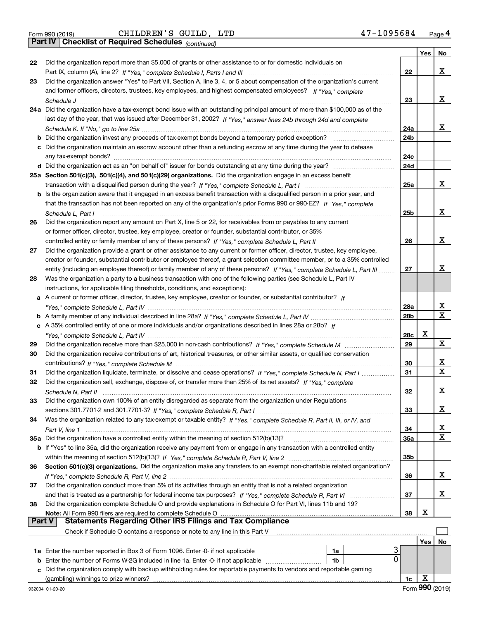|  | Form 990 (2019) |  |
|--|-----------------|--|

Form 990 (2019) CHILDREN'S GUILD, LTD 47-1095684 <sub>Page</sub> 4<br>**Part IV | Checklist of Required Schedules** <sub>(continued)</sub>

*(continued)*

|          |                                                                                                                                    |                 | Yes | No          |
|----------|------------------------------------------------------------------------------------------------------------------------------------|-----------------|-----|-------------|
| 22       | Did the organization report more than \$5,000 of grants or other assistance to or for domestic individuals on                      |                 |     |             |
|          |                                                                                                                                    | 22              |     | х           |
| 23       | Did the organization answer "Yes" to Part VII, Section A, line 3, 4, or 5 about compensation of the organization's current         |                 |     |             |
|          | and former officers, directors, trustees, key employees, and highest compensated employees? If "Yes," complete                     |                 |     | x           |
|          |                                                                                                                                    | 23              |     |             |
|          | 24a Did the organization have a tax-exempt bond issue with an outstanding principal amount of more than \$100,000 as of the        |                 |     |             |
|          | last day of the year, that was issued after December 31, 2002? If "Yes," answer lines 24b through 24d and complete                 | 24a             |     | х           |
|          | <b>b</b> Did the organization invest any proceeds of tax-exempt bonds beyond a temporary period exception?                         | 24b             |     |             |
|          | c Did the organization maintain an escrow account other than a refunding escrow at any time during the year to defease             |                 |     |             |
|          |                                                                                                                                    | 24c             |     |             |
|          |                                                                                                                                    | 24d             |     |             |
|          | 25a Section 501(c)(3), 501(c)(4), and 501(c)(29) organizations. Did the organization engage in an excess benefit                   |                 |     |             |
|          |                                                                                                                                    | 25a             |     | х           |
|          | b Is the organization aware that it engaged in an excess benefit transaction with a disqualified person in a prior year, and       |                 |     |             |
|          | that the transaction has not been reported on any of the organization's prior Forms 990 or 990-EZ? If "Yes," complete              |                 |     |             |
|          | Schedule L, Part I                                                                                                                 | 25b             |     | x           |
| 26       | Did the organization report any amount on Part X, line 5 or 22, for receivables from or payables to any current                    |                 |     |             |
|          | or former officer, director, trustee, key employee, creator or founder, substantial contributor, or 35%                            |                 |     |             |
|          |                                                                                                                                    | 26              |     | х           |
| 27       | Did the organization provide a grant or other assistance to any current or former officer, director, trustee, key employee,        |                 |     |             |
|          | creator or founder, substantial contributor or employee thereof, a grant selection committee member, or to a 35% controlled        |                 |     |             |
|          | entity (including an employee thereof) or family member of any of these persons? If "Yes," complete Schedule L, Part III           | 27              |     | x           |
| 28       | Was the organization a party to a business transaction with one of the following parties (see Schedule L, Part IV                  |                 |     |             |
|          | instructions, for applicable filing thresholds, conditions, and exceptions):                                                       |                 |     |             |
|          | a A current or former officer, director, trustee, key employee, creator or founder, or substantial contributor? If                 |                 |     |             |
|          |                                                                                                                                    | 28a             |     | x           |
|          |                                                                                                                                    | 28 <sub>b</sub> |     | X           |
|          | c A 35% controlled entity of one or more individuals and/or organizations described in lines 28a or 28b? If                        |                 |     |             |
|          |                                                                                                                                    | 28c             | х   | x           |
| 29       |                                                                                                                                    | 29              |     |             |
| 30       | Did the organization receive contributions of art, historical treasures, or other similar assets, or qualified conservation        | 30              |     | х           |
| 31       | Did the organization liquidate, terminate, or dissolve and cease operations? If "Yes," complete Schedule N, Part I                 | 31              |     | $\mathbf X$ |
| 32       | Did the organization sell, exchange, dispose of, or transfer more than 25% of its net assets? If "Yes," complete                   |                 |     |             |
|          |                                                                                                                                    | 32              |     | х           |
| 33       | Did the organization own 100% of an entity disregarded as separate from the organization under Regulations                         |                 |     |             |
|          |                                                                                                                                    | 33              |     | х           |
| 34       | Was the organization related to any tax-exempt or taxable entity? If "Yes," complete Schedule R, Part II, III, or IV, and          |                 |     |             |
|          |                                                                                                                                    | 34              |     | x           |
|          | 35a Did the organization have a controlled entity within the meaning of section 512(b)(13)?                                        | 35a             |     | х           |
|          | <b>b</b> If "Yes" to line 35a, did the organization receive any payment from or engage in any transaction with a controlled entity |                 |     |             |
|          |                                                                                                                                    | 35b             |     |             |
| 36       | Section 501(c)(3) organizations. Did the organization make any transfers to an exempt non-charitable related organization?         |                 |     |             |
|          |                                                                                                                                    | 36              |     | x           |
| 37       | Did the organization conduct more than 5% of its activities through an entity that is not a related organization                   |                 |     |             |
|          | and that is treated as a partnership for federal income tax purposes? If "Yes," complete Schedule R, Part VI                       | 37              |     | x           |
| 38       | Did the organization complete Schedule O and provide explanations in Schedule O for Part VI, lines 11b and 19?                     |                 |     |             |
|          | Note: All Form 990 filers are required to complete Schedule O                                                                      | 38              | х   |             |
| ∣ Part V | <b>Statements Regarding Other IRS Filings and Tax Compliance</b>                                                                   |                 |     |             |
|          | Check if Schedule O contains a response or note to any line in this Part V                                                         |                 |     |             |
|          |                                                                                                                                    |                 | Yes | No          |
|          | 1a<br>$\Omega$<br><b>b</b> Enter the number of Forms W-2G included in line 1a. Enter -0- if not applicable<br>1b                   |                 |     |             |
|          | c Did the organization comply with backup withholding rules for reportable payments to vendors and reportable gaming               |                 |     |             |
|          | (gambling) winnings to prize winners?                                                                                              | 1c              | X   |             |
|          |                                                                                                                                    |                 |     |             |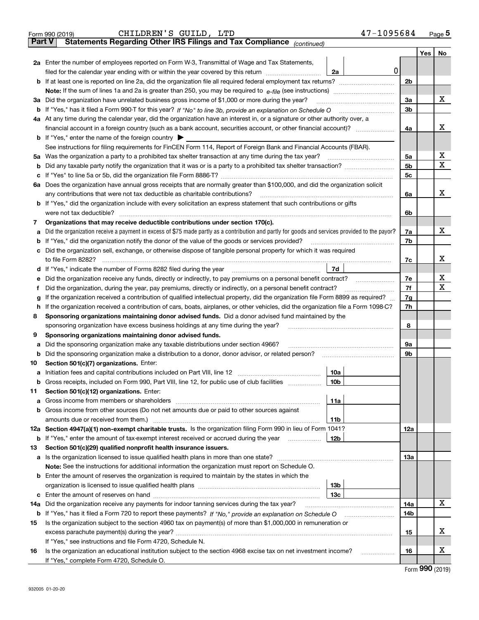|               | 47-1095684<br>CHILDREN'S GUILD, LTD<br>Form 990 (2019)                                                                                            |                |     | Page $5$    |
|---------------|---------------------------------------------------------------------------------------------------------------------------------------------------|----------------|-----|-------------|
| <b>Part V</b> | Statements Regarding Other IRS Filings and Tax Compliance (continued)                                                                             |                |     |             |
|               |                                                                                                                                                   |                | Yes | No          |
|               | 2a Enter the number of employees reported on Form W-3, Transmittal of Wage and Tax Statements,                                                    |                |     |             |
|               | 0<br>filed for the calendar year ending with or within the year covered by this return<br>2a                                                      |                |     |             |
|               | <b>b</b> If at least one is reported on line 2a, did the organization file all required federal employment tax returns?                           | 2 <sub>b</sub> |     |             |
|               | Note: If the sum of lines 1a and 2a is greater than 250, you may be required to $e$ -file (see instructions) <i>marrourching</i>                  |                |     |             |
|               | 3a Did the organization have unrelated business gross income of \$1,000 or more during the year?                                                  | 3a             |     | х           |
|               |                                                                                                                                                   | 3 <sub>b</sub> |     |             |
|               | 4a At any time during the calendar year, did the organization have an interest in, or a signature or other authority over, a                      |                |     |             |
|               | financial account in a foreign country (such as a bank account, securities account, or other financial account)?                                  | 4a             |     | х           |
|               | <b>b</b> If "Yes," enter the name of the foreign country $\triangleright$                                                                         |                |     |             |
|               | See instructions for filing requirements for FinCEN Form 114, Report of Foreign Bank and Financial Accounts (FBAR).                               |                |     |             |
|               |                                                                                                                                                   | 5a             |     | х           |
| b             |                                                                                                                                                   | 5 <sub>b</sub> |     | х           |
| c             |                                                                                                                                                   | 5 <sub>c</sub> |     |             |
|               | 6a Does the organization have annual gross receipts that are normally greater than \$100,000, and did the organization solicit                    |                |     |             |
|               | any contributions that were not tax deductible as charitable contributions?                                                                       | 6a             |     | х           |
|               | <b>b</b> If "Yes," did the organization include with every solicitation an express statement that such contributions or gifts                     |                |     |             |
|               | were not tax deductible?                                                                                                                          | 6b             |     |             |
| 7             | Organizations that may receive deductible contributions under section 170(c).                                                                     |                |     |             |
|               | a Did the organization receive a payment in excess of \$75 made partly as a contribution and partly for goods and services provided to the payor? | 7a             |     | х           |
| b             | If "Yes," did the organization notify the donor of the value of the goods or services provided?                                                   | 7b             |     |             |
|               | c Did the organization sell, exchange, or otherwise dispose of tangible personal property for which it was required                               |                |     |             |
|               | to file Form 8282?                                                                                                                                | 7c             |     | X           |
|               | 7d                                                                                                                                                |                |     |             |
| е             | Did the organization receive any funds, directly or indirectly, to pay premiums on a personal benefit contract?                                   | 7e             |     | х           |
| Ť             | Did the organization, during the year, pay premiums, directly or indirectly, on a personal benefit contract?                                      | 7f             |     | $\mathbf X$ |
| g             | If the organization received a contribution of qualified intellectual property, did the organization file Form 8899 as required?                  | 7g             |     |             |
| h.            | If the organization received a contribution of cars, boats, airplanes, or other vehicles, did the organization file a Form 1098-C?                | 7h             |     |             |
| 8             | Sponsoring organizations maintaining donor advised funds. Did a donor advised fund maintained by the                                              |                |     |             |
|               | sponsoring organization have excess business holdings at any time during the year?                                                                | 8              |     |             |
| 9             | Sponsoring organizations maintaining donor advised funds.                                                                                         |                |     |             |
| а             | Did the sponsoring organization make any taxable distributions under section 4966?                                                                | 9a             |     |             |
| b             | Did the sponsoring organization make a distribution to a donor, donor advisor, or related person?                                                 | 9b             |     |             |
| 10            | Section 501(c)(7) organizations. Enter:                                                                                                           |                |     |             |
|               | 10a                                                                                                                                               |                |     |             |
| b             | Gross receipts, included on Form 990, Part VIII, line 12, for public use of club facilities<br>10b                                                |                |     |             |
| 11            | Section 501(c)(12) organizations. Enter:                                                                                                          |                |     |             |
| а             | 11a<br>Gross income from members or shareholders [11] continuum material contracts income from members or shareholders                            |                |     |             |
| b             | Gross income from other sources (Do not net amounts due or paid to other sources against                                                          |                |     |             |
|               | 11b                                                                                                                                               |                |     |             |
|               | 12a Section 4947(a)(1) non-exempt charitable trusts. Is the organization filing Form 990 in lieu of Form 1041?                                    | 12a            |     |             |
| b             | If "Yes," enter the amount of tax-exempt interest received or accrued during the year<br>12b                                                      |                |     |             |
| 13            | Section 501(c)(29) qualified nonprofit health insurance issuers.                                                                                  |                |     |             |
|               |                                                                                                                                                   | 1За            |     |             |
|               | <b>Note:</b> See the instructions for additional information the organization must report on Schedule O.                                          |                |     |             |
|               | <b>b</b> Enter the amount of reserves the organization is required to maintain by the states in which the                                         |                |     |             |
|               | 13 <sub>b</sub>                                                                                                                                   |                |     |             |
| c             | 13с                                                                                                                                               |                |     |             |
| 14a           | Did the organization receive any payments for indoor tanning services during the tax year?                                                        | 14a            |     | x           |
| b             |                                                                                                                                                   | 14b            |     |             |
| 15            | Is the organization subject to the section 4960 tax on payment(s) of more than \$1,000,000 in remuneration or                                     |                |     |             |
|               |                                                                                                                                                   | 15             |     | х           |
|               | If "Yes," see instructions and file Form 4720, Schedule N.                                                                                        |                |     |             |
| 16            | Is the organization an educational institution subject to the section 4968 excise tax on net investment income?<br>.                              | 16             |     | х           |
|               | If "Yes," complete Form 4720, Schedule O.                                                                                                         |                |     |             |

Form (2019) **990**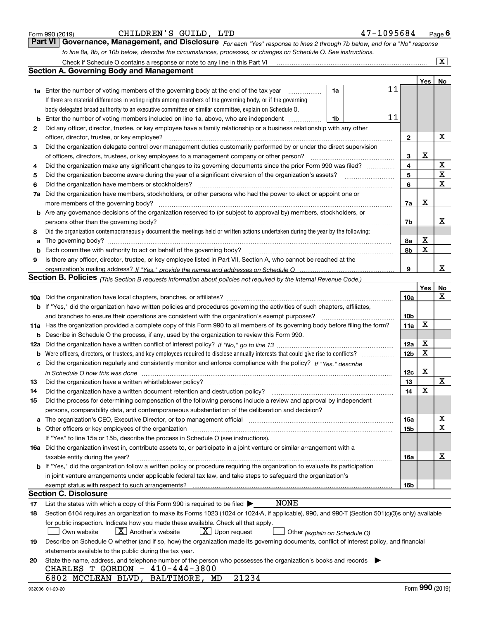| Form 990 (2019) |  |  |
|-----------------|--|--|
|                 |  |  |

| CHILDREN'S GUILD, |  |  | LTD |
|-------------------|--|--|-----|
|-------------------|--|--|-----|

| Form 990 (2019) | CHILDREN'S GUILD, LTD                                                                                            | 47-1095684                                                                                                                  | $P$ <sub>age</sub> 6 |
|-----------------|------------------------------------------------------------------------------------------------------------------|-----------------------------------------------------------------------------------------------------------------------------|----------------------|
|                 |                                                                                                                  | Part VI Governance, Management, and Disclosure For each "Yes" response to lines 2 through 7b below, and for a "No" response |                      |
|                 | to line 8a, 8b, or 10b below, describe the circumstances, processes, or changes on Schedule O. See instructions. |                                                                                                                             |                      |

|          | Check if Schedule O contains a response or note to any line in this Part VI                                                                                           |                 |            | $\overline{\text{X}}$ |
|----------|-----------------------------------------------------------------------------------------------------------------------------------------------------------------------|-----------------|------------|-----------------------|
|          | Section A. Governing Body and Management                                                                                                                              |                 |            |                       |
|          |                                                                                                                                                                       |                 | Yes        | No                    |
|          | 11<br>1a<br><b>1a</b> Enter the number of voting members of the governing body at the end of the tax year                                                             |                 |            |                       |
|          | If there are material differences in voting rights among members of the governing body, or if the governing                                                           |                 |            |                       |
|          | body delegated broad authority to an executive committee or similar committee, explain on Schedule O.                                                                 |                 |            |                       |
| b        | 11<br>Enter the number of voting members included on line 1a, above, who are independent<br>1b                                                                        |                 |            |                       |
| 2        | Did any officer, director, trustee, or key employee have a family relationship or a business relationship with any other                                              |                 |            |                       |
|          | officer, director, trustee, or key employee?                                                                                                                          | $\mathbf{2}$    |            | X                     |
| 3        | Did the organization delegate control over management duties customarily performed by or under the direct supervision                                                 |                 |            |                       |
|          | of officers, directors, trustees, or key employees to a management company or other person?                                                                           | 3               | х          |                       |
| 4        | Did the organization make any significant changes to its governing documents since the prior Form 990 was filed?                                                      | 4               |            | X                     |
| 5        | Did the organization become aware during the year of a significant diversion of the organization's assets?                                                            | 5               |            | $\mathbf X$           |
| 6        | Did the organization have members or stockholders?                                                                                                                    | 6               |            | $\mathbf X$           |
| 7a       | Did the organization have members, stockholders, or other persons who had the power to elect or appoint one or                                                        |                 |            |                       |
|          | more members of the governing body?                                                                                                                                   | 7a              | x          |                       |
|          | <b>b</b> Are any governance decisions of the organization reserved to (or subject to approval by) members, stockholders, or                                           |                 |            |                       |
|          | persons other than the governing body?                                                                                                                                | 7b              |            | х                     |
| 8        | Did the organization contemporaneously document the meetings held or written actions undertaken during the year by the following:                                     |                 |            |                       |
| a        | The governing body?                                                                                                                                                   | 8a              | х          |                       |
| b        |                                                                                                                                                                       | 8b              | X          |                       |
| 9        | Is there any officer, director, trustee, or key employee listed in Part VII, Section A, who cannot be reached at the                                                  |                 |            |                       |
|          |                                                                                                                                                                       | 9               |            | x                     |
|          | Section B. Policies <sub>(This Section B requests information about policies not required by the Internal Revenue Code.)</sub>                                        |                 |            |                       |
|          |                                                                                                                                                                       |                 | <b>Yes</b> | No                    |
|          |                                                                                                                                                                       | <b>10a</b>      |            | х                     |
|          | b If "Yes," did the organization have written policies and procedures governing the activities of such chapters, affiliates,                                          |                 |            |                       |
|          | and branches to ensure their operations are consistent with the organization's exempt purposes?                                                                       | 10 <sub>b</sub> |            |                       |
|          | 11a Has the organization provided a complete copy of this Form 990 to all members of its governing body before filing the form?                                       | 11a             | X          |                       |
| b        | Describe in Schedule O the process, if any, used by the organization to review this Form 990.                                                                         |                 |            |                       |
| 12a      |                                                                                                                                                                       | 12a             | X          |                       |
| b        | Were officers, directors, or trustees, and key employees required to disclose annually interests that could give rise to conflicts?                                   | 12 <sub>b</sub> | X          |                       |
| с        | Did the organization regularly and consistently monitor and enforce compliance with the policy? If "Yes," describe                                                    |                 |            |                       |
|          |                                                                                                                                                                       | 12c             | X          |                       |
| 13       | Did the organization have a written whistleblower policy?                                                                                                             | 13              |            | X                     |
| 14       | Did the organization have a written document retention and destruction policy?                                                                                        | 14              | X          |                       |
| 15       | Did the process for determining compensation of the following persons include a review and approval by independent                                                    |                 |            |                       |
|          | persons, comparability data, and contemporaneous substantiation of the deliberation and decision?                                                                     |                 |            |                       |
| a        | The organization's CEO, Executive Director, or top management official manufactured content of the organization's CEO, Executive Director, or top management official | 15a             |            | x                     |
|          | <b>b</b> Other officers or key employees of the organization                                                                                                          | 15b             |            | $\mathbf X$           |
|          | If "Yes" to line 15a or 15b, describe the process in Schedule O (see instructions).                                                                                   |                 |            |                       |
|          | 16a Did the organization invest in, contribute assets to, or participate in a joint venture or similar arrangement with a                                             |                 |            |                       |
|          | taxable entity during the year?                                                                                                                                       | 16a             |            | х                     |
|          | b If "Yes," did the organization follow a written policy or procedure requiring the organization to evaluate its participation                                        |                 |            |                       |
|          | in joint venture arrangements under applicable federal tax law, and take steps to safeguard the organization's                                                        |                 |            |                       |
|          | exempt status with respect to such arrangements?<br>Section C. Disclosure                                                                                             | 16b             |            |                       |
|          | <b>NONE</b><br>List the states with which a copy of this Form 990 is required to be filed >                                                                           |                 |            |                       |
| 17<br>18 | Section 6104 requires an organization to make its Forms 1023 (1024 or 1024-A, if applicable), 990, and 990-T (Section 501(c)(3)s only) available                      |                 |            |                       |
|          | for public inspection. Indicate how you made these available. Check all that apply.                                                                                   |                 |            |                       |
|          | $X$ Another's website<br>$ \mathbf{X} $ Upon request<br>Own website<br>Other (explain on Schedule O)                                                                  |                 |            |                       |
| 19       | Describe on Schedule O whether (and if so, how) the organization made its governing documents, conflict of interest policy, and financial                             |                 |            |                       |
|          | statements available to the public during the tax year.                                                                                                               |                 |            |                       |
| 20       | State the name, address, and telephone number of the person who possesses the organization's books and records                                                        |                 |            |                       |
|          | CHARLES T GORDON $-410-444-3800$                                                                                                                                      |                 |            |                       |
|          | 21234<br>6802 MCCLEAN BLVD, BALTIMORE, MD                                                                                                                             |                 |            |                       |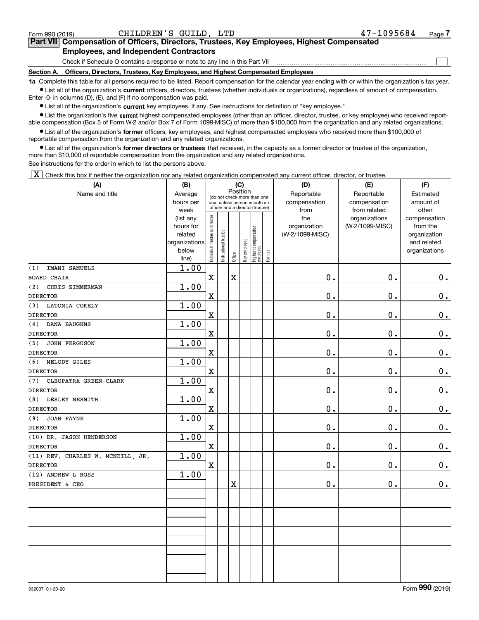932007 01-20-20

#### Form 990 (2019) CHILDREN'S GUILD, LTD 47-1095684 <sub>Page</sub> **7Part VII Compensation of Officers, Directors, Trustees, Key Employees, Highest Compensated Employees, and Independent Contractors**

# Check if Schedule O contains a response or note to any line in this Part VII

## **Section A. Officers, Directors, Trustees, Key Employees, and Highest Compensated Employees**

**1a**  Complete this table for all persons required to be listed. Report compensation for the calendar year ending with or within the organization's tax year. **•** List all of the organization's current officers, directors, trustees (whether individuals or organizations), regardless of amount of compensation.

Enter -0- in columns (D), (E), and (F) if no compensation was paid.

 $\bullet$  List all of the organization's  $\,$ current key employees, if any. See instructions for definition of "key employee."

**•** List the organization's five current highest compensated employees (other than an officer, director, trustee, or key employee) who received reportable compensation (Box 5 of Form W-2 and/or Box 7 of Form 1099-MISC) of more than \$100,000 from the organization and any related organizations.

**•** List all of the organization's former officers, key employees, and highest compensated employees who received more than \$100,000 of reportable compensation from the organization and any related organizations.

**former directors or trustees**  ¥ List all of the organization's that received, in the capacity as a former director or trustee of the organization, more than \$10,000 of reportable compensation from the organization and any related organizations.

See instructions for the order in which to list the persons above.

X

| (A)                                             | (B)               |                                                                  |                       |                         | (C)          |                                           | (D)             | (E)                           | (F)                   |
|-------------------------------------------------|-------------------|------------------------------------------------------------------|-----------------------|-------------------------|--------------|-------------------------------------------|-----------------|-------------------------------|-----------------------|
| Name and title                                  | Average           |                                                                  |                       | Position                |              | (do not check more than one               | Reportable      | Reportable                    | Estimated             |
|                                                 | hours per         | box, unless person is both an<br>officer and a director/trustee) |                       |                         |              |                                           | compensation    | compensation                  | amount of             |
|                                                 | week<br>(list any |                                                                  |                       |                         |              |                                           | from<br>the     | from related<br>organizations | other<br>compensation |
|                                                 | hours for         |                                                                  |                       |                         |              |                                           | organization    | (W-2/1099-MISC)               | from the              |
|                                                 | related           |                                                                  |                       |                         |              |                                           | (W-2/1099-MISC) |                               | organization          |
|                                                 | organizations     |                                                                  |                       |                         |              |                                           |                 |                               | and related           |
|                                                 | below             | Individual trustee or director                                   | Institutional trustee |                         | Key employee | Highest compensated<br>employee<br>Former |                 |                               | organizations         |
|                                                 | line)             |                                                                  |                       | Officer                 |              |                                           |                 |                               |                       |
| IMANI SAMUELS<br>(1)                            | 1.00              |                                                                  |                       |                         |              |                                           |                 |                               |                       |
| <b>BOARD CHAIR</b>                              |                   | X                                                                |                       | $\overline{\mathbf{X}}$ |              |                                           | $0$ .           | $\mathbf 0$ .                 | 0.                    |
| (2)<br>CHRIS ZIMMERMAN                          | 1.00              |                                                                  |                       |                         |              |                                           |                 |                               |                       |
| <b>DIRECTOR</b>                                 |                   | X                                                                |                       |                         |              |                                           | $0$ .           | $\mathbf 0$ .                 | $0_{.}$               |
| (3) LATONIA COKELY                              | 1.00              |                                                                  |                       |                         |              |                                           |                 |                               |                       |
| <b>DIRECTOR</b>                                 |                   | X                                                                |                       |                         |              |                                           | $0$ .           | $\mathbf 0$ .                 | $0_{.}$               |
| DANA BAUGHNS<br>(4)                             | 1.00              |                                                                  |                       |                         |              |                                           |                 |                               |                       |
| <b>DIRECTOR</b>                                 |                   | X                                                                |                       |                         |              |                                           | $0$ .           | $\mathbf 0$ .                 | $0_{.}$               |
| (5)<br><b>JOHN FERGUSON</b>                     | 1.00              |                                                                  |                       |                         |              |                                           |                 |                               |                       |
| <b>DIRECTOR</b>                                 |                   | X                                                                |                       |                         |              |                                           | $0$ .           | $\mathbf 0$ .                 | $0_{.}$               |
| (6)<br>MELODY GILES                             | 1.00              |                                                                  |                       |                         |              |                                           |                 |                               |                       |
| <b>DIRECTOR</b>                                 |                   | X                                                                |                       |                         |              |                                           | $0$ .           | $\mathbf 0$ .                 | $0_{.}$               |
| CLEOPATRA GREEN-CLARK<br>(7)<br><b>DIRECTOR</b> | 1.00              | X                                                                |                       |                         |              |                                           | 0.              | $\mathbf 0$ .                 |                       |
| (8) LESLEY NESMITH                              | 1.00              |                                                                  |                       |                         |              |                                           |                 |                               | $0_{.}$               |
| <b>DIRECTOR</b>                                 |                   | X                                                                |                       |                         |              |                                           | 0.              | $\mathbf 0$ .                 | $0_{.}$               |
| <b>JOAN PAYNE</b><br>(9)                        | 1.00              |                                                                  |                       |                         |              |                                           |                 |                               |                       |
| <b>DIRECTOR</b>                                 |                   | X                                                                |                       |                         |              |                                           | $0$ .           | $\mathbf 0$ .                 | $0_{.}$               |
| (10) DR. JASON HENDERSON                        | 1.00              |                                                                  |                       |                         |              |                                           |                 |                               |                       |
| <b>DIRECTOR</b>                                 |                   | X                                                                |                       |                         |              |                                           | $0$ .           | $\mathbf 0$ .                 | $0_{.}$               |
| (11) REV. CHARLES W. MCNEILL, JR.               | 1.00              |                                                                  |                       |                         |              |                                           |                 |                               |                       |
| <b>DIRECTOR</b>                                 |                   | X                                                                |                       |                         |              |                                           | $0$ .           | $\mathbf 0$ .                 | 0.                    |
| (12) ANDREW L ROSS                              | 1.00              |                                                                  |                       |                         |              |                                           |                 |                               |                       |
| PRESIDENT & CEO                                 |                   |                                                                  |                       | $\overline{\textbf{X}}$ |              |                                           | $0$ .           | $\mathbf 0$ .                 | 0.                    |
|                                                 |                   |                                                                  |                       |                         |              |                                           |                 |                               |                       |
|                                                 |                   |                                                                  |                       |                         |              |                                           |                 |                               |                       |
|                                                 |                   |                                                                  |                       |                         |              |                                           |                 |                               |                       |
|                                                 |                   |                                                                  |                       |                         |              |                                           |                 |                               |                       |
|                                                 |                   |                                                                  |                       |                         |              |                                           |                 |                               |                       |
|                                                 |                   |                                                                  |                       |                         |              |                                           |                 |                               |                       |
|                                                 |                   |                                                                  |                       |                         |              |                                           |                 |                               |                       |
|                                                 |                   |                                                                  |                       |                         |              |                                           |                 |                               |                       |
|                                                 |                   |                                                                  |                       |                         |              |                                           |                 |                               |                       |
|                                                 |                   |                                                                  |                       |                         |              |                                           |                 |                               |                       |

 $\mathcal{L}^{\text{max}}$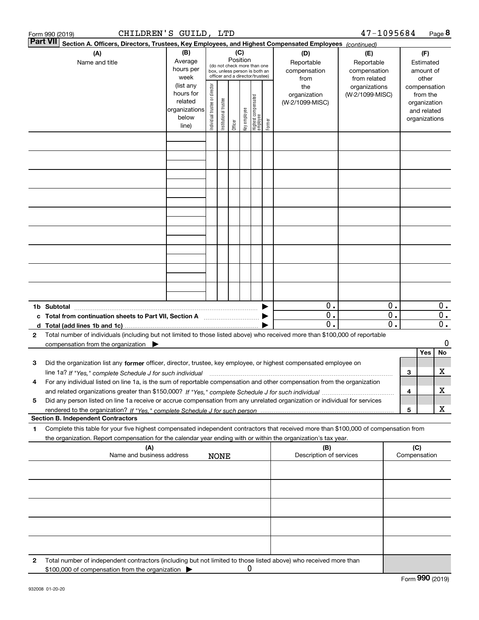| 47-1095684<br>CHILDREN'S GUILD, LTD<br>Form 990 (2019) |                                                                                                                                                                                                                                                                     |                                                                      |                                |                       |                 |              |                                                                                                 |        | Page 8                                    |                                                   |          |        |                                                                          |                        |
|--------------------------------------------------------|---------------------------------------------------------------------------------------------------------------------------------------------------------------------------------------------------------------------------------------------------------------------|----------------------------------------------------------------------|--------------------------------|-----------------------|-----------------|--------------|-------------------------------------------------------------------------------------------------|--------|-------------------------------------------|---------------------------------------------------|----------|--------|--------------------------------------------------------------------------|------------------------|
|                                                        | <b>Part VII</b><br>Section A. Officers, Directors, Trustees, Key Employees, and Highest Compensated Employees (continued)                                                                                                                                           |                                                                      |                                |                       |                 |              |                                                                                                 |        |                                           |                                                   |          |        |                                                                          |                        |
|                                                        | (A)<br>Name and title                                                                                                                                                                                                                                               | (B)<br>Average<br>hours per<br>week                                  |                                |                       | (C)<br>Position |              | (do not check more than one<br>box, unless person is both an<br>officer and a director/trustee) |        | (D)<br>Reportable<br>compensation<br>from | (E)<br>Reportable<br>compensation<br>from related |          |        | (F)<br>Estimated<br>amount of<br>other                                   |                        |
|                                                        |                                                                                                                                                                                                                                                                     | (list any<br>hours for<br>related<br>organizations<br>below<br>line) | Individual trustee or director | Institutional trustee | Officer         | key employee | Highest compensated<br>employee                                                                 | Former | the<br>organization<br>(W-2/1099-MISC)    | organizations<br>(W-2/1099-MISC)                  |          |        | compensation<br>from the<br>organization<br>and related<br>organizations |                        |
|                                                        |                                                                                                                                                                                                                                                                     |                                                                      |                                |                       |                 |              |                                                                                                 |        |                                           |                                                   |          |        |                                                                          |                        |
|                                                        |                                                                                                                                                                                                                                                                     |                                                                      |                                |                       |                 |              |                                                                                                 |        |                                           |                                                   |          |        |                                                                          |                        |
|                                                        |                                                                                                                                                                                                                                                                     |                                                                      |                                |                       |                 |              |                                                                                                 |        |                                           |                                                   |          |        |                                                                          |                        |
|                                                        |                                                                                                                                                                                                                                                                     |                                                                      |                                |                       |                 |              |                                                                                                 |        |                                           |                                                   |          |        |                                                                          |                        |
|                                                        |                                                                                                                                                                                                                                                                     |                                                                      |                                |                       |                 |              |                                                                                                 |        |                                           |                                                   |          |        |                                                                          |                        |
|                                                        |                                                                                                                                                                                                                                                                     |                                                                      |                                |                       |                 |              |                                                                                                 |        |                                           |                                                   |          |        |                                                                          |                        |
|                                                        |                                                                                                                                                                                                                                                                     |                                                                      |                                |                       |                 |              |                                                                                                 |        |                                           |                                                   |          |        |                                                                          |                        |
|                                                        | 1b Subtotal                                                                                                                                                                                                                                                         |                                                                      |                                |                       |                 |              |                                                                                                 |        | 0.                                        |                                                   | 0.       |        |                                                                          | $0$ .                  |
| c<br>d                                                 | Total from continuation sheets to Part VII, Section A                                                                                                                                                                                                               |                                                                      |                                |                       |                 |              |                                                                                                 |        | 0.<br>$\mathbf 0$ .                       |                                                   | 0.<br>0. |        |                                                                          | 0.<br>$\overline{0}$ . |
| 2                                                      | Total number of individuals (including but not limited to those listed above) who received more than \$100,000 of reportable<br>compensation from the organization $\blacktriangleright$                                                                            |                                                                      |                                |                       |                 |              |                                                                                                 |        |                                           |                                                   |          |        |                                                                          | 0                      |
| з                                                      | Did the organization list any former officer, director, trustee, key employee, or highest compensated employee on                                                                                                                                                   |                                                                      |                                |                       |                 |              |                                                                                                 |        |                                           |                                                   |          |        | Yes                                                                      | No<br>x                |
| 4                                                      | line 1a? If "Yes," complete Schedule J for such individual manufactured contained and the Ves," complete Schedule J for such individual<br>For any individual listed on line 1a, is the sum of reportable compensation and other compensation from the organization |                                                                      |                                |                       |                 |              |                                                                                                 |        |                                           |                                                   |          | 3<br>4 |                                                                          | x                      |
| 5                                                      | Did any person listed on line 1a receive or accrue compensation from any unrelated organization or individual for services                                                                                                                                          |                                                                      |                                |                       |                 |              |                                                                                                 |        |                                           |                                                   |          | 5      |                                                                          | x                      |
|                                                        | <b>Section B. Independent Contractors</b>                                                                                                                                                                                                                           |                                                                      |                                |                       |                 |              |                                                                                                 |        |                                           |                                                   |          |        |                                                                          |                        |
| 1                                                      | Complete this table for your five highest compensated independent contractors that received more than \$100,000 of compensation from<br>the organization. Report compensation for the calendar year ending with or within the organization's tax year.              |                                                                      |                                |                       |                 |              |                                                                                                 |        |                                           |                                                   |          |        |                                                                          |                        |
|                                                        | (A)<br>(B)<br>Description of services<br>Name and business address<br><b>NONE</b>                                                                                                                                                                                   |                                                                      |                                |                       |                 |              |                                                                                                 |        | (C)                                       | Compensation                                      |          |        |                                                                          |                        |
|                                                        |                                                                                                                                                                                                                                                                     |                                                                      |                                |                       |                 |              |                                                                                                 |        |                                           |                                                   |          |        |                                                                          |                        |
|                                                        |                                                                                                                                                                                                                                                                     |                                                                      |                                |                       |                 |              |                                                                                                 |        |                                           |                                                   |          |        |                                                                          |                        |
|                                                        |                                                                                                                                                                                                                                                                     |                                                                      |                                |                       |                 |              |                                                                                                 |        |                                           |                                                   |          |        |                                                                          |                        |
|                                                        |                                                                                                                                                                                                                                                                     |                                                                      |                                |                       |                 |              |                                                                                                 |        |                                           |                                                   |          |        |                                                                          |                        |
| 2                                                      | Total number of independent contractors (including but not limited to those listed above) who received more than<br>\$100,000 of compensation from the organization                                                                                                 |                                                                      |                                |                       |                 | 0            |                                                                                                 |        |                                           |                                                   |          |        |                                                                          |                        |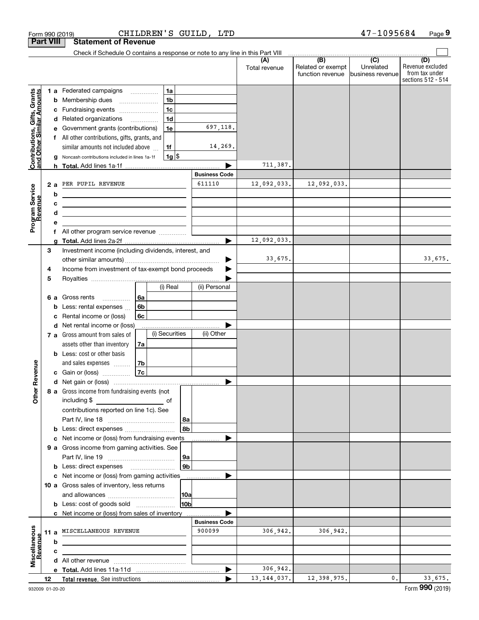|                                                           | <b>Part VIII</b> | <b>Statement of Revenue</b>                                                                                                                                                                                                                    |                                |                      |                                                           |                                                   |                                                                 |
|-----------------------------------------------------------|------------------|------------------------------------------------------------------------------------------------------------------------------------------------------------------------------------------------------------------------------------------------|--------------------------------|----------------------|-----------------------------------------------------------|---------------------------------------------------|-----------------------------------------------------------------|
|                                                           |                  | Check if Schedule O contains a response or note to any line in this Part VIII                                                                                                                                                                  |                                |                      |                                                           |                                                   |                                                                 |
|                                                           |                  |                                                                                                                                                                                                                                                |                                | (A)<br>Total revenue | $\overline{(B)}$<br>Related or exempt<br>function revenue | $\overline{(C)}$<br>Unrelated<br>business revenue | (D)<br>Revenue excluded<br>from tax under<br>sections 512 - 514 |
| Contributions, Gifts, Grants<br>and Other Similar Amounts | b<br>с           | 1a<br>1 a Federated campaigns<br>1 <sub>b</sub><br>Membership dues<br>1c<br>Fundraising events                                                                                                                                                 |                                |                      |                                                           |                                                   |                                                                 |
|                                                           | d                | 1 <sub>d</sub><br>Related organizations<br>Government grants (contributions)<br>1e                                                                                                                                                             | 697,118.                       |                      |                                                           |                                                   |                                                                 |
|                                                           |                  | All other contributions, gifts, grants, and                                                                                                                                                                                                    |                                |                      |                                                           |                                                   |                                                                 |
|                                                           |                  | similar amounts not included above<br>1f                                                                                                                                                                                                       | 14,269.                        |                      |                                                           |                                                   |                                                                 |
|                                                           | g                | $1g$ $\frac{1}{3}$<br>Noncash contributions included in lines 1a-1f                                                                                                                                                                            |                                | 711,387.             |                                                           |                                                   |                                                                 |
|                                                           |                  |                                                                                                                                                                                                                                                | <b>Business Code</b>           |                      |                                                           |                                                   |                                                                 |
|                                                           | 2a               | PER PUPIL REVENUE                                                                                                                                                                                                                              | 611110                         | 12,092,033.          | 12,092,033.                                               |                                                   |                                                                 |
| Program Service<br>Bevenue                                | b                | <u> 1989 - Johann Stoff, Amerikaansk politiker (</u>                                                                                                                                                                                           |                                |                      |                                                           |                                                   |                                                                 |
| evenue                                                    | c<br>d           | <u> 1999 - Johann Harry Harry Harry Harry Harry Harry Harry Harry Harry Harry Harry Harry Harry Harry Harry Harry</u><br><u> 1989 - Johann Barbara, martin amerikan basar dan berasal dalam basar dalam basar dalam basar dalam basar dala</u> |                                |                      |                                                           |                                                   |                                                                 |
|                                                           | е                |                                                                                                                                                                                                                                                |                                |                      |                                                           |                                                   |                                                                 |
|                                                           | f                |                                                                                                                                                                                                                                                |                                |                      |                                                           |                                                   |                                                                 |
|                                                           | a                |                                                                                                                                                                                                                                                |                                | 12,092,033.          |                                                           |                                                   |                                                                 |
|                                                           | 3                | Investment income (including dividends, interest, and                                                                                                                                                                                          |                                |                      |                                                           |                                                   |                                                                 |
|                                                           |                  |                                                                                                                                                                                                                                                |                                | 33,675.              |                                                           |                                                   | 33,675.                                                         |
|                                                           | 4<br>5           | Income from investment of tax-exempt bond proceeds                                                                                                                                                                                             |                                |                      |                                                           |                                                   |                                                                 |
|                                                           |                  | (i) Real                                                                                                                                                                                                                                       | (ii) Personal                  |                      |                                                           |                                                   |                                                                 |
|                                                           | 6а               | Gross rents<br>6a                                                                                                                                                                                                                              |                                |                      |                                                           |                                                   |                                                                 |
|                                                           | b                | 6b<br>Less: rental expenses                                                                                                                                                                                                                    |                                |                      |                                                           |                                                   |                                                                 |
|                                                           | c                | Rental income or (loss)<br>6c                                                                                                                                                                                                                  |                                |                      |                                                           |                                                   |                                                                 |
|                                                           | d                | Net rental income or (loss)<br>(i) Securities<br>7 a Gross amount from sales of                                                                                                                                                                | (ii) Other                     |                      |                                                           |                                                   |                                                                 |
|                                                           |                  | assets other than inventory<br>7a                                                                                                                                                                                                              |                                |                      |                                                           |                                                   |                                                                 |
|                                                           |                  | <b>b</b> Less: cost or other basis                                                                                                                                                                                                             |                                |                      |                                                           |                                                   |                                                                 |
|                                                           |                  | 7b<br>and sales expenses                                                                                                                                                                                                                       |                                |                      |                                                           |                                                   |                                                                 |
| Revenue                                                   |                  | 7c<br>Gain or (loss)                                                                                                                                                                                                                           |                                |                      |                                                           |                                                   |                                                                 |
|                                                           |                  | 8 a Gross income from fundraising events (not                                                                                                                                                                                                  |                                |                      |                                                           |                                                   |                                                                 |
| Other                                                     |                  | including \$<br><u> 1980 - John Barn Barn, mars a</u><br>оf                                                                                                                                                                                    |                                |                      |                                                           |                                                   |                                                                 |
|                                                           |                  | contributions reported on line 1c). See<br>  8a                                                                                                                                                                                                |                                |                      |                                                           |                                                   |                                                                 |
|                                                           | b                | 8b                                                                                                                                                                                                                                             |                                |                      |                                                           |                                                   |                                                                 |
|                                                           | c                | Net income or (loss) from fundraising events                                                                                                                                                                                                   |                                |                      |                                                           |                                                   |                                                                 |
|                                                           |                  | 9 a Gross income from gaming activities. See                                                                                                                                                                                                   |                                |                      |                                                           |                                                   |                                                                 |
|                                                           |                  | 9a                                                                                                                                                                                                                                             |                                |                      |                                                           |                                                   |                                                                 |
|                                                           |                  | 9 <sub>b</sub><br><b>b</b> Less: direct expenses <b>manually</b><br>c Net income or (loss) from gaming activities                                                                                                                              |                                |                      |                                                           |                                                   |                                                                 |
|                                                           |                  | 10 a Gross sales of inventory, less returns                                                                                                                                                                                                    |                                |                      |                                                           |                                                   |                                                                 |
|                                                           |                  | 10a                                                                                                                                                                                                                                            |                                |                      |                                                           |                                                   |                                                                 |
|                                                           |                  | 10ь<br><b>b</b> Less: cost of goods sold                                                                                                                                                                                                       |                                |                      |                                                           |                                                   |                                                                 |
|                                                           |                  | c Net income or (loss) from sales of inventory                                                                                                                                                                                                 |                                |                      |                                                           |                                                   |                                                                 |
|                                                           |                  | MISCELLANEOUS REVENUE                                                                                                                                                                                                                          | <b>Business Code</b><br>900099 | 306,942.             | 306,942.                                                  |                                                   |                                                                 |
| Miscellaneous                                             | 11 a<br>b        |                                                                                                                                                                                                                                                |                                |                      |                                                           |                                                   |                                                                 |
| suenue                                                    | c                |                                                                                                                                                                                                                                                |                                |                      |                                                           |                                                   |                                                                 |
|                                                           |                  |                                                                                                                                                                                                                                                |                                |                      |                                                           |                                                   |                                                                 |
|                                                           |                  |                                                                                                                                                                                                                                                |                                | 306,942.             |                                                           |                                                   |                                                                 |
|                                                           | 12               |                                                                                                                                                                                                                                                |                                | 13, 144, 037.        | 12,398,975.                                               | $\mathsf{0}$ .                                    | 33,675.                                                         |

Form 990 (2019) CHILDREN'S GUILD, LTD 47-1095684 Page

**9** 47-1095684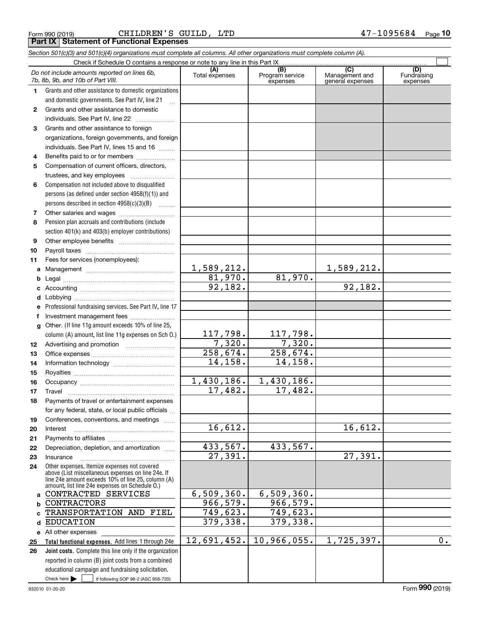**10**

## *Section 501(c)(3) and 501(c)(4) organizations must complete all columns. All other organizations must complete column (A).*

|              | Do not include amounts reported on lines 6b,<br>7b, 8b, 9b, and 10b of Part VIII.                                                                          | (A)<br>Total expenses  | $\overline{(B)}$<br>Program service<br>expenses | $\overline{C}$<br>Management and<br>general expenses | (D)<br>Fundraising<br>expenses |  |
|--------------|------------------------------------------------------------------------------------------------------------------------------------------------------------|------------------------|-------------------------------------------------|------------------------------------------------------|--------------------------------|--|
| 1.           | Grants and other assistance to domestic organizations                                                                                                      |                        |                                                 |                                                      |                                |  |
|              | and domestic governments. See Part IV, line 21                                                                                                             |                        |                                                 |                                                      |                                |  |
| 2            | Grants and other assistance to domestic                                                                                                                    |                        |                                                 |                                                      |                                |  |
|              | individuals. See Part IV, line 22                                                                                                                          |                        |                                                 |                                                      |                                |  |
| 3            | Grants and other assistance to foreign                                                                                                                     |                        |                                                 |                                                      |                                |  |
|              | organizations, foreign governments, and foreign                                                                                                            |                        |                                                 |                                                      |                                |  |
|              | individuals. See Part IV, lines 15 and 16                                                                                                                  |                        |                                                 |                                                      |                                |  |
| 4            | Benefits paid to or for members                                                                                                                            |                        |                                                 |                                                      |                                |  |
| 5            | Compensation of current officers, directors,                                                                                                               |                        |                                                 |                                                      |                                |  |
|              |                                                                                                                                                            |                        |                                                 |                                                      |                                |  |
| 6            | Compensation not included above to disqualified                                                                                                            |                        |                                                 |                                                      |                                |  |
|              | persons (as defined under section $4958(f)(1)$ ) and                                                                                                       |                        |                                                 |                                                      |                                |  |
|              | persons described in section 4958(c)(3)(B)                                                                                                                 |                        |                                                 |                                                      |                                |  |
| 7            |                                                                                                                                                            |                        |                                                 |                                                      |                                |  |
| 8            | Pension plan accruals and contributions (include                                                                                                           |                        |                                                 |                                                      |                                |  |
|              | section 401(k) and 403(b) employer contributions)                                                                                                          |                        |                                                 |                                                      |                                |  |
| 9            |                                                                                                                                                            |                        |                                                 |                                                      |                                |  |
| 10           |                                                                                                                                                            |                        |                                                 |                                                      |                                |  |
| 11           | Fees for services (nonemployees):                                                                                                                          |                        |                                                 |                                                      |                                |  |
| a            |                                                                                                                                                            | 1,589,212.             |                                                 | 1,589,212.                                           |                                |  |
| b            |                                                                                                                                                            | 81,970.                | 81,970.                                         |                                                      |                                |  |
|              |                                                                                                                                                            | 92,182.                |                                                 | 92,182.                                              |                                |  |
| d            |                                                                                                                                                            |                        |                                                 |                                                      |                                |  |
| е            | Professional fundraising services. See Part IV, line 17                                                                                                    |                        |                                                 |                                                      |                                |  |
| f            | Investment management fees                                                                                                                                 |                        |                                                 |                                                      |                                |  |
| $\mathbf{q}$ | Other. (If line 11g amount exceeds 10% of line 25,                                                                                                         |                        |                                                 |                                                      |                                |  |
|              | column (A) amount, list line 11g expenses on Sch 0.)                                                                                                       | 117,798.               | 117,798.                                        |                                                      |                                |  |
| 12           |                                                                                                                                                            | 7,320.                 | 7,320.                                          |                                                      |                                |  |
| 13           |                                                                                                                                                            | $\overline{258,674}$ . | 258,674.                                        |                                                      |                                |  |
| 14           |                                                                                                                                                            | 14,158.                | 14,158.                                         |                                                      |                                |  |
| 15           |                                                                                                                                                            |                        |                                                 |                                                      |                                |  |
| 16           |                                                                                                                                                            | 1,430,186.<br>17,482.  | 1,430,186.<br>17,482.                           |                                                      |                                |  |
| 17           | Travel                                                                                                                                                     |                        |                                                 |                                                      |                                |  |
| 18           | Payments of travel or entertainment expenses                                                                                                               |                        |                                                 |                                                      |                                |  |
|              | for any federal, state, or local public officials                                                                                                          |                        |                                                 |                                                      |                                |  |
| 19           | Conferences, conventions, and meetings                                                                                                                     | 16,612.                |                                                 | 16,612.                                              |                                |  |
| 20           | Interest                                                                                                                                                   |                        |                                                 |                                                      |                                |  |
| 21<br>22     | Depreciation, depletion, and amortization                                                                                                                  | 433,567.               | 433,567.                                        |                                                      |                                |  |
| 23           | Insurance                                                                                                                                                  | 27,391.                |                                                 | $\overline{27,391}$ .                                |                                |  |
| 24           | Other expenses. Itemize expenses not covered                                                                                                               |                        |                                                 |                                                      |                                |  |
|              | above (List miscellaneous expenses on line 24e. If<br>line 24e amount exceeds 10% of line 25, column (A)<br>amount, list line 24e expenses on Schedule 0.) |                        |                                                 |                                                      |                                |  |
|              | a CONTRACTED SERVICES                                                                                                                                      | 6,509,360.             | 6,509,360.                                      |                                                      |                                |  |
| b            | CONTRACTORS                                                                                                                                                | 966, 579.              | 966,579.                                        |                                                      |                                |  |
| c.           | TRANSPORTATION AND FIEL                                                                                                                                    | 749,623.               | 749,623.                                        |                                                      |                                |  |
| d            | <b>EDUCATION</b>                                                                                                                                           | 379,338.               | 379,338.                                        |                                                      |                                |  |
|              | e All other expenses                                                                                                                                       |                        |                                                 |                                                      |                                |  |
| 25           | Total functional expenses. Add lines 1 through 24e                                                                                                         | 12,691,452.            | 10,966,055.                                     | 1,725,397.                                           | 0.                             |  |
| 26           | Joint costs. Complete this line only if the organization                                                                                                   |                        |                                                 |                                                      |                                |  |
|              | reported in column (B) joint costs from a combined                                                                                                         |                        |                                                 |                                                      |                                |  |
|              | educational campaign and fundraising solicitation.                                                                                                         |                        |                                                 |                                                      |                                |  |
|              | Check here $\blacktriangleright$<br>if following SOP 98-2 (ASC 958-720)                                                                                    |                        |                                                 |                                                      |                                |  |
|              | 932010 01-20-20                                                                                                                                            |                        |                                                 |                                                      | Form 990 (2019)                |  |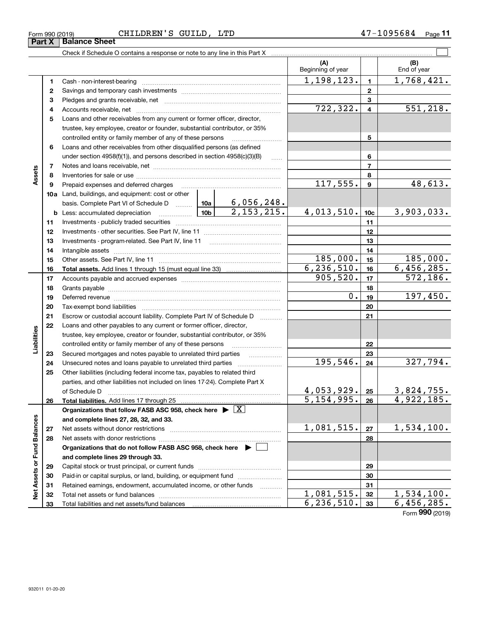| Form 990 (2019) | $\sim$<br>CHILDREN'<br><b>GUILD</b><br>LTD<br>っ | ີ 15684<br>Page<br>. . |
|-----------------|-------------------------------------------------|------------------------|
|                 |                                                 |                        |

|                             |    |                                                                                                                                                                                                                                |            | (A)<br>Beginning of year |                         | (B)<br>End of year |
|-----------------------------|----|--------------------------------------------------------------------------------------------------------------------------------------------------------------------------------------------------------------------------------|------------|--------------------------|-------------------------|--------------------|
|                             | 1  |                                                                                                                                                                                                                                |            | 1,198,123.               | $\mathbf{1}$            | 1,768,421.         |
|                             | 2  |                                                                                                                                                                                                                                |            |                          | $\mathbf{2}$            |                    |
|                             | 3  |                                                                                                                                                                                                                                |            | 3                        |                         |                    |
|                             | 4  |                                                                                                                                                                                                                                |            | 722,322.                 | $\overline{\mathbf{4}}$ | 551,218.           |
|                             | 5  | Loans and other receivables from any current or former officer, director,                                                                                                                                                      |            |                          |                         |                    |
|                             |    | trustee, key employee, creator or founder, substantial contributor, or 35%                                                                                                                                                     |            |                          |                         |                    |
|                             |    | controlled entity or family member of any of these persons                                                                                                                                                                     |            |                          | 5                       |                    |
|                             | 6  | Loans and other receivables from other disqualified persons (as defined                                                                                                                                                        |            |                          |                         |                    |
|                             |    | under section $4958(f)(1)$ , and persons described in section $4958(c)(3)(B)$                                                                                                                                                  | .          |                          | 6                       |                    |
|                             | 7  |                                                                                                                                                                                                                                |            |                          | $\overline{7}$          |                    |
| Assets                      | 8  |                                                                                                                                                                                                                                |            |                          | 8                       |                    |
|                             | 9  | Prepaid expenses and deferred charges                                                                                                                                                                                          |            | 117,555.                 | $\boldsymbol{9}$        | 48,613.            |
|                             |    | <b>10a</b> Land, buildings, and equipment: cost or other                                                                                                                                                                       |            |                          |                         |                    |
|                             |    | basis. Complete Part VI of Schedule D  10a 6, 056, 248.                                                                                                                                                                        |            |                          |                         |                    |
|                             |    | $\frac{10b}{2,153,215}$<br><b>b</b> Less: accumulated depreciation                                                                                                                                                             | 4,013,510. | 10 <sub>c</sub>          | 3,903,033.              |                    |
|                             | 11 |                                                                                                                                                                                                                                |            | 11                       |                         |                    |
|                             | 12 |                                                                                                                                                                                                                                |            |                          | 12                      |                    |
|                             | 13 |                                                                                                                                                                                                                                |            | 13                       |                         |                    |
|                             | 14 |                                                                                                                                                                                                                                |            | 14                       |                         |                    |
|                             | 15 |                                                                                                                                                                                                                                | 185,000.   | 15                       | 185,000.                |                    |
|                             | 16 |                                                                                                                                                                                                                                |            | 6, 236, 510.             | 16                      | 6,456,285.         |
|                             | 17 |                                                                                                                                                                                                                                | 905,520.   | 17                       | 572,186.                |                    |
|                             | 18 |                                                                                                                                                                                                                                |            | 18                       |                         |                    |
|                             | 19 | Deferred revenue manual contracts and contracts are all the manual contracts and contracts are contracted and contracts are contracted and contract are contracted and contract are contracted and contract are contracted and | 0.         | 19                       | 197,450.                |                    |
|                             | 20 |                                                                                                                                                                                                                                |            |                          | 20                      |                    |
|                             | 21 | Escrow or custodial account liability. Complete Part IV of Schedule D                                                                                                                                                          |            |                          | 21                      |                    |
|                             | 22 | Loans and other payables to any current or former officer, director,                                                                                                                                                           |            |                          |                         |                    |
| Liabilities                 |    | trustee, key employee, creator or founder, substantial contributor, or 35%                                                                                                                                                     |            |                          |                         |                    |
|                             |    | controlled entity or family member of any of these persons                                                                                                                                                                     |            |                          | 22                      |                    |
|                             | 23 |                                                                                                                                                                                                                                |            |                          | 23                      |                    |
|                             | 24 |                                                                                                                                                                                                                                |            | 195,546.                 | 24                      | 327,794.           |
|                             | 25 | Other liabilities (including federal income tax, payables to related third                                                                                                                                                     |            |                          |                         |                    |
|                             |    | parties, and other liabilities not included on lines 17-24). Complete Part X                                                                                                                                                   |            |                          |                         |                    |
|                             |    | of Schedule D                                                                                                                                                                                                                  |            | $4,053,929$ . $25$       |                         | 3,824,755.         |
|                             | 26 |                                                                                                                                                                                                                                |            | 5,154,995.               | 26                      | 4,922,185.         |
|                             |    | Organizations that follow FASB ASC 958, check here $\triangleright \lfloor X \rfloor$                                                                                                                                          |            |                          |                         |                    |
|                             |    | and complete lines 27, 28, 32, and 33.                                                                                                                                                                                         |            |                          |                         |                    |
|                             | 27 |                                                                                                                                                                                                                                |            | 1,081,515.               | 27                      | 1,534,100.         |
|                             | 28 |                                                                                                                                                                                                                                |            |                          | 28                      |                    |
|                             |    | Organizations that do not follow FASB ASC 958, check here $\blacktriangleright$                                                                                                                                                |            |                          |                         |                    |
|                             |    | and complete lines 29 through 33.                                                                                                                                                                                              |            |                          |                         |                    |
|                             | 29 |                                                                                                                                                                                                                                |            |                          | 29                      |                    |
|                             | 30 | Paid-in or capital surplus, or land, building, or equipment fund                                                                                                                                                               |            |                          | 30                      |                    |
|                             | 31 | Retained earnings, endowment, accumulated income, or other funds                                                                                                                                                               |            |                          | 31                      |                    |
| Net Assets or Fund Balances | 32 |                                                                                                                                                                                                                                |            | 1,081,515.               | 32                      | 1,534,100.         |
|                             | 33 |                                                                                                                                                                                                                                |            | 6, 236, 510.             | 33                      | 6,456,285.         |

Form (2019) **990**

# **Part X Balance Sheet**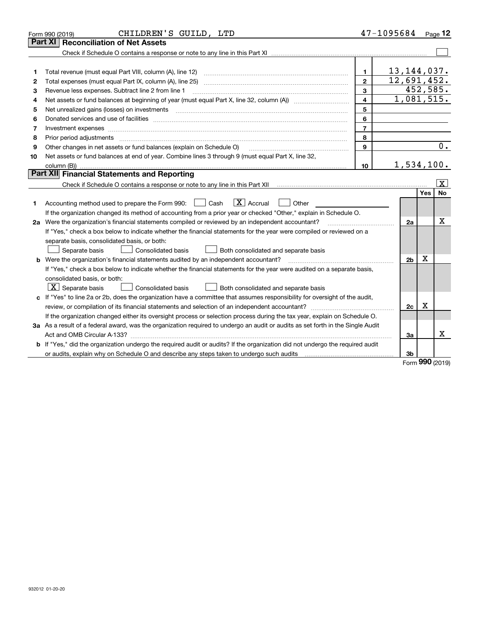|    | CHILDREN'S GUILD, LTD<br>Form 990 (2019)                                                                                        |                         | $47 - 1095684$ Page 12 |     |                         |  |  |
|----|---------------------------------------------------------------------------------------------------------------------------------|-------------------------|------------------------|-----|-------------------------|--|--|
|    | <b>Reconciliation of Net Assets</b><br>Part XI                                                                                  |                         |                        |     |                         |  |  |
|    |                                                                                                                                 |                         |                        |     |                         |  |  |
|    |                                                                                                                                 |                         |                        |     |                         |  |  |
| 1  | Total revenue (must equal Part VIII, column (A), line 12)                                                                       | 1                       | 13, 144, 037.          |     |                         |  |  |
| 2  |                                                                                                                                 | $\mathbf{2}$            | 12,691,452.            |     |                         |  |  |
| 3  | Revenue less expenses. Subtract line 2 from line 1                                                                              | 3                       |                        |     | 452,585.                |  |  |
| 4  |                                                                                                                                 | $\overline{\mathbf{4}}$ | 1,081,515.             |     |                         |  |  |
| 5  | 5                                                                                                                               |                         |                        |     |                         |  |  |
| 6  |                                                                                                                                 | 6                       |                        |     |                         |  |  |
| 7  | Investment expenses www.communication.com/www.communication.com/www.communication.com/www.com                                   | $\overline{7}$          |                        |     |                         |  |  |
| 8  | Prior period adjustments                                                                                                        | 8                       |                        |     |                         |  |  |
| 9  | Other changes in net assets or fund balances (explain on Schedule O)                                                            | 9                       |                        |     | 0.                      |  |  |
| 10 | Net assets or fund balances at end of year. Combine lines 3 through 9 (must equal Part X, line 32,                              |                         |                        |     |                         |  |  |
|    | column $(B)$ )                                                                                                                  | 10                      | 1,534,100.             |     |                         |  |  |
|    | Part XII Financial Statements and Reporting                                                                                     |                         |                        |     |                         |  |  |
|    |                                                                                                                                 |                         |                        |     | $\overline{\mathbf{x}}$ |  |  |
|    |                                                                                                                                 |                         |                        | Yes | No                      |  |  |
| 1  | $\boxed{\mathbf{X}}$ Accrual<br>Accounting method used to prepare the Form 990: <u>[</u> Cash<br>Other                          |                         |                        |     |                         |  |  |
|    | If the organization changed its method of accounting from a prior year or checked "Other," explain in Schedule O.               |                         |                        |     |                         |  |  |
|    | 2a Were the organization's financial statements compiled or reviewed by an independent accountant?                              |                         | 2a                     |     | Х                       |  |  |
|    | If "Yes," check a box below to indicate whether the financial statements for the year were compiled or reviewed on a            |                         |                        |     |                         |  |  |
|    | separate basis, consolidated basis, or both:                                                                                    |                         |                        |     |                         |  |  |
|    | Separate basis<br><b>Consolidated basis</b><br>Both consolidated and separate basis                                             |                         |                        |     |                         |  |  |
|    | <b>b</b> Were the organization's financial statements audited by an independent accountant?                                     |                         | 2 <sub>b</sub>         | х   |                         |  |  |
|    | If "Yes," check a box below to indicate whether the financial statements for the year were audited on a separate basis,         |                         |                        |     |                         |  |  |
|    | consolidated basis, or both:                                                                                                    |                         |                        |     |                         |  |  |
|    | $X$ Separate basis<br>Consolidated basis<br>Both consolidated and separate basis                                                |                         |                        |     |                         |  |  |
|    | c If "Yes" to line 2a or 2b, does the organization have a committee that assumes responsibility for oversight of the audit,     |                         |                        |     |                         |  |  |
|    | review, or compilation of its financial statements and selection of an independent accountant?                                  |                         | 2c                     | х   |                         |  |  |
|    | If the organization changed either its oversight process or selection process during the tax year, explain on Schedule O.       |                         |                        |     |                         |  |  |
|    | 3a As a result of a federal award, was the organization required to undergo an audit or audits as set forth in the Single Audit |                         |                        |     |                         |  |  |
|    |                                                                                                                                 |                         | За                     |     | x                       |  |  |
|    | b If "Yes," did the organization undergo the required audit or audits? If the organization did not undergo the required audit   |                         |                        |     |                         |  |  |
|    |                                                                                                                                 |                         | 3 <sub>b</sub>         |     |                         |  |  |

Form (2019) **990**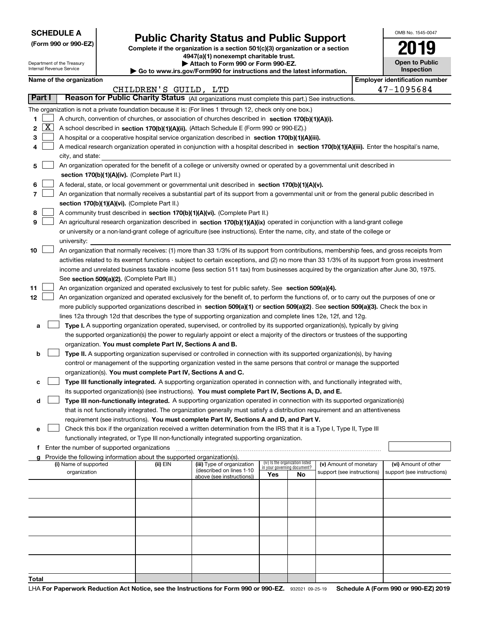|  | <b>SCHEDULE A</b> |
|--|-------------------|
|--|-------------------|

Department of the Treasury Internal Revenue Service

|  |  |  | (Form 990 or 990-EZ) |
|--|--|--|----------------------|
|--|--|--|----------------------|

# **Public Charity Status and Public Support**

**Complete if the organization is a section 501(c)(3) organization or a section 4947(a)(1) nonexempt charitable trust.**

| Attach to Form 990 or Form 990-EZ.                                     |  |
|------------------------------------------------------------------------|--|
| ► Go to www.irs.gov/Form990 for instructions and the latest informatio |  |

| ww.irs.gov/Form990 for instructions and the latest information. |
|-----------------------------------------------------------------|
|-----------------------------------------------------------------|

| OMB No. 1545-0047     |
|-----------------------|
| 2019                  |
| <b>Open to Public</b> |

|  |  | <b>Inspection</b> |  |
|--|--|-------------------|--|
|  |  |                   |  |

## **Name of the organization Employer identification number Employer identification number**

|          |                    |                                                                                                                                                                                                                                                                                  | CHILDREN'S GUILD, LTD                                                                            |                                                       |                                    |                                 |                            |  | 47-1095684                 |  |
|----------|--------------------|----------------------------------------------------------------------------------------------------------------------------------------------------------------------------------------------------------------------------------------------------------------------------------|--------------------------------------------------------------------------------------------------|-------------------------------------------------------|------------------------------------|---------------------------------|----------------------------|--|----------------------------|--|
|          | Part I             | Reason for Public Charity Status (All organizations must complete this part.) See instructions.                                                                                                                                                                                  |                                                                                                  |                                                       |                                    |                                 |                            |  |                            |  |
|          |                    | The organization is not a private foundation because it is: (For lines 1 through 12, check only one box.)                                                                                                                                                                        |                                                                                                  |                                                       |                                    |                                 |                            |  |                            |  |
| 1.       |                    | A church, convention of churches, or association of churches described in section 170(b)(1)(A)(i).                                                                                                                                                                               |                                                                                                  |                                                       |                                    |                                 |                            |  |                            |  |
| 2        | $\boxed{\text{X}}$ | A school described in section 170(b)(1)(A)(ii). (Attach Schedule E (Form 990 or 990-EZ).)                                                                                                                                                                                        |                                                                                                  |                                                       |                                    |                                 |                            |  |                            |  |
| з        |                    | A hospital or a cooperative hospital service organization described in section 170(b)(1)(A)(iii).                                                                                                                                                                                |                                                                                                  |                                                       |                                    |                                 |                            |  |                            |  |
| 4        |                    | A medical research organization operated in conjunction with a hospital described in section 170(b)(1)(A)(iii). Enter the hospital's name,                                                                                                                                       |                                                                                                  |                                                       |                                    |                                 |                            |  |                            |  |
|          |                    | city, and state:                                                                                                                                                                                                                                                                 |                                                                                                  |                                                       |                                    |                                 |                            |  |                            |  |
| 5        |                    | An organization operated for the benefit of a college or university owned or operated by a governmental unit described in                                                                                                                                                        |                                                                                                  |                                                       |                                    |                                 |                            |  |                            |  |
|          |                    | section 170(b)(1)(A)(iv). (Complete Part II.)                                                                                                                                                                                                                                    |                                                                                                  |                                                       |                                    |                                 |                            |  |                            |  |
| 6        |                    |                                                                                                                                                                                                                                                                                  | A federal, state, or local government or governmental unit described in section 170(b)(1)(A)(v). |                                                       |                                    |                                 |                            |  |                            |  |
| 7        |                    | An organization that normally receives a substantial part of its support from a governmental unit or from the general public described in                                                                                                                                        |                                                                                                  |                                                       |                                    |                                 |                            |  |                            |  |
|          |                    | section 170(b)(1)(A)(vi). (Complete Part II.)                                                                                                                                                                                                                                    |                                                                                                  |                                                       |                                    |                                 |                            |  |                            |  |
| 8        |                    | A community trust described in section 170(b)(1)(A)(vi). (Complete Part II.)                                                                                                                                                                                                     |                                                                                                  |                                                       |                                    |                                 |                            |  |                            |  |
| 9        |                    | An agricultural research organization described in section 170(b)(1)(A)(ix) operated in conjunction with a land-grant college                                                                                                                                                    |                                                                                                  |                                                       |                                    |                                 |                            |  |                            |  |
|          |                    | or university or a non-land-grant college of agriculture (see instructions). Enter the name, city, and state of the college or                                                                                                                                                   |                                                                                                  |                                                       |                                    |                                 |                            |  |                            |  |
|          |                    | university:                                                                                                                                                                                                                                                                      |                                                                                                  |                                                       |                                    |                                 |                            |  |                            |  |
| 10       |                    | An organization that normally receives: (1) more than 33 1/3% of its support from contributions, membership fees, and gross receipts from                                                                                                                                        |                                                                                                  |                                                       |                                    |                                 |                            |  |                            |  |
|          |                    | activities related to its exempt functions - subject to certain exceptions, and (2) no more than 33 1/3% of its support from gross investment                                                                                                                                    |                                                                                                  |                                                       |                                    |                                 |                            |  |                            |  |
|          |                    | income and unrelated business taxable income (less section 511 tax) from businesses acquired by the organization after June 30, 1975.                                                                                                                                            |                                                                                                  |                                                       |                                    |                                 |                            |  |                            |  |
|          |                    | See section 509(a)(2). (Complete Part III.)                                                                                                                                                                                                                                      |                                                                                                  |                                                       |                                    |                                 |                            |  |                            |  |
| 11<br>12 |                    | An organization organized and operated exclusively to test for public safety. See section 509(a)(4).                                                                                                                                                                             |                                                                                                  |                                                       |                                    |                                 |                            |  |                            |  |
|          |                    | An organization organized and operated exclusively for the benefit of, to perform the functions of, or to carry out the purposes of one or<br>more publicly supported organizations described in section 509(a)(1) or section 509(a)(2). See section 509(a)(3). Check the box in |                                                                                                  |                                                       |                                    |                                 |                            |  |                            |  |
|          |                    | lines 12a through 12d that describes the type of supporting organization and complete lines 12e, 12f, and 12g.                                                                                                                                                                   |                                                                                                  |                                                       |                                    |                                 |                            |  |                            |  |
| a        |                    | Type I. A supporting organization operated, supervised, or controlled by its supported organization(s), typically by giving                                                                                                                                                      |                                                                                                  |                                                       |                                    |                                 |                            |  |                            |  |
|          |                    | the supported organization(s) the power to regularly appoint or elect a majority of the directors or trustees of the supporting                                                                                                                                                  |                                                                                                  |                                                       |                                    |                                 |                            |  |                            |  |
|          |                    | organization. You must complete Part IV, Sections A and B.                                                                                                                                                                                                                       |                                                                                                  |                                                       |                                    |                                 |                            |  |                            |  |
| b        |                    | Type II. A supporting organization supervised or controlled in connection with its supported organization(s), by having                                                                                                                                                          |                                                                                                  |                                                       |                                    |                                 |                            |  |                            |  |
|          |                    | control or management of the supporting organization vested in the same persons that control or manage the supported                                                                                                                                                             |                                                                                                  |                                                       |                                    |                                 |                            |  |                            |  |
|          |                    | organization(s). You must complete Part IV, Sections A and C.                                                                                                                                                                                                                    |                                                                                                  |                                                       |                                    |                                 |                            |  |                            |  |
| c        |                    | Type III functionally integrated. A supporting organization operated in connection with, and functionally integrated with,                                                                                                                                                       |                                                                                                  |                                                       |                                    |                                 |                            |  |                            |  |
|          |                    | its supported organization(s) (see instructions). You must complete Part IV, Sections A, D, and E.                                                                                                                                                                               |                                                                                                  |                                                       |                                    |                                 |                            |  |                            |  |
| d        |                    | Type III non-functionally integrated. A supporting organization operated in connection with its supported organization(s)                                                                                                                                                        |                                                                                                  |                                                       |                                    |                                 |                            |  |                            |  |
|          |                    | that is not functionally integrated. The organization generally must satisfy a distribution requirement and an attentiveness                                                                                                                                                     |                                                                                                  |                                                       |                                    |                                 |                            |  |                            |  |
|          |                    | requirement (see instructions). You must complete Part IV, Sections A and D, and Part V.                                                                                                                                                                                         |                                                                                                  |                                                       |                                    |                                 |                            |  |                            |  |
| е        |                    | Check this box if the organization received a written determination from the IRS that it is a Type I, Type II, Type III                                                                                                                                                          |                                                                                                  |                                                       |                                    |                                 |                            |  |                            |  |
|          |                    | functionally integrated, or Type III non-functionally integrated supporting organization.                                                                                                                                                                                        |                                                                                                  |                                                       |                                    |                                 |                            |  |                            |  |
|          |                    | Enter the number of supported organizations<br>Provide the following information about the supported organization(s).                                                                                                                                                            |                                                                                                  |                                                       |                                    |                                 |                            |  |                            |  |
| a        |                    | (i) Name of supported                                                                                                                                                                                                                                                            | (ii) EIN                                                                                         | (iii) Type of organization                            |                                    | (iv) Is the organization listed | (v) Amount of monetary     |  | (vi) Amount of other       |  |
|          |                    | organization                                                                                                                                                                                                                                                                     |                                                                                                  | (described on lines 1-10<br>above (see instructions)) | in your governing document?<br>Yes | No                              | support (see instructions) |  | support (see instructions) |  |
|          |                    |                                                                                                                                                                                                                                                                                  |                                                                                                  |                                                       |                                    |                                 |                            |  |                            |  |
|          |                    |                                                                                                                                                                                                                                                                                  |                                                                                                  |                                                       |                                    |                                 |                            |  |                            |  |
|          |                    |                                                                                                                                                                                                                                                                                  |                                                                                                  |                                                       |                                    |                                 |                            |  |                            |  |
|          |                    |                                                                                                                                                                                                                                                                                  |                                                                                                  |                                                       |                                    |                                 |                            |  |                            |  |
|          |                    |                                                                                                                                                                                                                                                                                  |                                                                                                  |                                                       |                                    |                                 |                            |  |                            |  |
|          |                    |                                                                                                                                                                                                                                                                                  |                                                                                                  |                                                       |                                    |                                 |                            |  |                            |  |
|          |                    |                                                                                                                                                                                                                                                                                  |                                                                                                  |                                                       |                                    |                                 |                            |  |                            |  |
|          |                    |                                                                                                                                                                                                                                                                                  |                                                                                                  |                                                       |                                    |                                 |                            |  |                            |  |
|          |                    |                                                                                                                                                                                                                                                                                  |                                                                                                  |                                                       |                                    |                                 |                            |  |                            |  |
| Total    |                    |                                                                                                                                                                                                                                                                                  |                                                                                                  |                                                       |                                    |                                 |                            |  |                            |  |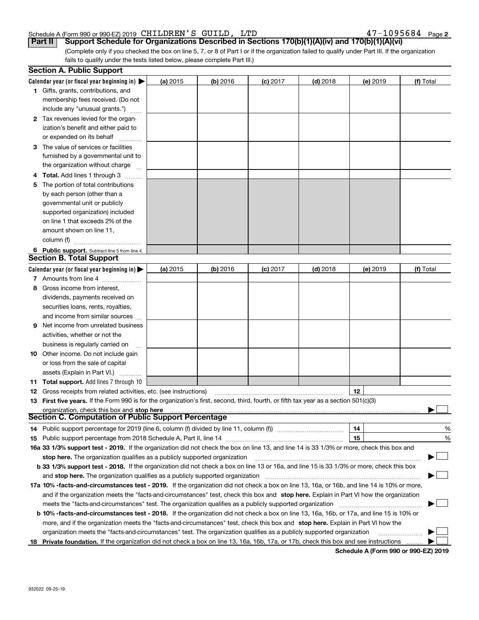#### Schedule A (Form 990 or 990-EZ) 2019 CHILDREN S GUILD, LTD 4 7 - I U 9 5 6 8 4 Page CHILDREN'S GUILD, LTD 47-1095684

**2**

(Complete only if you checked the box on line 5, 7, or 8 of Part I or if the organization failed to qualify under Part III. If the organization fails to qualify under the tests listed below, please complete Part III.) **Part II Support Schedule for Organizations Described in Sections 170(b)(1)(A)(iv) and 170(b)(1)(A)(vi)**

|    | <b>Section A. Public Support</b>                                                                                                           |          |            |            |            |          |           |  |
|----|--------------------------------------------------------------------------------------------------------------------------------------------|----------|------------|------------|------------|----------|-----------|--|
|    | Calendar year (or fiscal year beginning in) $\blacktriangleright$                                                                          | (a) 2015 | $(b)$ 2016 | $(c)$ 2017 | $(d)$ 2018 | (e) 2019 | (f) Total |  |
|    | <b>1</b> Gifts, grants, contributions, and                                                                                                 |          |            |            |            |          |           |  |
|    | membership fees received. (Do not                                                                                                          |          |            |            |            |          |           |  |
|    | include any "unusual grants.")                                                                                                             |          |            |            |            |          |           |  |
|    | 2 Tax revenues levied for the organ-                                                                                                       |          |            |            |            |          |           |  |
|    | ization's benefit and either paid to                                                                                                       |          |            |            |            |          |           |  |
|    | or expended on its behalf                                                                                                                  |          |            |            |            |          |           |  |
|    | 3 The value of services or facilities                                                                                                      |          |            |            |            |          |           |  |
|    | furnished by a governmental unit to                                                                                                        |          |            |            |            |          |           |  |
|    | the organization without charge                                                                                                            |          |            |            |            |          |           |  |
|    | 4 Total. Add lines 1 through 3                                                                                                             |          |            |            |            |          |           |  |
| 5. | The portion of total contributions                                                                                                         |          |            |            |            |          |           |  |
|    | by each person (other than a                                                                                                               |          |            |            |            |          |           |  |
|    | governmental unit or publicly                                                                                                              |          |            |            |            |          |           |  |
|    | supported organization) included                                                                                                           |          |            |            |            |          |           |  |
|    | on line 1 that exceeds 2% of the                                                                                                           |          |            |            |            |          |           |  |
|    | amount shown on line 11,                                                                                                                   |          |            |            |            |          |           |  |
|    | column (f)                                                                                                                                 |          |            |            |            |          |           |  |
|    | 6 Public support. Subtract line 5 from line 4.                                                                                             |          |            |            |            |          |           |  |
|    | <b>Section B. Total Support</b>                                                                                                            |          |            |            |            |          |           |  |
|    | Calendar year (or fiscal year beginning in) $\blacktriangleright$                                                                          | (a) 2015 | $(b)$ 2016 | $(c)$ 2017 | $(d)$ 2018 | (e) 2019 | (f) Total |  |
|    | 7 Amounts from line 4                                                                                                                      |          |            |            |            |          |           |  |
|    | 8 Gross income from interest,                                                                                                              |          |            |            |            |          |           |  |
|    | dividends, payments received on                                                                                                            |          |            |            |            |          |           |  |
|    | securities loans, rents, royalties,                                                                                                        |          |            |            |            |          |           |  |
|    | and income from similar sources                                                                                                            |          |            |            |            |          |           |  |
|    | <b>9</b> Net income from unrelated business                                                                                                |          |            |            |            |          |           |  |
|    | activities, whether or not the                                                                                                             |          |            |            |            |          |           |  |
|    | business is regularly carried on                                                                                                           |          |            |            |            |          |           |  |
|    | <b>10</b> Other income. Do not include gain                                                                                                |          |            |            |            |          |           |  |
|    | or loss from the sale of capital                                                                                                           |          |            |            |            |          |           |  |
|    | assets (Explain in Part VI.)                                                                                                               |          |            |            |            |          |           |  |
|    | <b>11 Total support.</b> Add lines 7 through 10                                                                                            |          |            |            |            |          |           |  |
|    | <b>12</b> Gross receipts from related activities, etc. (see instructions)                                                                  |          |            |            |            | 12       |           |  |
|    | 13 First five years. If the Form 990 is for the organization's first, second, third, fourth, or fifth tax year as a section 501(c)(3)      |          |            |            |            |          |           |  |
|    | organization, check this box and stop here                                                                                                 |          |            |            |            |          |           |  |
|    | Section C. Computation of Public Support Percentage                                                                                        |          |            |            |            |          |           |  |
|    | 14 Public support percentage for 2019 (line 6, column (f) divided by line 11, column (f) <i>mummention</i>                                 |          |            |            |            | 14       | %         |  |
|    |                                                                                                                                            |          |            |            |            | 15       | %         |  |
|    | 16a 33 1/3% support test - 2019. If the organization did not check the box on line 13, and line 14 is 33 1/3% or more, check this box and  |          |            |            |            |          |           |  |
|    | stop here. The organization qualifies as a publicly supported organization                                                                 |          |            |            |            |          |           |  |
|    | b 33 1/3% support test - 2018. If the organization did not check a box on line 13 or 16a, and line 15 is 33 1/3% or more, check this box   |          |            |            |            |          |           |  |
|    | and stop here. The organization qualifies as a publicly supported organization                                                             |          |            |            |            |          |           |  |
|    | 17a 10% -facts-and-circumstances test - 2019. If the organization did not check a box on line 13, 16a, or 16b, and line 14 is 10% or more, |          |            |            |            |          |           |  |
|    | and if the organization meets the "facts-and-circumstances" test, check this box and stop here. Explain in Part VI how the organization    |          |            |            |            |          |           |  |
|    | meets the "facts-and-circumstances" test. The organization qualifies as a publicly supported organization <i>marroummummum</i>             |          |            |            |            |          |           |  |
|    | b 10% -facts-and-circumstances test - 2018. If the organization did not check a box on line 13, 16a, 16b, or 17a, and line 15 is 10% or    |          |            |            |            |          |           |  |
|    | more, and if the organization meets the "facts-and-circumstances" test, check this box and stop here. Explain in Part VI how the           |          |            |            |            |          |           |  |
|    | organization meets the "facts-and-circumstances" test. The organization qualifies as a publicly supported organization                     |          |            |            |            |          |           |  |
|    |                                                                                                                                            |          |            |            |            |          |           |  |
|    | 18 Private foundation. If the organization did not check a box on line 13, 16a, 16b, 17a, or 17b, check this box and see instructions      |          |            |            |            |          |           |  |

**Schedule A (Form 990 or 990-EZ) 2019**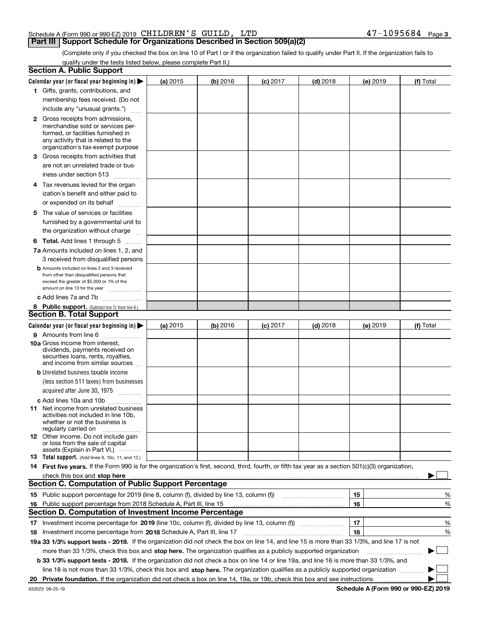### Schedule A (Form 990 or 990-EZ) 2019 Page CHILDREN'S GUILD, LTD 47-1095684

## **Part III Support Schedule for Organizations Described in Section 509(a)(2)**

**3**

(Complete only if you checked the box on line 10 of Part I or if the organization failed to qualify under Part II. If the organization fails to qualify under the tests listed below, please complete Part II.)

|     | <b>Section A. Public Support</b>                                                                                                                                                                                        |            |          |            |            |          |           |
|-----|-------------------------------------------------------------------------------------------------------------------------------------------------------------------------------------------------------------------------|------------|----------|------------|------------|----------|-----------|
|     | Calendar year (or fiscal year beginning in) $\blacktriangleright$                                                                                                                                                       | (a) 2015   | (b) 2016 | $(c)$ 2017 | $(d)$ 2018 | (e) 2019 | (f) Total |
|     | 1 Gifts, grants, contributions, and                                                                                                                                                                                     |            |          |            |            |          |           |
|     | membership fees received. (Do not                                                                                                                                                                                       |            |          |            |            |          |           |
|     | include any "unusual grants.")                                                                                                                                                                                          |            |          |            |            |          |           |
|     | <b>2</b> Gross receipts from admissions,                                                                                                                                                                                |            |          |            |            |          |           |
|     | merchandise sold or services per-                                                                                                                                                                                       |            |          |            |            |          |           |
|     | formed, or facilities furnished in                                                                                                                                                                                      |            |          |            |            |          |           |
|     | any activity that is related to the<br>organization's tax-exempt purpose                                                                                                                                                |            |          |            |            |          |           |
|     | 3 Gross receipts from activities that                                                                                                                                                                                   |            |          |            |            |          |           |
|     | are not an unrelated trade or bus-                                                                                                                                                                                      |            |          |            |            |          |           |
|     | iness under section 513                                                                                                                                                                                                 |            |          |            |            |          |           |
|     |                                                                                                                                                                                                                         |            |          |            |            |          |           |
|     | 4 Tax revenues levied for the organ-                                                                                                                                                                                    |            |          |            |            |          |           |
|     | ization's benefit and either paid to                                                                                                                                                                                    |            |          |            |            |          |           |
|     | or expended on its behalf<br>.                                                                                                                                                                                          |            |          |            |            |          |           |
|     | 5 The value of services or facilities                                                                                                                                                                                   |            |          |            |            |          |           |
|     | furnished by a governmental unit to                                                                                                                                                                                     |            |          |            |            |          |           |
|     | the organization without charge                                                                                                                                                                                         |            |          |            |            |          |           |
|     | <b>6 Total.</b> Add lines 1 through 5                                                                                                                                                                                   |            |          |            |            |          |           |
|     | 7a Amounts included on lines 1, 2, and                                                                                                                                                                                  |            |          |            |            |          |           |
|     | 3 received from disqualified persons                                                                                                                                                                                    |            |          |            |            |          |           |
|     | <b>b</b> Amounts included on lines 2 and 3 received<br>from other than disqualified persons that                                                                                                                        |            |          |            |            |          |           |
|     | exceed the greater of \$5,000 or 1% of the                                                                                                                                                                              |            |          |            |            |          |           |
|     | amount on line 13 for the year                                                                                                                                                                                          |            |          |            |            |          |           |
|     | c Add lines 7a and 7b                                                                                                                                                                                                   |            |          |            |            |          |           |
|     | 8 Public support. (Subtract line 7c from line 6.)                                                                                                                                                                       |            |          |            |            |          |           |
|     | <b>Section B. Total Support</b>                                                                                                                                                                                         |            |          |            |            |          |           |
|     | Calendar year (or fiscal year beginning in) $\blacktriangleright$                                                                                                                                                       | (a) $2015$ | (b) 2016 | $(c)$ 2017 | $(d)$ 2018 | (e) 2019 | (f) Total |
|     | 9 Amounts from line 6                                                                                                                                                                                                   |            |          |            |            |          |           |
|     | <b>10a</b> Gross income from interest,                                                                                                                                                                                  |            |          |            |            |          |           |
|     | dividends, payments received on<br>securities loans, rents, royalties,                                                                                                                                                  |            |          |            |            |          |           |
|     | and income from similar sources                                                                                                                                                                                         |            |          |            |            |          |           |
|     | <b>b</b> Unrelated business taxable income                                                                                                                                                                              |            |          |            |            |          |           |
|     | (less section 511 taxes) from businesses                                                                                                                                                                                |            |          |            |            |          |           |
|     | acquired after June 30, 1975                                                                                                                                                                                            |            |          |            |            |          |           |
|     | c Add lines 10a and 10b                                                                                                                                                                                                 |            |          |            |            |          |           |
|     | 11 Net income from unrelated business                                                                                                                                                                                   |            |          |            |            |          |           |
|     | activities not included in line 10b,                                                                                                                                                                                    |            |          |            |            |          |           |
|     | whether or not the business is<br>regularly carried on                                                                                                                                                                  |            |          |            |            |          |           |
|     | <b>12</b> Other income. Do not include gain                                                                                                                                                                             |            |          |            |            |          |           |
|     | or loss from the sale of capital                                                                                                                                                                                        |            |          |            |            |          |           |
|     | assets (Explain in Part VI.)<br>13 Total support. (Add lines 9, 10c, 11, and 12.)                                                                                                                                       |            |          |            |            |          |           |
|     | 14 First five years. If the Form 990 is for the organization's first, second, third, fourth, or fifth tax year as a section 501(c)(3) organization,                                                                     |            |          |            |            |          |           |
|     |                                                                                                                                                                                                                         |            |          |            |            |          |           |
|     | check this box and stop here <b>with the contract of the contract of the state of the state of state and stop here</b><br><b>Section C. Computation of Public Support Percentage</b>                                    |            |          |            |            |          |           |
|     | 15 Public support percentage for 2019 (line 8, column (f), divided by line 13, column (f))                                                                                                                              |            |          |            |            | 15       | %         |
| 16. | Public support percentage from 2018 Schedule A, Part III, line 15                                                                                                                                                       |            |          |            |            | 16       | %         |
|     | <b>Section D. Computation of Investment Income Percentage</b>                                                                                                                                                           |            |          |            |            |          |           |
|     | 17 Investment income percentage for 2019 (line 10c, column (f), divided by line 13, column (f))                                                                                                                         |            |          |            |            | 17       | %         |
|     |                                                                                                                                                                                                                         |            |          |            |            | 18       | %         |
|     | 18 Investment income percentage from 2018 Schedule A, Part III, line 17<br>19a 33 1/3% support tests - 2019. If the organization did not check the box on line 14, and line 15 is more than 33 1/3%, and line 17 is not |            |          |            |            |          |           |
|     |                                                                                                                                                                                                                         |            |          |            |            |          | $\sim$    |
|     | more than 33 1/3%, check this box and stop here. The organization qualifies as a publicly supported organization                                                                                                        |            |          |            |            |          | ▶         |
|     | b 33 1/3% support tests - 2018. If the organization did not check a box on line 14 or line 19a, and line 16 is more than 33 1/3%, and                                                                                   |            |          |            |            |          |           |
|     | line 18 is not more than 33 1/3%, check this box and stop here. The organization qualifies as a publicly supported organization                                                                                         |            |          |            |            |          |           |
| 20  |                                                                                                                                                                                                                         |            |          |            |            |          |           |

**Schedule A (Form 990 or 990-EZ) 2019**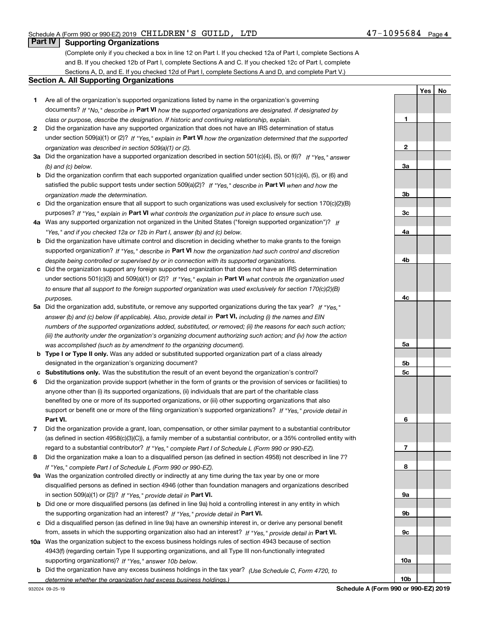**1**

**2**

**3a**

**3b**

**3c**

**4a**

**4b**

**YesNo**

# **Part IV Supporting Organizations**

(Complete only if you checked a box in line 12 on Part I. If you checked 12a of Part I, complete Sections A and B. If you checked 12b of Part I, complete Sections A and C. If you checked 12c of Part I, complete Sections A, D, and E. If you checked 12d of Part I, complete Sections A and D, and complete Part V.)

#### **Section A. All Supporting Organizations**

- **1** Are all of the organization's supported organizations listed by name in the organization's governing documents? If "No," describe in **Part VI** how the supported organizations are designated. If designated by *class or purpose, describe the designation. If historic and continuing relationship, explain.*
- **2** Did the organization have any supported organization that does not have an IRS determination of status under section 509(a)(1) or (2)? If "Yes," explain in Part VI how the organization determined that the supported *organization was described in section 509(a)(1) or (2).*
- **3a** Did the organization have a supported organization described in section 501(c)(4), (5), or (6)? If "Yes," answer *(b) and (c) below.*
- **b** Did the organization confirm that each supported organization qualified under section 501(c)(4), (5), or (6) and satisfied the public support tests under section 509(a)(2)? If "Yes," describe in **Part VI** when and how the *organization made the determination.*
- **c**Did the organization ensure that all support to such organizations was used exclusively for section 170(c)(2)(B) purposes? If "Yes," explain in **Part VI** what controls the organization put in place to ensure such use.
- **4a***If* Was any supported organization not organized in the United States ("foreign supported organization")? *"Yes," and if you checked 12a or 12b in Part I, answer (b) and (c) below.*
- **b** Did the organization have ultimate control and discretion in deciding whether to make grants to the foreign supported organization? If "Yes," describe in **Part VI** how the organization had such control and discretion *despite being controlled or supervised by or in connection with its supported organizations.*
- **c** Did the organization support any foreign supported organization that does not have an IRS determination under sections 501(c)(3) and 509(a)(1) or (2)? If "Yes," explain in **Part VI** what controls the organization used *to ensure that all support to the foreign supported organization was used exclusively for section 170(c)(2)(B) purposes.*
- **5a***If "Yes,"* Did the organization add, substitute, or remove any supported organizations during the tax year? answer (b) and (c) below (if applicable). Also, provide detail in **Part VI,** including (i) the names and EIN *numbers of the supported organizations added, substituted, or removed; (ii) the reasons for each such action; (iii) the authority under the organization's organizing document authorizing such action; and (iv) how the action was accomplished (such as by amendment to the organizing document).*
- **b** Type I or Type II only. Was any added or substituted supported organization part of a class already designated in the organization's organizing document?
- **cSubstitutions only.**  Was the substitution the result of an event beyond the organization's control?
- **6** Did the organization provide support (whether in the form of grants or the provision of services or facilities) to **Part VI.** *If "Yes," provide detail in* support or benefit one or more of the filing organization's supported organizations? anyone other than (i) its supported organizations, (ii) individuals that are part of the charitable class benefited by one or more of its supported organizations, or (iii) other supporting organizations that also
- **7**Did the organization provide a grant, loan, compensation, or other similar payment to a substantial contributor *If "Yes," complete Part I of Schedule L (Form 990 or 990-EZ).* regard to a substantial contributor? (as defined in section 4958(c)(3)(C)), a family member of a substantial contributor, or a 35% controlled entity with
- **8** Did the organization make a loan to a disqualified person (as defined in section 4958) not described in line 7? *If "Yes," complete Part I of Schedule L (Form 990 or 990-EZ).*
- **9a** Was the organization controlled directly or indirectly at any time during the tax year by one or more in section 509(a)(1) or (2))? If "Yes," *provide detail in* <code>Part VI.</code> disqualified persons as defined in section 4946 (other than foundation managers and organizations described
- **b** Did one or more disqualified persons (as defined in line 9a) hold a controlling interest in any entity in which the supporting organization had an interest? If "Yes," provide detail in P**art VI**.
- **c**Did a disqualified person (as defined in line 9a) have an ownership interest in, or derive any personal benefit from, assets in which the supporting organization also had an interest? If "Yes," provide detail in P**art VI.**
- **10a** Was the organization subject to the excess business holdings rules of section 4943 because of section supporting organizations)? If "Yes," answer 10b below. 4943(f) (regarding certain Type II supporting organizations, and all Type III non-functionally integrated
- **b** Did the organization have any excess business holdings in the tax year? (Use Schedule C, Form 4720, to *determine whether the organization had excess business holdings.)*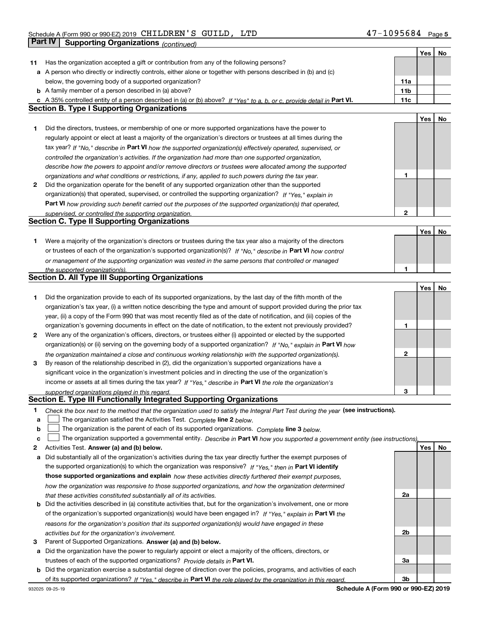T

|    |                                                                                                                                                                                                               |                 | Yes | <b>No</b> |
|----|---------------------------------------------------------------------------------------------------------------------------------------------------------------------------------------------------------------|-----------------|-----|-----------|
| 11 | Has the organization accepted a gift or contribution from any of the following persons?                                                                                                                       |                 |     |           |
|    | a A person who directly or indirectly controls, either alone or together with persons described in (b) and (c)                                                                                                |                 |     |           |
|    | below, the governing body of a supported organization?                                                                                                                                                        | 11a             |     |           |
|    | <b>b</b> A family member of a person described in (a) above?                                                                                                                                                  | 11 <sub>b</sub> |     |           |
|    | c A 35% controlled entity of a person described in (a) or (b) above? If "Yes" to a, b, or c, provide detail in Part VI.                                                                                       | 11c             |     |           |
|    | <b>Section B. Type I Supporting Organizations</b>                                                                                                                                                             |                 |     |           |
|    |                                                                                                                                                                                                               |                 | Yes | No        |
| 1  | Did the directors, trustees, or membership of one or more supported organizations have the power to                                                                                                           |                 |     |           |
|    | regularly appoint or elect at least a majority of the organization's directors or trustees at all times during the                                                                                            |                 |     |           |
|    | tax year? If "No," describe in Part VI how the supported organization(s) effectively operated, supervised, or                                                                                                 |                 |     |           |
|    | controlled the organization's activities. If the organization had more than one supported organization,                                                                                                       |                 |     |           |
|    |                                                                                                                                                                                                               |                 |     |           |
|    | describe how the powers to appoint and/or remove directors or trustees were allocated among the supported                                                                                                     | 1               |     |           |
| 2  | organizations and what conditions or restrictions, if any, applied to such powers during the tax year.<br>Did the organization operate for the benefit of any supported organization other than the supported |                 |     |           |
|    |                                                                                                                                                                                                               |                 |     |           |
|    | organization(s) that operated, supervised, or controlled the supporting organization? If "Yes," explain in                                                                                                    |                 |     |           |
|    | Part VI how providing such benefit carried out the purposes of the supported organization(s) that operated,                                                                                                   |                 |     |           |
|    | supervised, or controlled the supporting organization.                                                                                                                                                        | $\mathbf{2}$    |     |           |
|    | <b>Section C. Type II Supporting Organizations</b>                                                                                                                                                            |                 |     |           |
|    |                                                                                                                                                                                                               |                 | Yes | No        |
| 1  | Were a majority of the organization's directors or trustees during the tax year also a majority of the directors                                                                                              |                 |     |           |
|    | or trustees of each of the organization's supported organization(s)? If "No," describe in Part VI how control                                                                                                 |                 |     |           |
|    | or management of the supporting organization was vested in the same persons that controlled or managed                                                                                                        |                 |     |           |
|    | the supported organization(s).                                                                                                                                                                                | 1               |     |           |
|    | Section D. All Type III Supporting Organizations                                                                                                                                                              |                 |     |           |
|    |                                                                                                                                                                                                               |                 | Yes | No        |
| 1  | Did the organization provide to each of its supported organizations, by the last day of the fifth month of the                                                                                                |                 |     |           |
|    | organization's tax year, (i) a written notice describing the type and amount of support provided during the prior tax                                                                                         |                 |     |           |
|    | year, (ii) a copy of the Form 990 that was most recently filed as of the date of notification, and (iii) copies of the                                                                                        |                 |     |           |
|    | organization's governing documents in effect on the date of notification, to the extent not previously provided?                                                                                              | 1               |     |           |
| 2  | Were any of the organization's officers, directors, or trustees either (i) appointed or elected by the supported                                                                                              |                 |     |           |
|    | organization(s) or (ii) serving on the governing body of a supported organization? If "No," explain in Part VI how                                                                                            |                 |     |           |
|    | the organization maintained a close and continuous working relationship with the supported organization(s).                                                                                                   | $\mathbf{2}$    |     |           |
| 3  | By reason of the relationship described in (2), did the organization's supported organizations have a                                                                                                         |                 |     |           |
|    | significant voice in the organization's investment policies and in directing the use of the organization's                                                                                                    |                 |     |           |
|    | income or assets at all times during the tax year? If "Yes," describe in Part VI the role the organization's                                                                                                  |                 |     |           |
|    | supported organizations played in this regard.                                                                                                                                                                | 3               |     |           |
|    | Section E. Type III Functionally Integrated Supporting Organizations                                                                                                                                          |                 |     |           |
| 1  | Check the box next to the method that the organization used to satisfy the Integral Part Test during the year (see instructions).                                                                             |                 |     |           |
| a  | The organization satisfied the Activities Test. Complete line 2 below.                                                                                                                                        |                 |     |           |
| b  | The organization is the parent of each of its supported organizations. Complete line 3 below.                                                                                                                 |                 |     |           |
| c  | The organization supported a governmental entity. Describe in Part VI how you supported a government entity (see instructions),                                                                               |                 |     |           |
| 2  | Activities Test. Answer (a) and (b) below.                                                                                                                                                                    |                 | Yes | No        |
| а  | Did substantially all of the organization's activities during the tax year directly further the exempt purposes of                                                                                            |                 |     |           |
|    | the supported organization(s) to which the organization was responsive? If "Yes," then in Part VI identify                                                                                                    |                 |     |           |
|    |                                                                                                                                                                                                               |                 |     |           |
|    | those supported organizations and explain how these activities directly furthered their exempt purposes,                                                                                                      |                 |     |           |
|    | how the organization was responsive to those supported organizations, and how the organization determined                                                                                                     |                 |     |           |
|    | that these activities constituted substantially all of its activities.                                                                                                                                        | 2a              |     |           |
|    | <b>b</b> Did the activities described in (a) constitute activities that, but for the organization's involvement, one or more                                                                                  |                 |     |           |
|    | of the organization's supported organization(s) would have been engaged in? If "Yes," explain in Part VI the                                                                                                  |                 |     |           |
|    | reasons for the organization's position that its supported organization(s) would have engaged in these                                                                                                        |                 |     |           |
|    | activities but for the organization's involvement.                                                                                                                                                            | 2b              |     |           |
| з  | Parent of Supported Organizations. Answer (a) and (b) below.                                                                                                                                                  |                 |     |           |
| а  | Did the organization have the power to regularly appoint or elect a majority of the officers, directors, or                                                                                                   |                 |     |           |
|    | trustees of each of the supported organizations? Provide details in Part VI.                                                                                                                                  | За              |     |           |
|    | <b>b</b> Did the organization exercise a substantial degree of direction over the policies, programs, and activities of each                                                                                  |                 |     |           |
|    | of its supported organizations? If "Yes." describe in Part VI the role played by the organization in this regard.                                                                                             | 3b              |     |           |

**Schedule A (Form 990 or 990-EZ) 2019**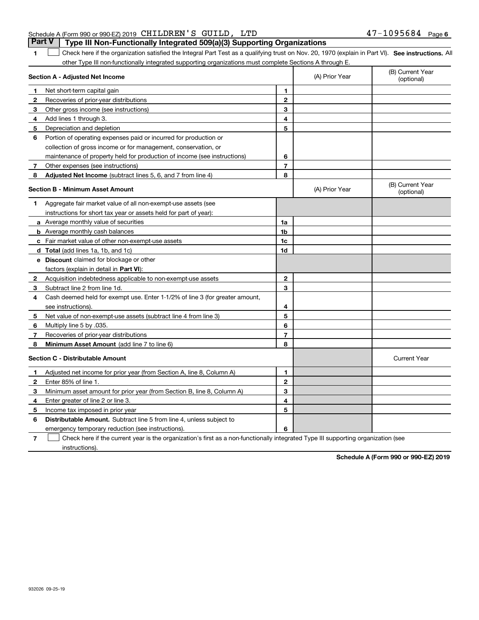#### Schedule A (Form 990 or 990-EZ) 2019 Page CHILDREN'S GUILD, LTD 47-1095684**Part V Type III Non-Functionally Integrated 509(a)(3) Supporting Organizations**

**1**

**SEP 10. See instructions.** All antegral Part Test as a qualifying trust on Nov. 20, 1970 (explain in Part VI). See instructions. All other Type III non-functionally integrated supporting organizations must complete Sections A through E.  $\overline{\phantom{a}}$ 

| Section A - Adjusted Net Income         |                                                                              |                | (A) Prior Year | (B) Current Year<br>(optional) |
|-----------------------------------------|------------------------------------------------------------------------------|----------------|----------------|--------------------------------|
| 1                                       | Net short-term capital gain                                                  | 1              |                |                                |
| 2                                       | Recoveries of prior-year distributions                                       | $\overline{2}$ |                |                                |
| З                                       | Other gross income (see instructions)                                        | 3              |                |                                |
| Add lines 1 through 3.<br>4             |                                                                              | 4              |                |                                |
| 5                                       | Depreciation and depletion                                                   | 5              |                |                                |
| 6                                       | Portion of operating expenses paid or incurred for production or             |                |                |                                |
|                                         | collection of gross income or for management, conservation, or               |                |                |                                |
|                                         | maintenance of property held for production of income (see instructions)     | 6              |                |                                |
| $\overline{7}$                          | Other expenses (see instructions)                                            | $\overline{7}$ |                |                                |
| 8                                       | Adjusted Net Income (subtract lines 5, 6, and 7 from line 4)                 | 8              |                |                                |
|                                         | <b>Section B - Minimum Asset Amount</b>                                      |                | (A) Prior Year | (B) Current Year<br>(optional) |
| 1                                       | Aggregate fair market value of all non-exempt-use assets (see                |                |                |                                |
|                                         | instructions for short tax year or assets held for part of year):            |                |                |                                |
|                                         | a Average monthly value of securities                                        | 1a             |                |                                |
|                                         | <b>b</b> Average monthly cash balances                                       | 1 <sub>b</sub> |                |                                |
|                                         | c Fair market value of other non-exempt-use assets                           | 1c             |                |                                |
|                                         | <b>d</b> Total (add lines 1a, 1b, and 1c)                                    | 1d             |                |                                |
|                                         | e Discount claimed for blockage or other                                     |                |                |                                |
|                                         | factors (explain in detail in Part VI):                                      |                |                |                                |
| 2                                       | Acquisition indebtedness applicable to non-exempt-use assets                 | $\mathbf{2}$   |                |                                |
| 3                                       | Subtract line 2 from line 1d.                                                | 3              |                |                                |
| 4                                       | Cash deemed held for exempt use. Enter 1-1/2% of line 3 (for greater amount, |                |                |                                |
| see instructions).                      |                                                                              | 4              |                |                                |
| 5                                       | Net value of non-exempt-use assets (subtract line 4 from line 3)             | 5              |                |                                |
| Multiply line 5 by .035.<br>6           |                                                                              | 6              |                |                                |
| 7                                       | Recoveries of prior-year distributions                                       | $\overline{7}$ |                |                                |
| 8                                       | Minimum Asset Amount (add line 7 to line 6)                                  | 8              |                |                                |
| <b>Section C - Distributable Amount</b> |                                                                              |                |                | <b>Current Year</b>            |
| $\mathbf 1$                             | Adjusted net income for prior year (from Section A, line 8, Column A)        | 1              |                |                                |
| Enter 85% of line 1.<br>$\mathbf{2}$    |                                                                              | $\mathbf{2}$   |                |                                |
| 3                                       | Minimum asset amount for prior year (from Section B, line 8, Column A)       | 3              |                |                                |
| 4                                       | Enter greater of line 2 or line 3.                                           | 4              |                |                                |
| 5                                       | Income tax imposed in prior year                                             | 5              |                |                                |
| 6                                       | <b>Distributable Amount.</b> Subtract line 5 from line 4, unless subject to  |                |                |                                |
|                                         | emergency temporary reduction (see instructions).                            | 6              |                |                                |

**7**Check here if the current year is the organization's first as a non-functionally integrated Type III supporting organization (see instructions).

**Schedule A (Form 990 or 990-EZ) 2019**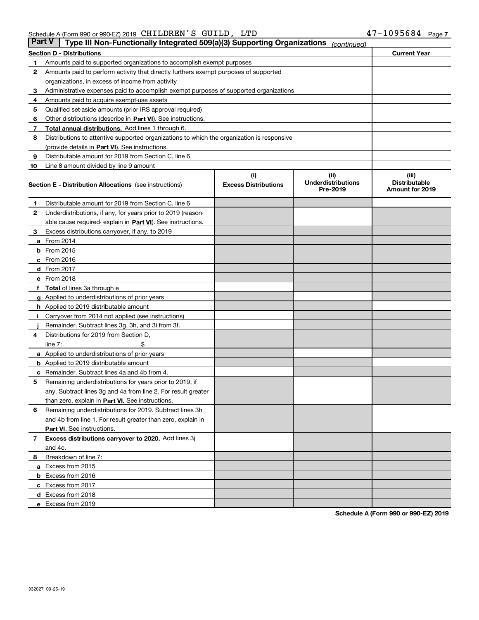#### Schedule A (Form 990 or 990-EZ) 2019 Page CHILDREN'S GUILD, LTD 47-1095684

| Part V | Type III Non-Functionally Integrated 509(a)(3) Supporting Organizations                    |                             | (continued)                           |                                         |
|--------|--------------------------------------------------------------------------------------------|-----------------------------|---------------------------------------|-----------------------------------------|
|        | Section D - Distributions                                                                  |                             |                                       | <b>Current Year</b>                     |
| 1      | Amounts paid to supported organizations to accomplish exempt purposes                      |                             |                                       |                                         |
| 2      | Amounts paid to perform activity that directly furthers exempt purposes of supported       |                             |                                       |                                         |
|        | organizations, in excess of income from activity                                           |                             |                                       |                                         |
| 3      | Administrative expenses paid to accomplish exempt purposes of supported organizations      |                             |                                       |                                         |
| 4      | Amounts paid to acquire exempt-use assets                                                  |                             |                                       |                                         |
| 5      | Qualified set-aside amounts (prior IRS approval required)                                  |                             |                                       |                                         |
| 6      | Other distributions (describe in Part VI). See instructions.                               |                             |                                       |                                         |
| 7      | Total annual distributions. Add lines 1 through 6.                                         |                             |                                       |                                         |
| 8      | Distributions to attentive supported organizations to which the organization is responsive |                             |                                       |                                         |
|        | (provide details in Part VI). See instructions.                                            |                             |                                       |                                         |
| 9      | Distributable amount for 2019 from Section C, line 6                                       |                             |                                       |                                         |
| 10     | Line 8 amount divided by line 9 amount                                                     |                             |                                       |                                         |
|        |                                                                                            | (i)                         | (ii)                                  | (iii)                                   |
|        | Section E - Distribution Allocations (see instructions)                                    | <b>Excess Distributions</b> | <b>Underdistributions</b><br>Pre-2019 | <b>Distributable</b><br>Amount for 2019 |
| 1      | Distributable amount for 2019 from Section C, line 6                                       |                             |                                       |                                         |
| 2      | Underdistributions, if any, for years prior to 2019 (reason-                               |                             |                                       |                                         |
|        | able cause required- explain in Part VI). See instructions.                                |                             |                                       |                                         |
| з      | Excess distributions carryover, if any, to 2019                                            |                             |                                       |                                         |
|        | <b>a</b> From 2014                                                                         |                             |                                       |                                         |
|        | <b>b</b> From $2015$                                                                       |                             |                                       |                                         |
|        | c From 2016                                                                                |                             |                                       |                                         |
|        | <b>d</b> From 2017                                                                         |                             |                                       |                                         |
|        | e From 2018                                                                                |                             |                                       |                                         |
|        | <b>Total</b> of lines 3a through e                                                         |                             |                                       |                                         |
|        | <b>g</b> Applied to underdistributions of prior years                                      |                             |                                       |                                         |
|        | <b>h</b> Applied to 2019 distributable amount                                              |                             |                                       |                                         |
|        | Carryover from 2014 not applied (see instructions)                                         |                             |                                       |                                         |
|        | Remainder. Subtract lines 3g, 3h, and 3i from 3f.                                          |                             |                                       |                                         |
| 4      | Distributions for 2019 from Section D,                                                     |                             |                                       |                                         |
|        | line $7:$                                                                                  |                             |                                       |                                         |
|        | <b>a</b> Applied to underdistributions of prior years                                      |                             |                                       |                                         |
|        | <b>b</b> Applied to 2019 distributable amount                                              |                             |                                       |                                         |
| c      | Remainder. Subtract lines 4a and 4b from 4.                                                |                             |                                       |                                         |
| 5      | Remaining underdistributions for years prior to 2019, if                                   |                             |                                       |                                         |
|        | any. Subtract lines 3g and 4a from line 2. For result greater                              |                             |                                       |                                         |
|        | than zero, explain in Part VI. See instructions.                                           |                             |                                       |                                         |
| 6      | Remaining underdistributions for 2019. Subtract lines 3h                                   |                             |                                       |                                         |
|        | and 4b from line 1. For result greater than zero, explain in                               |                             |                                       |                                         |
|        | <b>Part VI.</b> See instructions.                                                          |                             |                                       |                                         |
|        | Excess distributions carryover to 2020. Add lines 3j                                       |                             |                                       |                                         |
| 7      |                                                                                            |                             |                                       |                                         |
|        | and 4c.                                                                                    |                             |                                       |                                         |
| 8      | Breakdown of line 7:                                                                       |                             |                                       |                                         |
|        | a Excess from 2015                                                                         |                             |                                       |                                         |
|        | <b>b</b> Excess from 2016                                                                  |                             |                                       |                                         |
|        | c Excess from 2017                                                                         |                             |                                       |                                         |
|        | d Excess from 2018                                                                         |                             |                                       |                                         |
|        | e Excess from 2019                                                                         |                             |                                       |                                         |

**Schedule A (Form 990 or 990-EZ) 2019**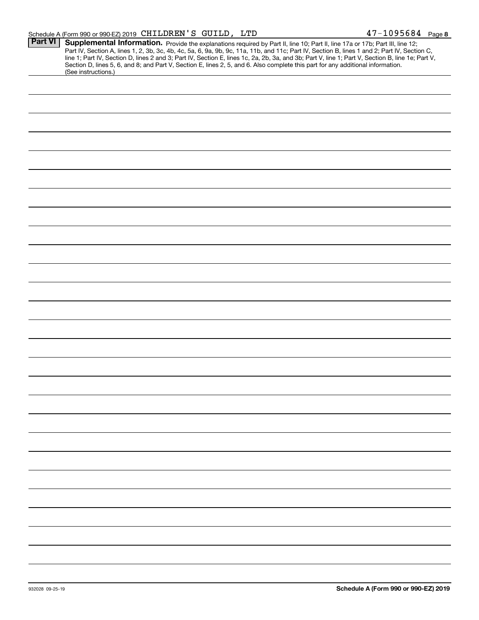#### Schedule A (Form 990 or 990-EZ) 2019 Page CHILDREN'S GUILD, LTD 47-1095684

|                | $\frac{1}{2}$ or $\frac{1}{2}$ or $\frac{1}{2}$ $\frac{1}{2}$ $\frac{1}{2}$ $\frac{1}{2}$ $\frac{1}{2}$ $\frac{1}{2}$ $\frac{1}{2}$ $\frac{1}{2}$ $\frac{1}{2}$ $\frac{1}{2}$ $\frac{1}{2}$ |
|----------------|---------------------------------------------------------------------------------------------------------------------------------------------------------------------------------------------|
| <b>Part VI</b> | Supplemental Information. Provide the explanations required by Part II, line 10; Part II, line 17a or 17b; Part III, line 12;                                                               |
|                |                                                                                                                                                                                             |
|                | Part IV, Section A, lines 1, 2, 3b, 3c, 4b, 4c, 5a, 6, 9a, 9b, 9c, 11a, 11b, and 11c; Part IV, Section B, lines 1 and 2; Part IV, Section C,                                                |
|                | line 1; Part IV, Section D, lines 2 and 3; Part IV, Section E, lines 1c, 2a, 2b, 3a, and 3b; Part V, line 1; Part V, Section B, line 1e; Part V,                                            |
|                |                                                                                                                                                                                             |
|                | Section D, lines 5, 6, and 8; and Part V, Section E, lines 2, 5, and 6. Also complete this part for any additional information.                                                             |
|                | (See instructions.)                                                                                                                                                                         |
|                |                                                                                                                                                                                             |
|                |                                                                                                                                                                                             |
|                |                                                                                                                                                                                             |
|                |                                                                                                                                                                                             |
|                |                                                                                                                                                                                             |
|                |                                                                                                                                                                                             |
|                |                                                                                                                                                                                             |
|                |                                                                                                                                                                                             |
|                |                                                                                                                                                                                             |
|                |                                                                                                                                                                                             |
|                |                                                                                                                                                                                             |
|                |                                                                                                                                                                                             |
|                |                                                                                                                                                                                             |
|                |                                                                                                                                                                                             |
|                |                                                                                                                                                                                             |
|                |                                                                                                                                                                                             |
|                |                                                                                                                                                                                             |
|                |                                                                                                                                                                                             |
|                |                                                                                                                                                                                             |
|                |                                                                                                                                                                                             |
|                |                                                                                                                                                                                             |
|                |                                                                                                                                                                                             |
|                |                                                                                                                                                                                             |
|                |                                                                                                                                                                                             |
|                |                                                                                                                                                                                             |
|                |                                                                                                                                                                                             |
|                |                                                                                                                                                                                             |
|                |                                                                                                                                                                                             |
|                |                                                                                                                                                                                             |
|                |                                                                                                                                                                                             |
|                |                                                                                                                                                                                             |
|                |                                                                                                                                                                                             |
|                |                                                                                                                                                                                             |
|                |                                                                                                                                                                                             |
|                |                                                                                                                                                                                             |
|                |                                                                                                                                                                                             |
|                |                                                                                                                                                                                             |
|                |                                                                                                                                                                                             |
|                |                                                                                                                                                                                             |
|                |                                                                                                                                                                                             |
|                |                                                                                                                                                                                             |
|                |                                                                                                                                                                                             |
|                |                                                                                                                                                                                             |
|                |                                                                                                                                                                                             |
|                |                                                                                                                                                                                             |
|                |                                                                                                                                                                                             |
|                |                                                                                                                                                                                             |
|                |                                                                                                                                                                                             |
|                |                                                                                                                                                                                             |
|                |                                                                                                                                                                                             |
|                |                                                                                                                                                                                             |
|                |                                                                                                                                                                                             |
|                |                                                                                                                                                                                             |
|                |                                                                                                                                                                                             |
|                |                                                                                                                                                                                             |
|                |                                                                                                                                                                                             |
|                |                                                                                                                                                                                             |
|                |                                                                                                                                                                                             |
|                |                                                                                                                                                                                             |
|                |                                                                                                                                                                                             |
|                |                                                                                                                                                                                             |
|                |                                                                                                                                                                                             |
|                |                                                                                                                                                                                             |
|                |                                                                                                                                                                                             |
|                |                                                                                                                                                                                             |
|                |                                                                                                                                                                                             |
|                |                                                                                                                                                                                             |
|                |                                                                                                                                                                                             |
|                |                                                                                                                                                                                             |
|                |                                                                                                                                                                                             |
|                |                                                                                                                                                                                             |
|                |                                                                                                                                                                                             |
|                |                                                                                                                                                                                             |
|                |                                                                                                                                                                                             |
|                |                                                                                                                                                                                             |
|                |                                                                                                                                                                                             |
|                |                                                                                                                                                                                             |
|                |                                                                                                                                                                                             |
|                |                                                                                                                                                                                             |
|                |                                                                                                                                                                                             |
|                |                                                                                                                                                                                             |
|                |                                                                                                                                                                                             |
|                |                                                                                                                                                                                             |
|                |                                                                                                                                                                                             |
|                |                                                                                                                                                                                             |
|                |                                                                                                                                                                                             |
|                |                                                                                                                                                                                             |
|                |                                                                                                                                                                                             |
|                |                                                                                                                                                                                             |
|                |                                                                                                                                                                                             |
|                |                                                                                                                                                                                             |
|                |                                                                                                                                                                                             |
|                |                                                                                                                                                                                             |
|                |                                                                                                                                                                                             |
|                |                                                                                                                                                                                             |
|                |                                                                                                                                                                                             |
|                |                                                                                                                                                                                             |
|                |                                                                                                                                                                                             |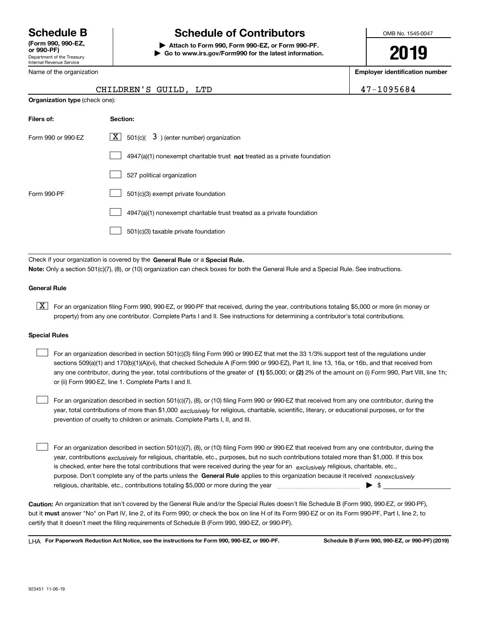Department of the Treasury Internal Revenue Service **(Form 990, 990-EZ, or 990-PF)**

Name of the organization

# **Schedule B Schedule of Contributors**

**| Attach to Form 990, Form 990-EZ, or Form 990-PF. | Go to www.irs.gov/Form990 for the latest information.** OMB No. 1545-0047

**2019**

**Employer identification number**

47-1095684

| CHILDREN'S GUILD. LTI |  |
|-----------------------|--|

| <b>Organization type (check one):</b>                                     |  |  |  |  |
|---------------------------------------------------------------------------|--|--|--|--|
| Section:                                                                  |  |  |  |  |
| $\underline{X}$ 501(c)( 3) (enter number) organization                    |  |  |  |  |
| 4947(a)(1) nonexempt charitable trust not treated as a private foundation |  |  |  |  |
| 527 political organization                                                |  |  |  |  |
| 501(c)(3) exempt private foundation                                       |  |  |  |  |
| 4947(a)(1) nonexempt charitable trust treated as a private foundation     |  |  |  |  |
| 501(c)(3) taxable private foundation                                      |  |  |  |  |
|                                                                           |  |  |  |  |

Check if your organization is covered by the **General Rule** or a **Special Rule. Note:**  Only a section 501(c)(7), (8), or (10) organization can check boxes for both the General Rule and a Special Rule. See instructions.

#### **General Rule**

 $\boxed{\textbf{X}}$  For an organization filing Form 990, 990-EZ, or 990-PF that received, during the year, contributions totaling \$5,000 or more (in money or property) from any one contributor. Complete Parts I and II. See instructions for determining a contributor's total contributions.

#### **Special Rules**

any one contributor, during the year, total contributions of the greater of  $\,$  (1) \$5,000; or **(2)** 2% of the amount on (i) Form 990, Part VIII, line 1h; For an organization described in section 501(c)(3) filing Form 990 or 990-EZ that met the 33 1/3% support test of the regulations under sections 509(a)(1) and 170(b)(1)(A)(vi), that checked Schedule A (Form 990 or 990-EZ), Part II, line 13, 16a, or 16b, and that received from or (ii) Form 990-EZ, line 1. Complete Parts I and II.  $\mathcal{L}^{\text{max}}$ 

year, total contributions of more than \$1,000 *exclusively* for religious, charitable, scientific, literary, or educational purposes, or for the For an organization described in section 501(c)(7), (8), or (10) filing Form 990 or 990-EZ that received from any one contributor, during the prevention of cruelty to children or animals. Complete Parts I, II, and III.  $\mathcal{L}^{\text{max}}$ 

purpose. Don't complete any of the parts unless the **General Rule** applies to this organization because it received *nonexclusively* year, contributions <sub>exclusively</sub> for religious, charitable, etc., purposes, but no such contributions totaled more than \$1,000. If this box is checked, enter here the total contributions that were received during the year for an  $\;$ exclusively religious, charitable, etc., For an organization described in section 501(c)(7), (8), or (10) filing Form 990 or 990-EZ that received from any one contributor, during the religious, charitable, etc., contributions totaling \$5,000 or more during the year  $\Box$ — $\Box$   $\Box$  $\mathcal{L}^{\text{max}}$ 

**Caution:**  An organization that isn't covered by the General Rule and/or the Special Rules doesn't file Schedule B (Form 990, 990-EZ, or 990-PF),  **must** but it answer "No" on Part IV, line 2, of its Form 990; or check the box on line H of its Form 990-EZ or on its Form 990-PF, Part I, line 2, to certify that it doesn't meet the filing requirements of Schedule B (Form 990, 990-EZ, or 990-PF).

**For Paperwork Reduction Act Notice, see the instructions for Form 990, 990-EZ, or 990-PF. Schedule B (Form 990, 990-EZ, or 990-PF) (2019)** LHA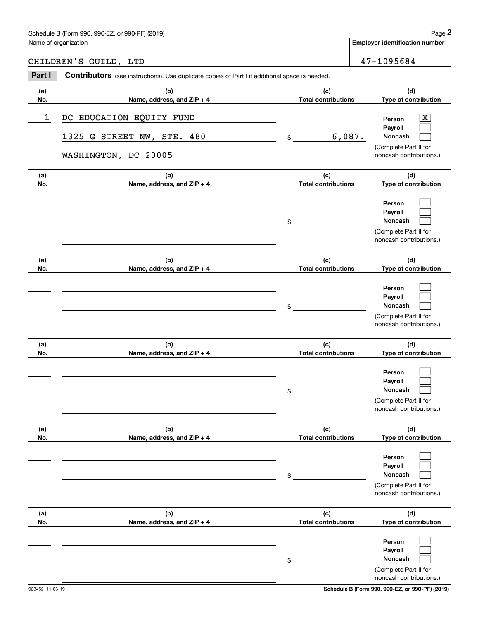# Schedule B (Form 990, 990-EZ, or 990-PF) (2019) Page 2

# CHILDREN'S GUILD, LTD 47-1095684

|            | Schedule B (Form 990, 990-EZ, or 990-PF) (2019)                                                       |                                   | Page 2                                                                                                    |
|------------|-------------------------------------------------------------------------------------------------------|-----------------------------------|-----------------------------------------------------------------------------------------------------------|
|            | Name of organization                                                                                  |                                   | <b>Employer identification number</b>                                                                     |
|            | CHILDREN'S GUILD, LTD                                                                                 |                                   | 47-1095684                                                                                                |
| Part I     | <b>Contributors</b> (see instructions). Use duplicate copies of Part I if additional space is needed. |                                   |                                                                                                           |
| (a)<br>No. | (b)<br>Name, address, and ZIP + 4                                                                     | (c)<br><b>Total contributions</b> | (d)<br>Type of contribution                                                                               |
| 1          | DC EDUCATION EQUITY FUND<br>1325 G STREET NW, STE. 480<br>WASHINGTON, DC 20005                        | 6,087.<br>\$                      | $\overline{\text{X}}$<br>Person<br>Payroll<br>Noncash<br>(Complete Part II for<br>noncash contributions.) |
| (a)<br>No. | (b)<br>Name, address, and ZIP + 4                                                                     | (c)<br><b>Total contributions</b> | (d)<br>Type of contribution                                                                               |
|            |                                                                                                       | \$                                | Person<br>Payroll<br>Noncash<br>(Complete Part II for<br>noncash contributions.)                          |
| (a)<br>No. | (b)<br>Name, address, and ZIP + 4                                                                     | (c)<br><b>Total contributions</b> | (d)<br>Type of contribution                                                                               |
|            |                                                                                                       | \$                                | Person<br>Payroll<br>Noncash<br>(Complete Part II for<br>noncash contributions.)                          |
| (a)<br>No. | (b)<br>Name, address, and ZIP + 4                                                                     | (c)<br><b>Total contributions</b> | (d)<br>Type of contribution                                                                               |
|            |                                                                                                       | \$                                | Person<br>Payroll<br>Noncash<br>(Complete Part II for<br>noncash contributions.)                          |
| (a)<br>No. | (b)<br>Name, address, and ZIP + 4                                                                     | (c)<br><b>Total contributions</b> | (d)<br>Type of contribution                                                                               |
|            |                                                                                                       | \$                                | Person<br>Payroll<br>Noncash<br>(Complete Part II for<br>noncash contributions.)                          |
| (a)<br>No. | (b)<br>Name, address, and ZIP + 4                                                                     | (c)<br><b>Total contributions</b> | (d)<br>Type of contribution                                                                               |
|            |                                                                                                       | \$                                | Person<br>Payroll<br>Noncash<br>(Complete Part II for<br>noncash contributions.)                          |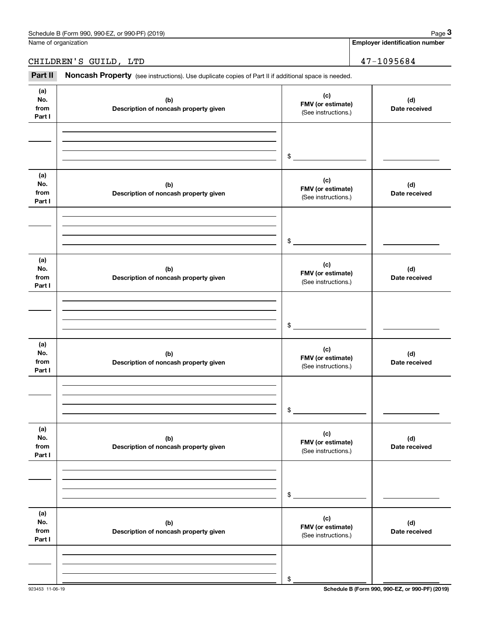**Employer identification number**

# CHILDREN'S GUILD, LTD 47-1095684

Chedule B (Form 990, 990-EZ, or 990-PF) (2019)<br>
lame of organization<br> **2PART II Noncash Property** (see instructions). Use duplicate copies of Part II if additional space is needed.<br> **2Part II Noncash Property** (see ins

| (a)<br>No.<br>from<br>Part I | (b)<br>Description of noncash property given | (c)<br>FMV (or estimate)<br>(See instructions.) | (d)<br>Date received |
|------------------------------|----------------------------------------------|-------------------------------------------------|----------------------|
|                              |                                              | $\frac{1}{2}$                                   |                      |
| (a)<br>No.<br>from<br>Part I | (b)<br>Description of noncash property given | (c)<br>FMV (or estimate)<br>(See instructions.) | (d)<br>Date received |
|                              |                                              | $\frac{1}{2}$                                   |                      |
| (a)<br>No.<br>from<br>Part I | (b)<br>Description of noncash property given | (c)<br>FMV (or estimate)<br>(See instructions.) | (d)<br>Date received |
|                              |                                              | $\frac{1}{2}$                                   |                      |
| (a)<br>No.<br>from<br>Part I | (b)<br>Description of noncash property given | (c)<br>FMV (or estimate)<br>(See instructions.) | (d)<br>Date received |
|                              |                                              | $\sim$                                          |                      |
| (a)<br>No.<br>from<br>Part I | (b)<br>Description of noncash property given | (c)<br>FMV (or estimate)<br>(See instructions.) | (d)<br>Date received |
|                              |                                              | \$                                              |                      |
| (a)<br>No.<br>from<br>Part I | (b)<br>Description of noncash property given | (c)<br>FMV (or estimate)<br>(See instructions.) | (d)<br>Date received |
|                              |                                              | \$                                              |                      |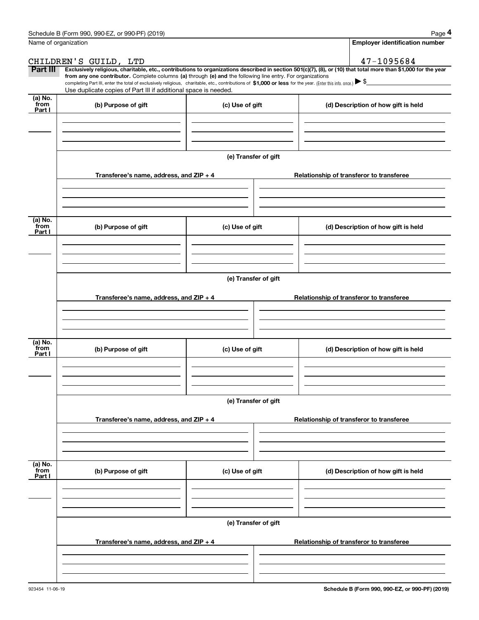|                           | Schedule B (Form 990, 990-EZ, or 990-PF) (2019)                                                                                                                                                                                                                                                 |                      | Page 4                                                                                                                                                         |  |  |  |  |
|---------------------------|-------------------------------------------------------------------------------------------------------------------------------------------------------------------------------------------------------------------------------------------------------------------------------------------------|----------------------|----------------------------------------------------------------------------------------------------------------------------------------------------------------|--|--|--|--|
|                           | Name of organization                                                                                                                                                                                                                                                                            |                      | <b>Employer identification number</b>                                                                                                                          |  |  |  |  |
|                           | CHILDREN'S GUILD, LTD                                                                                                                                                                                                                                                                           |                      | 47-1095684                                                                                                                                                     |  |  |  |  |
| Part III                  | from any one contributor. Complete columns (a) through (e) and the following line entry. For organizations<br>completing Part III, enter the total of exclusively religious, charitable, etc., contributions of \$1,000 or less for the year. (Enter this info. once.) $\blacktriangleright$ \$ |                      | Exclusively religious, charitable, etc., contributions to organizations described in section 501(c)(7), (8), or (10) that total more than \$1,000 for the year |  |  |  |  |
|                           | Use duplicate copies of Part III if additional space is needed.                                                                                                                                                                                                                                 |                      |                                                                                                                                                                |  |  |  |  |
| (a) No.<br>from<br>Part I | (b) Purpose of gift                                                                                                                                                                                                                                                                             | (c) Use of gift      | (d) Description of how gift is held                                                                                                                            |  |  |  |  |
|                           |                                                                                                                                                                                                                                                                                                 |                      |                                                                                                                                                                |  |  |  |  |
|                           |                                                                                                                                                                                                                                                                                                 | (e) Transfer of gift |                                                                                                                                                                |  |  |  |  |
|                           | Transferee's name, address, and ZIP + 4                                                                                                                                                                                                                                                         |                      | Relationship of transferor to transferee                                                                                                                       |  |  |  |  |
| (a) No.                   |                                                                                                                                                                                                                                                                                                 |                      |                                                                                                                                                                |  |  |  |  |
| from<br>Part I            | (b) Purpose of gift                                                                                                                                                                                                                                                                             | (c) Use of gift      | (d) Description of how gift is held                                                                                                                            |  |  |  |  |
|                           |                                                                                                                                                                                                                                                                                                 |                      |                                                                                                                                                                |  |  |  |  |
|                           |                                                                                                                                                                                                                                                                                                 | (e) Transfer of gift |                                                                                                                                                                |  |  |  |  |
|                           | Transferee's name, address, and ZIP + 4                                                                                                                                                                                                                                                         |                      | Relationship of transferor to transferee                                                                                                                       |  |  |  |  |
|                           |                                                                                                                                                                                                                                                                                                 |                      |                                                                                                                                                                |  |  |  |  |
| (a) No.<br>from<br>Part I | (b) Purpose of gift                                                                                                                                                                                                                                                                             | (c) Use of gift      | (d) Description of how gift is held                                                                                                                            |  |  |  |  |
|                           |                                                                                                                                                                                                                                                                                                 |                      |                                                                                                                                                                |  |  |  |  |
|                           |                                                                                                                                                                                                                                                                                                 | (e) Transfer of gift |                                                                                                                                                                |  |  |  |  |
|                           | Transferee's name, address, and $ZIP + 4$                                                                                                                                                                                                                                                       |                      | Relationship of transferor to transferee                                                                                                                       |  |  |  |  |
|                           |                                                                                                                                                                                                                                                                                                 |                      |                                                                                                                                                                |  |  |  |  |
| (a) No.<br>from<br>Part I | (b) Purpose of gift                                                                                                                                                                                                                                                                             | (c) Use of gift      | (d) Description of how gift is held                                                                                                                            |  |  |  |  |
|                           |                                                                                                                                                                                                                                                                                                 |                      |                                                                                                                                                                |  |  |  |  |
|                           | (e) Transfer of gift                                                                                                                                                                                                                                                                            |                      |                                                                                                                                                                |  |  |  |  |
|                           | Transferee's name, address, and $ZIP + 4$                                                                                                                                                                                                                                                       |                      | Relationship of transferor to transferee                                                                                                                       |  |  |  |  |
|                           |                                                                                                                                                                                                                                                                                                 |                      |                                                                                                                                                                |  |  |  |  |
|                           |                                                                                                                                                                                                                                                                                                 |                      |                                                                                                                                                                |  |  |  |  |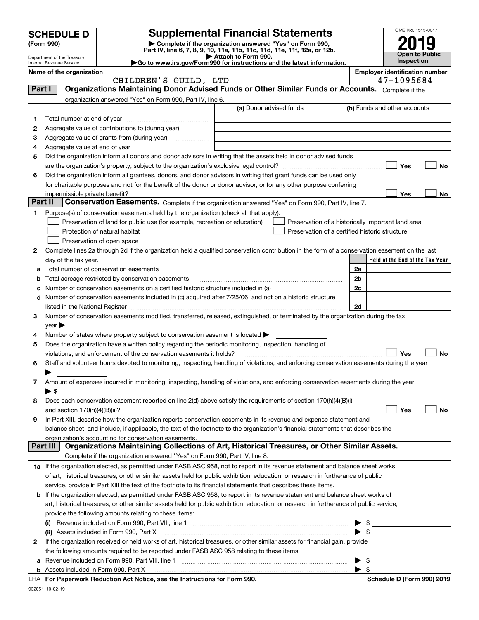|                                                                                                                                                    |                                                               |                                                                                                                                                                                                             |                                                                                                                                                                                                                                                                        |                              | OMB No. 1545-0047                     |           |  |
|----------------------------------------------------------------------------------------------------------------------------------------------------|---------------------------------------------------------------|-------------------------------------------------------------------------------------------------------------------------------------------------------------------------------------------------------------|------------------------------------------------------------------------------------------------------------------------------------------------------------------------------------------------------------------------------------------------------------------------|------------------------------|---------------------------------------|-----------|--|
|                                                                                                                                                    | <b>Supplemental Financial Statements</b><br><b>SCHEDULE D</b> |                                                                                                                                                                                                             |                                                                                                                                                                                                                                                                        |                              |                                       |           |  |
| Complete if the organization answered "Yes" on Form 990,<br>(Form 990)<br>Part IV, line 6, 7, 8, 9, 10, 11a, 11b, 11c, 11d, 11e, 11f, 12a, or 12b. |                                                               |                                                                                                                                                                                                             |                                                                                                                                                                                                                                                                        |                              |                                       |           |  |
|                                                                                                                                                    | Department of the Treasury<br>Internal Revenue Service        |                                                                                                                                                                                                             | Attach to Form 990.<br>Go to www.irs.gov/Form990 for instructions and the latest information.                                                                                                                                                                          |                              | <b>Open to Public</b><br>Inspection   |           |  |
|                                                                                                                                                    | Name of the organization                                      |                                                                                                                                                                                                             |                                                                                                                                                                                                                                                                        |                              | <b>Employer identification number</b> |           |  |
|                                                                                                                                                    |                                                               | CHILDREN'S GUILD, LTD                                                                                                                                                                                       |                                                                                                                                                                                                                                                                        |                              | 47-1095684                            |           |  |
| Part I                                                                                                                                             |                                                               |                                                                                                                                                                                                             | Organizations Maintaining Donor Advised Funds or Other Similar Funds or Accounts. Complete if the                                                                                                                                                                      |                              |                                       |           |  |
|                                                                                                                                                    |                                                               | organization answered "Yes" on Form 990, Part IV, line 6.                                                                                                                                                   |                                                                                                                                                                                                                                                                        |                              |                                       |           |  |
|                                                                                                                                                    |                                                               |                                                                                                                                                                                                             | (a) Donor advised funds                                                                                                                                                                                                                                                | (b) Funds and other accounts |                                       |           |  |
| 1                                                                                                                                                  |                                                               |                                                                                                                                                                                                             |                                                                                                                                                                                                                                                                        |                              |                                       |           |  |
| 2                                                                                                                                                  |                                                               | Aggregate value of contributions to (during year)                                                                                                                                                           |                                                                                                                                                                                                                                                                        |                              |                                       |           |  |
| З                                                                                                                                                  |                                                               |                                                                                                                                                                                                             |                                                                                                                                                                                                                                                                        |                              |                                       |           |  |
| 4                                                                                                                                                  |                                                               |                                                                                                                                                                                                             | Did the organization inform all donors and donor advisors in writing that the assets held in donor advised funds                                                                                                                                                       |                              |                                       |           |  |
| 5                                                                                                                                                  |                                                               |                                                                                                                                                                                                             |                                                                                                                                                                                                                                                                        |                              | Yes                                   | No        |  |
| 6                                                                                                                                                  |                                                               |                                                                                                                                                                                                             | Did the organization inform all grantees, donors, and donor advisors in writing that grant funds can be used only                                                                                                                                                      |                              |                                       |           |  |
|                                                                                                                                                    |                                                               |                                                                                                                                                                                                             | for charitable purposes and not for the benefit of the donor or donor advisor, or for any other purpose conferring                                                                                                                                                     |                              |                                       |           |  |
|                                                                                                                                                    | impermissible private benefit?                                |                                                                                                                                                                                                             |                                                                                                                                                                                                                                                                        |                              | Yes                                   | No        |  |
| Part II                                                                                                                                            |                                                               |                                                                                                                                                                                                             | Conservation Easements. Complete if the organization answered "Yes" on Form 990, Part IV, line 7.                                                                                                                                                                      |                              |                                       |           |  |
| 1                                                                                                                                                  |                                                               | Purpose(s) of conservation easements held by the organization (check all that apply).                                                                                                                       |                                                                                                                                                                                                                                                                        |                              |                                       |           |  |
|                                                                                                                                                    |                                                               | Preservation of land for public use (for example, recreation or education)                                                                                                                                  | Preservation of a historically important land area                                                                                                                                                                                                                     |                              |                                       |           |  |
|                                                                                                                                                    |                                                               | Protection of natural habitat                                                                                                                                                                               | Preservation of a certified historic structure                                                                                                                                                                                                                         |                              |                                       |           |  |
|                                                                                                                                                    |                                                               | Preservation of open space                                                                                                                                                                                  |                                                                                                                                                                                                                                                                        |                              |                                       |           |  |
| 2                                                                                                                                                  |                                                               |                                                                                                                                                                                                             | Complete lines 2a through 2d if the organization held a qualified conservation contribution in the form of a conservation easement on the last                                                                                                                         |                              |                                       |           |  |
|                                                                                                                                                    | day of the tax year.                                          |                                                                                                                                                                                                             |                                                                                                                                                                                                                                                                        |                              | Held at the End of the Tax Year       |           |  |
| а                                                                                                                                                  |                                                               | Total number of conservation easements                                                                                                                                                                      |                                                                                                                                                                                                                                                                        | 2a                           |                                       |           |  |
| b                                                                                                                                                  |                                                               | Total acreage restricted by conservation easements                                                                                                                                                          |                                                                                                                                                                                                                                                                        | 2b                           |                                       |           |  |
| с                                                                                                                                                  |                                                               |                                                                                                                                                                                                             | Number of conservation easements on a certified historic structure included in (a) manufacture of conservation                                                                                                                                                         | 2c                           |                                       |           |  |
| d                                                                                                                                                  |                                                               |                                                                                                                                                                                                             | Number of conservation easements included in (c) acquired after 7/25/06, and not on a historic structure                                                                                                                                                               |                              |                                       |           |  |
|                                                                                                                                                    |                                                               |                                                                                                                                                                                                             |                                                                                                                                                                                                                                                                        | 2d                           |                                       |           |  |
| 3                                                                                                                                                  |                                                               |                                                                                                                                                                                                             | Number of conservation easements modified, transferred, released, extinguished, or terminated by the organization during the tax                                                                                                                                       |                              |                                       |           |  |
|                                                                                                                                                    | $year \blacktriangleright$                                    |                                                                                                                                                                                                             |                                                                                                                                                                                                                                                                        |                              |                                       |           |  |
| 4<br>5                                                                                                                                             |                                                               | Number of states where property subject to conservation easement is located $\blacktriangleright$<br>Does the organization have a written policy regarding the periodic monitoring, inspection, handling of |                                                                                                                                                                                                                                                                        |                              |                                       |           |  |
|                                                                                                                                                    |                                                               | violations, and enforcement of the conservation easements it holds?                                                                                                                                         |                                                                                                                                                                                                                                                                        |                              | Yes                                   | <b>No</b> |  |
| 6                                                                                                                                                  |                                                               |                                                                                                                                                                                                             | Staff and volunteer hours devoted to monitoring, inspecting, handling of violations, and enforcing conservation easements during the year                                                                                                                              |                              |                                       |           |  |
|                                                                                                                                                    |                                                               |                                                                                                                                                                                                             |                                                                                                                                                                                                                                                                        |                              |                                       |           |  |
| 7                                                                                                                                                  |                                                               |                                                                                                                                                                                                             | Amount of expenses incurred in monitoring, inspecting, handling of violations, and enforcing conservation easements during the year                                                                                                                                    |                              |                                       |           |  |
|                                                                                                                                                    | $\blacktriangleright$ \$                                      |                                                                                                                                                                                                             |                                                                                                                                                                                                                                                                        |                              |                                       |           |  |
| 8                                                                                                                                                  |                                                               |                                                                                                                                                                                                             | Does each conservation easement reported on line 2(d) above satisfy the requirements of section 170(h)(4)(B)(i)                                                                                                                                                        |                              |                                       |           |  |
|                                                                                                                                                    |                                                               |                                                                                                                                                                                                             |                                                                                                                                                                                                                                                                        |                              | Yes                                   | No        |  |
| 9                                                                                                                                                  |                                                               |                                                                                                                                                                                                             | In Part XIII, describe how the organization reports conservation easements in its revenue and expense statement and                                                                                                                                                    |                              |                                       |           |  |
|                                                                                                                                                    |                                                               |                                                                                                                                                                                                             | balance sheet, and include, if applicable, the text of the footnote to the organization's financial statements that describes the                                                                                                                                      |                              |                                       |           |  |
|                                                                                                                                                    |                                                               | organization's accounting for conservation easements.                                                                                                                                                       |                                                                                                                                                                                                                                                                        |                              |                                       |           |  |
|                                                                                                                                                    | Part III                                                      |                                                                                                                                                                                                             | Organizations Maintaining Collections of Art, Historical Treasures, or Other Similar Assets.                                                                                                                                                                           |                              |                                       |           |  |
|                                                                                                                                                    |                                                               | Complete if the organization answered "Yes" on Form 990, Part IV, line 8.                                                                                                                                   |                                                                                                                                                                                                                                                                        |                              |                                       |           |  |
|                                                                                                                                                    |                                                               |                                                                                                                                                                                                             | 1a If the organization elected, as permitted under FASB ASC 958, not to report in its revenue statement and balance sheet works                                                                                                                                        |                              |                                       |           |  |
|                                                                                                                                                    |                                                               |                                                                                                                                                                                                             | of art, historical treasures, or other similar assets held for public exhibition, education, or research in furtherance of public                                                                                                                                      |                              |                                       |           |  |
|                                                                                                                                                    |                                                               |                                                                                                                                                                                                             | service, provide in Part XIII the text of the footnote to its financial statements that describes these items.                                                                                                                                                         |                              |                                       |           |  |
| b                                                                                                                                                  |                                                               |                                                                                                                                                                                                             | If the organization elected, as permitted under FASB ASC 958, to report in its revenue statement and balance sheet works of<br>art, historical treasures, or other similar assets held for public exhibition, education, or research in furtherance of public service, |                              |                                       |           |  |
|                                                                                                                                                    |                                                               | provide the following amounts relating to these items:                                                                                                                                                      |                                                                                                                                                                                                                                                                        |                              |                                       |           |  |
|                                                                                                                                                    | (i)                                                           |                                                                                                                                                                                                             |                                                                                                                                                                                                                                                                        |                              |                                       |           |  |
|                                                                                                                                                    |                                                               |                                                                                                                                                                                                             | (ii) Assets included in Form 990, Part X <i>maching and accordination of the sets included</i> in Form 990, Part X                                                                                                                                                     | $\blacktriangleright$ \$     |                                       |           |  |
| 2                                                                                                                                                  |                                                               |                                                                                                                                                                                                             | If the organization received or held works of art, historical treasures, or other similar assets for financial gain, provide                                                                                                                                           |                              |                                       |           |  |
|                                                                                                                                                    |                                                               | the following amounts required to be reported under FASB ASC 958 relating to these items:                                                                                                                   |                                                                                                                                                                                                                                                                        |                              |                                       |           |  |
| а                                                                                                                                                  |                                                               |                                                                                                                                                                                                             |                                                                                                                                                                                                                                                                        | \$                           |                                       |           |  |
| b                                                                                                                                                  |                                                               |                                                                                                                                                                                                             | Assets included in Form 990, Part X [11] Marshall Marson Marshall Marson Marson Marson Marson Marson Marson Ma                                                                                                                                                         | \$                           |                                       |           |  |

|  | LHA For Paperwork Reduction Act Notice, see the Instructions for Form 990 |  |  |  |  |  |  |  |
|--|---------------------------------------------------------------------------|--|--|--|--|--|--|--|
|--|---------------------------------------------------------------------------|--|--|--|--|--|--|--|

932051 10-02-19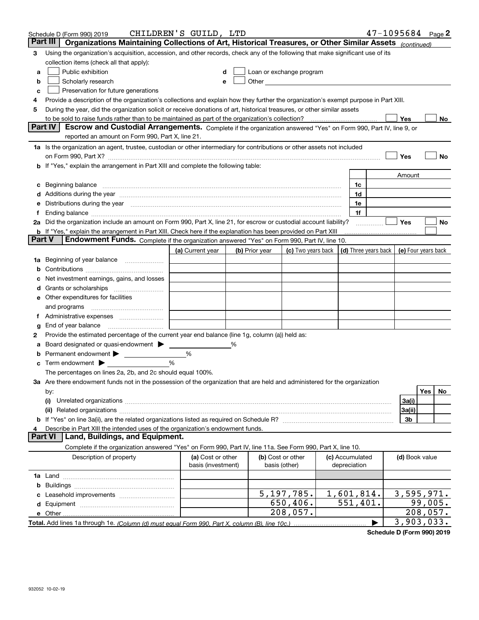|               | Schedule D (Form 990) 2019                                                                                                                                                                                                                                                                                                                                                                                                                                       | CHILDREN'S GUILD, LTD |   |                |                                                   |                 |                | $47 - 1095684$ Page 2                                    |
|---------------|------------------------------------------------------------------------------------------------------------------------------------------------------------------------------------------------------------------------------------------------------------------------------------------------------------------------------------------------------------------------------------------------------------------------------------------------------------------|-----------------------|---|----------------|---------------------------------------------------|-----------------|----------------|----------------------------------------------------------|
|               | Part III<br>Organizations Maintaining Collections of Art, Historical Treasures, or Other Similar Assets (continued)                                                                                                                                                                                                                                                                                                                                              |                       |   |                |                                                   |                 |                |                                                          |
| 3             | Using the organization's acquisition, accession, and other records, check any of the following that make significant use of its                                                                                                                                                                                                                                                                                                                                  |                       |   |                |                                                   |                 |                |                                                          |
|               | collection items (check all that apply):                                                                                                                                                                                                                                                                                                                                                                                                                         |                       |   |                |                                                   |                 |                |                                                          |
| a             | Public exhibition                                                                                                                                                                                                                                                                                                                                                                                                                                                |                       |   |                | Loan or exchange program                          |                 |                |                                                          |
| b             | Scholarly research                                                                                                                                                                                                                                                                                                                                                                                                                                               |                       |   |                | Other <u>with the contract of the contract of</u> |                 |                |                                                          |
| с             | Preservation for future generations                                                                                                                                                                                                                                                                                                                                                                                                                              |                       |   |                |                                                   |                 |                |                                                          |
| 4             | Provide a description of the organization's collections and explain how they further the organization's exempt purpose in Part XIII.                                                                                                                                                                                                                                                                                                                             |                       |   |                |                                                   |                 |                |                                                          |
| 5             | During the year, did the organization solicit or receive donations of art, historical treasures, or other similar assets                                                                                                                                                                                                                                                                                                                                         |                       |   |                |                                                   |                 |                |                                                          |
|               | to be sold to raise funds rather than to be maintained as part of the organization's collection?                                                                                                                                                                                                                                                                                                                                                                 |                       |   |                |                                                   |                 | Yes            | No                                                       |
|               | <b>Part IV</b><br>Escrow and Custodial Arrangements. Complete if the organization answered "Yes" on Form 990, Part IV, line 9, or                                                                                                                                                                                                                                                                                                                                |                       |   |                |                                                   |                 |                |                                                          |
|               | reported an amount on Form 990, Part X, line 21.                                                                                                                                                                                                                                                                                                                                                                                                                 |                       |   |                |                                                   |                 |                |                                                          |
|               | 1a Is the organization an agent, trustee, custodian or other intermediary for contributions or other assets not included                                                                                                                                                                                                                                                                                                                                         |                       |   |                |                                                   |                 |                |                                                          |
|               | on Form 990, Part X? [11] matter continuum matter contract the contract of the contract of the contract of the                                                                                                                                                                                                                                                                                                                                                   |                       |   |                |                                                   |                 | Yes            | No                                                       |
|               | b If "Yes," explain the arrangement in Part XIII and complete the following table:                                                                                                                                                                                                                                                                                                                                                                               |                       |   |                |                                                   |                 |                |                                                          |
|               |                                                                                                                                                                                                                                                                                                                                                                                                                                                                  |                       |   |                |                                                   |                 | Amount         |                                                          |
|               |                                                                                                                                                                                                                                                                                                                                                                                                                                                                  |                       |   |                |                                                   | 1c<br>1d        |                |                                                          |
|               | d Additions during the year manufactured and an account of a distribution of Additions during the year manufactured and account of Additions during the year manufactured and account of the state of Additional Additional Ad<br>e Distributions during the year manufactured and contain an account of the state of the state of the state of the state of the state of the state of the state of the state of the state of the state of the state of the stat |                       |   |                |                                                   | 1e              |                |                                                          |
| t.            |                                                                                                                                                                                                                                                                                                                                                                                                                                                                  |                       |   |                |                                                   | 1f              |                |                                                          |
|               | 2a Did the organization include an amount on Form 990, Part X, line 21, for escrow or custodial account liability?                                                                                                                                                                                                                                                                                                                                               |                       |   |                |                                                   |                 | Yes            | No                                                       |
|               | <b>b</b> If "Yes," explain the arrangement in Part XIII. Check here if the explanation has been provided on Part XIII                                                                                                                                                                                                                                                                                                                                            |                       |   |                |                                                   |                 |                |                                                          |
| <b>Part V</b> | Endowment Funds. Complete if the organization answered "Yes" on Form 990, Part IV, line 10.                                                                                                                                                                                                                                                                                                                                                                      |                       |   |                |                                                   |                 |                |                                                          |
|               |                                                                                                                                                                                                                                                                                                                                                                                                                                                                  | (a) Current year      |   | (b) Prior year | (c) Two years back                                |                 |                | $\vert$ (d) Three years back $\vert$ (e) Four years back |
|               | 1a Beginning of year balance                                                                                                                                                                                                                                                                                                                                                                                                                                     |                       |   |                |                                                   |                 |                |                                                          |
|               |                                                                                                                                                                                                                                                                                                                                                                                                                                                                  |                       |   |                |                                                   |                 |                |                                                          |
|               | Net investment earnings, gains, and losses                                                                                                                                                                                                                                                                                                                                                                                                                       |                       |   |                |                                                   |                 |                |                                                          |
|               |                                                                                                                                                                                                                                                                                                                                                                                                                                                                  |                       |   |                |                                                   |                 |                |                                                          |
|               | e Other expenditures for facilities                                                                                                                                                                                                                                                                                                                                                                                                                              |                       |   |                |                                                   |                 |                |                                                          |
|               | and programs                                                                                                                                                                                                                                                                                                                                                                                                                                                     |                       |   |                |                                                   |                 |                |                                                          |
|               |                                                                                                                                                                                                                                                                                                                                                                                                                                                                  |                       |   |                |                                                   |                 |                |                                                          |
| g             | End of year balance                                                                                                                                                                                                                                                                                                                                                                                                                                              |                       |   |                |                                                   |                 |                |                                                          |
| 2             | Provide the estimated percentage of the current year end balance (line 1g, column (a)) held as:                                                                                                                                                                                                                                                                                                                                                                  |                       |   |                |                                                   |                 |                |                                                          |
|               | Board designated or quasi-endowment                                                                                                                                                                                                                                                                                                                                                                                                                              |                       | % |                |                                                   |                 |                |                                                          |
| b             | Permanent endowment > <u>example</u>                                                                                                                                                                                                                                                                                                                                                                                                                             | %                     |   |                |                                                   |                 |                |                                                          |
|               | <b>c</b> Term endowment $\blacktriangleright$                                                                                                                                                                                                                                                                                                                                                                                                                    | %                     |   |                |                                                   |                 |                |                                                          |
|               | The percentages on lines 2a, 2b, and 2c should equal 100%.                                                                                                                                                                                                                                                                                                                                                                                                       |                       |   |                |                                                   |                 |                |                                                          |
|               | 3a Are there endowment funds not in the possession of the organization that are held and administered for the organization                                                                                                                                                                                                                                                                                                                                       |                       |   |                |                                                   |                 |                |                                                          |
|               | by:                                                                                                                                                                                                                                                                                                                                                                                                                                                              |                       |   |                |                                                   |                 |                | Yes <sub>1</sub><br>No.                                  |
|               | (i)                                                                                                                                                                                                                                                                                                                                                                                                                                                              |                       |   |                |                                                   |                 | 3a(i)          |                                                          |
|               |                                                                                                                                                                                                                                                                                                                                                                                                                                                                  |                       |   |                |                                                   |                 | 3a(ii)         |                                                          |
|               |                                                                                                                                                                                                                                                                                                                                                                                                                                                                  |                       |   |                |                                                   |                 | 3b             |                                                          |
|               | Describe in Part XIII the intended uses of the organization's endowment funds.<br>Land, Buildings, and Equipment.<br><b>Part VI</b>                                                                                                                                                                                                                                                                                                                              |                       |   |                |                                                   |                 |                |                                                          |
|               | Complete if the organization answered "Yes" on Form 990, Part IV, line 11a. See Form 990, Part X, line 10.                                                                                                                                                                                                                                                                                                                                                       |                       |   |                |                                                   |                 |                |                                                          |
|               | Description of property                                                                                                                                                                                                                                                                                                                                                                                                                                          | (a) Cost or other     |   |                | (b) Cost or other                                 | (c) Accumulated | (d) Book value |                                                          |
|               |                                                                                                                                                                                                                                                                                                                                                                                                                                                                  | basis (investment)    |   | basis (other)  |                                                   | depreciation    |                |                                                          |
|               |                                                                                                                                                                                                                                                                                                                                                                                                                                                                  |                       |   |                |                                                   |                 |                |                                                          |
|               |                                                                                                                                                                                                                                                                                                                                                                                                                                                                  |                       |   |                |                                                   |                 |                |                                                          |
|               |                                                                                                                                                                                                                                                                                                                                                                                                                                                                  |                       |   |                | 5, 197, 785.                                      | 1,601,814.      |                | 3,595,971.                                               |
|               |                                                                                                                                                                                                                                                                                                                                                                                                                                                                  |                       |   |                | 650,406.                                          | 551,401.        |                | 99,005.                                                  |
|               |                                                                                                                                                                                                                                                                                                                                                                                                                                                                  |                       |   |                | 208,057.                                          |                 |                | 208,057.                                                 |
|               |                                                                                                                                                                                                                                                                                                                                                                                                                                                                  |                       |   |                |                                                   |                 |                | 3,903,033.                                               |

**Schedule D (Form 990) 2019**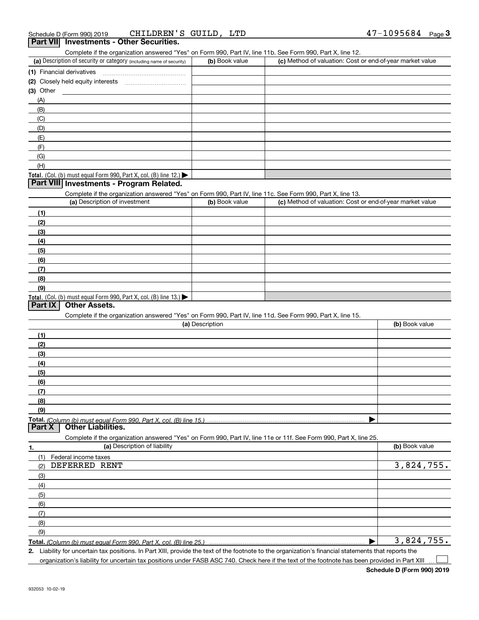Complete if the organization answered "Yes" on Form 990, Part IV, line 11b. See Form 990, Part X, line 12.

| (a) Description of security or category (including name of security)                   | (b) Book value | (c) Method of valuation: Cost or end-of-year market value |
|----------------------------------------------------------------------------------------|----------------|-----------------------------------------------------------|
| (1) Financial derivatives                                                              |                |                                                           |
| (2) Closely held equity interests                                                      |                |                                                           |
| $(3)$ Other                                                                            |                |                                                           |
| (A)                                                                                    |                |                                                           |
| (B)                                                                                    |                |                                                           |
| (C)                                                                                    |                |                                                           |
| (D)                                                                                    |                |                                                           |
| (E)                                                                                    |                |                                                           |
| (F)                                                                                    |                |                                                           |
| (G)                                                                                    |                |                                                           |
| (H)                                                                                    |                |                                                           |
| Total. (Col. (b) must equal Form 990, Part X, col. (B) line 12.) $\blacktriangleright$ |                |                                                           |

# **Part VIII Investments - Program Related.**

Complete if the organization answered "Yes" on Form 990, Part IV, line 11c. See Form 990, Part X, line 13.

| (a) Description of investment                                       | (b) Book value | (c) Method of valuation: Cost or end-of-year market value |
|---------------------------------------------------------------------|----------------|-----------------------------------------------------------|
| (1)                                                                 |                |                                                           |
| (2)                                                                 |                |                                                           |
| $\frac{1}{2}$                                                       |                |                                                           |
| (4)                                                                 |                |                                                           |
| $\frac{1}{2}$                                                       |                |                                                           |
| (6)                                                                 |                |                                                           |
| (7)                                                                 |                |                                                           |
| (8)                                                                 |                |                                                           |
| (9)                                                                 |                |                                                           |
| Total. (Col. (b) must equal Form 990, Part X, col. (B) line $13.$ ) |                |                                                           |

#### **Part IX Other Assets.**

Complete if the organization answered "Yes" on Form 990, Part IV, line 11d. See Form 990, Part X, line 15.

| (a) Description                                                                                                   | (b) Book value |
|-------------------------------------------------------------------------------------------------------------------|----------------|
| (1)                                                                                                               |                |
| (2)                                                                                                               |                |
| (3)                                                                                                               |                |
| (4)                                                                                                               |                |
| (5)                                                                                                               |                |
| (6)                                                                                                               |                |
| (7)                                                                                                               |                |
| (8)                                                                                                               |                |
| (9)                                                                                                               |                |
|                                                                                                                   |                |
| <b>Part X</b> Other Liabilities.                                                                                  |                |
| Complete if the organization answered "Yes" on Form 990, Part IV, line 11e or 11f. See Form 990, Part X, line 25. |                |

| 1.            | (a) Description of liability | (b) Book value |
|---------------|------------------------------|----------------|
| (1)           | Federal income taxes         |                |
| (2)           | DEFERRED RENT                | 3,824,755.     |
| (3)           |                              |                |
| (4)           |                              |                |
| $\frac{1}{2}$ |                              |                |
| (6)           |                              |                |
| (7)           |                              |                |
| (8)           |                              |                |
| (9)           |                              |                |
|               |                              | 3,824,755.     |

**Total.**  *(Column (b) must equal Form 990, Part X, col. (B) line 25.)* 

**2.** Liability for uncertain tax positions. In Part XIII, provide the text of the footnote to the organization's financial statements that reports the

organization's liability for uncertain tax positions under FASB ASC 740. Check here if the text of the footnote has been provided in Part XIII

 $\mathcal{L}^{\text{max}}$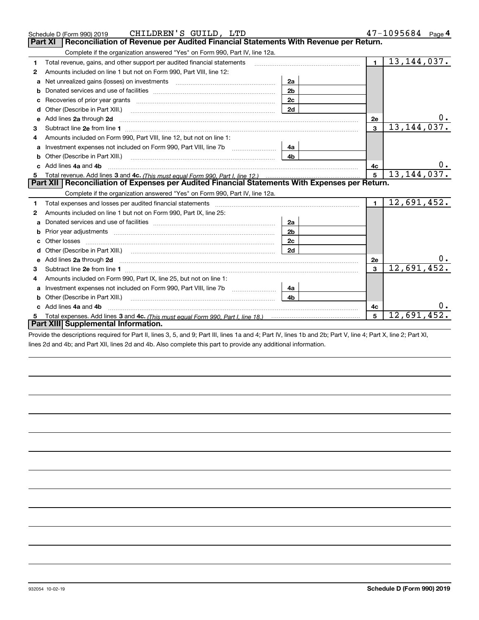|   | CHILDREN'S GUILD, LTD<br>Schedule D (Form 990) 2019                                                                                                                                                                                 |                |                | 47-1095684<br>Page $4$ |    |  |  |  |  |  |
|---|-------------------------------------------------------------------------------------------------------------------------------------------------------------------------------------------------------------------------------------|----------------|----------------|------------------------|----|--|--|--|--|--|
|   | Reconciliation of Revenue per Audited Financial Statements With Revenue per Return.<br><b>Part XI</b>                                                                                                                               |                |                |                        |    |  |  |  |  |  |
|   | Complete if the organization answered "Yes" on Form 990, Part IV, line 12a.                                                                                                                                                         |                |                |                        |    |  |  |  |  |  |
| 1 | Total revenue, gains, and other support per audited financial statements                                                                                                                                                            |                | $\blacksquare$ | 13,144,037.            |    |  |  |  |  |  |
| 2 | Amounts included on line 1 but not on Form 990, Part VIII, line 12:                                                                                                                                                                 |                |                |                        |    |  |  |  |  |  |
| a | Net unrealized gains (losses) on investments [11] matter contracts and the unrealized gains (losses) on investments                                                                                                                 | 2a             |                |                        |    |  |  |  |  |  |
| b |                                                                                                                                                                                                                                     | 2 <sub>b</sub> |                |                        |    |  |  |  |  |  |
|   |                                                                                                                                                                                                                                     | 2c             |                |                        |    |  |  |  |  |  |
| d | Other (Describe in Part XIII.) <b>2006</b> 2006 2010 2010 2010 2010 2011 2012 2013 2014 2014 2015 2016 2017 2018 2019 2016 2017 2018 2019 2016 2017 2018 2019 2016 2017 2018 2019 2018 2019 2019 2016 2017 2018 2019 2018 2019 2019 | 2d             |                |                        |    |  |  |  |  |  |
| e | Add lines 2a through 2d                                                                                                                                                                                                             |                | 2e             |                        | 0. |  |  |  |  |  |
| 3 |                                                                                                                                                                                                                                     |                | $\mathbf{3}$   | 13, 144, 037.          |    |  |  |  |  |  |
| 4 | Amounts included on Form 990, Part VIII, line 12, but not on line 1:                                                                                                                                                                |                |                |                        |    |  |  |  |  |  |
| a |                                                                                                                                                                                                                                     | 4а             |                |                        |    |  |  |  |  |  |
|   |                                                                                                                                                                                                                                     | 4b.            |                |                        |    |  |  |  |  |  |
|   | c Add lines 4a and 4b                                                                                                                                                                                                               | 4c             |                |                        |    |  |  |  |  |  |
|   |                                                                                                                                                                                                                                     | 5              | 13, 144, 037.  |                        |    |  |  |  |  |  |
|   |                                                                                                                                                                                                                                     |                |                |                        |    |  |  |  |  |  |
|   | Part XII   Reconciliation of Expenses per Audited Financial Statements With Expenses per Return.                                                                                                                                    |                |                |                        |    |  |  |  |  |  |
|   | Complete if the organization answered "Yes" on Form 990, Part IV, line 12a.                                                                                                                                                         |                |                |                        |    |  |  |  |  |  |
| 1 | Total expenses and losses per audited financial statements [11, 11] manuscription control expenses and losses per audited financial statements [11] manuscription of the statements [11] manuscription of the statements [11]       |                | $\blacksquare$ | 12,691,452.            |    |  |  |  |  |  |
| 2 | Amounts included on line 1 but not on Form 990, Part IX, line 25:                                                                                                                                                                   |                |                |                        |    |  |  |  |  |  |
| a |                                                                                                                                                                                                                                     | 2a             |                |                        |    |  |  |  |  |  |
| b | Prior year adjustments www.communication.com/www.communication.com/www.com/                                                                                                                                                         | 2 <sub>b</sub> |                |                        |    |  |  |  |  |  |
|   |                                                                                                                                                                                                                                     | 2c             |                |                        |    |  |  |  |  |  |
|   |                                                                                                                                                                                                                                     | 2d             |                |                        |    |  |  |  |  |  |
| e | Add lines 2a through 2d <b>contained a contained a contained a contained a</b> contained a contained a contained a contained a contained a contained a contained a contained a contained a contained a contained a contained a cont |                | 2e             |                        |    |  |  |  |  |  |
|   |                                                                                                                                                                                                                                     |                | 3              | 12,691,452.            |    |  |  |  |  |  |
| 4 | Amounts included on Form 990, Part IX, line 25, but not on line 1:                                                                                                                                                                  |                |                |                        |    |  |  |  |  |  |
| a | Investment expenses not included on Form 990, Part VIII, line 7b [100] [100] [100] [100] [100] [100] [100] [10                                                                                                                      | 4a             |                |                        |    |  |  |  |  |  |
|   | Other (Describe in Part XIII.)                                                                                                                                                                                                      | 4b             |                |                        |    |  |  |  |  |  |
|   | c Add lines 4a and 4b                                                                                                                                                                                                               |                | 4с             |                        |    |  |  |  |  |  |
|   | Part XIII Supplemental Information.                                                                                                                                                                                                 |                | 5              | 12,691,452.            |    |  |  |  |  |  |

Provide the descriptions required for Part II, lines 3, 5, and 9; Part III, lines 1a and 4; Part IV, lines 1b and 2b; Part V, line 4; Part X, line 2; Part XI, lines 2d and 4b; and Part XII, lines 2d and 4b. Also complete this part to provide any additional information.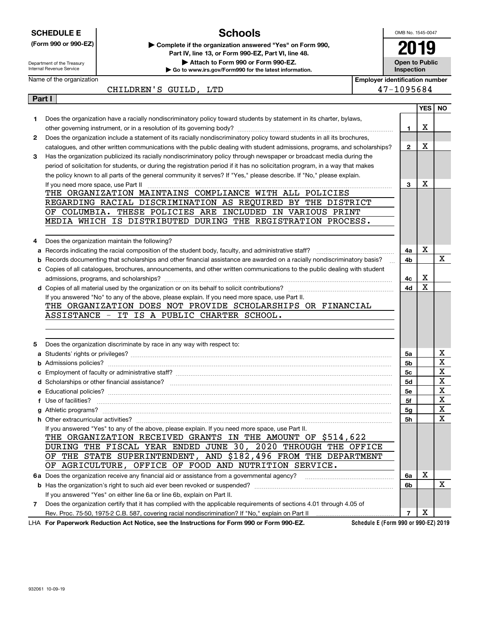|        | <b>SCHEDULE E</b>                                      | <b>Schools</b>                                                                                                                                                                                  |                                       | OMB No. 1545-0047                   |            |           |
|--------|--------------------------------------------------------|-------------------------------------------------------------------------------------------------------------------------------------------------------------------------------------------------|---------------------------------------|-------------------------------------|------------|-----------|
|        | (Form 990 or 990-EZ)                                   | Complete if the organization answered "Yes" on Form 990,                                                                                                                                        |                                       | 2019                                |            |           |
|        |                                                        | Part IV, line 13, or Form 990-EZ, Part VI, line 48.                                                                                                                                             |                                       |                                     |            |           |
|        | Department of the Treasury<br>Internal Revenue Service | Attach to Form 990 or Form 990-EZ.<br>Go to www.irs.gov/Form990 for the latest information.                                                                                                     |                                       | <b>Open to Public</b><br>Inspection |            |           |
|        | Name of the organization                               |                                                                                                                                                                                                 | <b>Employer identification number</b> |                                     |            |           |
|        |                                                        | CHILDREN'S GUILD, LTD                                                                                                                                                                           |                                       | 47-1095684                          |            |           |
| Part I |                                                        |                                                                                                                                                                                                 |                                       |                                     |            |           |
|        |                                                        |                                                                                                                                                                                                 |                                       |                                     | <b>YES</b> | <b>NO</b> |
| 1      |                                                        | Does the organization have a racially nondiscriminatory policy toward students by statement in its charter, bylaws,                                                                             |                                       |                                     | х          |           |
| 2      |                                                        | Does the organization include a statement of its racially nondiscriminatory policy toward students in all its brochures,                                                                        |                                       | 1                                   |            |           |
|        |                                                        | catalogues, and other written communications with the public dealing with student admissions, programs, and scholarships?                                                                       |                                       | $\mathbf{2}$                        | Х          |           |
| 3      |                                                        | Has the organization publicized its racially nondiscriminatory policy through newspaper or broadcast media during the                                                                           |                                       |                                     |            |           |
|        |                                                        | period of solicitation for students, or during the registration period if it has no solicitation program, in a way that makes                                                                   |                                       |                                     |            |           |
|        |                                                        | the policy known to all parts of the general community it serves? If "Yes," please describe. If "No," please explain.                                                                           |                                       |                                     |            |           |
|        | If you need more space, use Part II                    |                                                                                                                                                                                                 |                                       | 3                                   | Х          |           |
|        |                                                        | THE ORGANIZATION MAINTAINS COMPLIANCE WITH ALL POLICIES                                                                                                                                         |                                       |                                     |            |           |
|        |                                                        | REGARDING RACIAL DISCRIMINATION AS REQUIRED BY THE DISTRICT                                                                                                                                     |                                       |                                     |            |           |
|        |                                                        | OF COLUMBIA. THESE POLICIES ARE INCLUDED IN VARIOUS PRINT                                                                                                                                       |                                       |                                     |            |           |
|        |                                                        | MEDIA WHICH IS DISTRIBUTED DURING THE REGISTRATION PROCESS.                                                                                                                                     |                                       |                                     |            |           |
| 4      |                                                        | Does the organization maintain the following?                                                                                                                                                   |                                       |                                     |            |           |
| а      |                                                        |                                                                                                                                                                                                 |                                       | 4a                                  | Х          |           |
| b      |                                                        | Records documenting that scholarships and other financial assistance are awarded on a racially nondiscriminatory basis?                                                                         |                                       | 4b                                  |            | Х         |
|        |                                                        | c Copies of all catalogues, brochures, announcements, and other written communications to the public dealing with student                                                                       |                                       |                                     |            |           |
|        |                                                        |                                                                                                                                                                                                 |                                       | 4с                                  | х          |           |
|        |                                                        |                                                                                                                                                                                                 |                                       | 4d                                  | X          |           |
|        |                                                        | If you answered "No" to any of the above, please explain. If you need more space, use Part II.                                                                                                  |                                       |                                     |            |           |
|        |                                                        | THE ORGANIZATION DOES NOT PROVIDE SCHOLARSHIPS OR FINANCIAL                                                                                                                                     |                                       |                                     |            |           |
|        |                                                        | ASSISTANCE - IT IS A PUBLIC CHARTER SCHOOL.                                                                                                                                                     |                                       |                                     |            |           |
|        |                                                        |                                                                                                                                                                                                 |                                       |                                     |            |           |
|        |                                                        |                                                                                                                                                                                                 |                                       |                                     |            |           |
| 5      |                                                        | Does the organization discriminate by race in any way with respect to:                                                                                                                          |                                       |                                     |            |           |
|        |                                                        |                                                                                                                                                                                                 |                                       | 5a                                  |            | x<br>X    |
|        | <b>b</b> Admissions policies?                          |                                                                                                                                                                                                 |                                       | 5b<br>5с                            |            | X         |
|        |                                                        | <b>c</b> Employment of faculty or administrative staff?                                                                                                                                         |                                       | 5d                                  |            | х         |
|        |                                                        |                                                                                                                                                                                                 |                                       | 5e                                  |            | х         |
|        | f Use of facilities?                                   |                                                                                                                                                                                                 |                                       | 5f                                  |            | х         |
|        |                                                        |                                                                                                                                                                                                 |                                       | 5g                                  |            | х         |
|        |                                                        |                                                                                                                                                                                                 |                                       | 5h                                  |            | х         |
|        |                                                        | If you answered "Yes" to any of the above, please explain. If you need more space, use Part II.                                                                                                 |                                       |                                     |            |           |
|        |                                                        | THE ORGANIZATION RECEIVED GRANTS IN THE AMOUNT OF \$514,622                                                                                                                                     |                                       |                                     |            |           |
|        |                                                        | DURING THE FISCAL YEAR ENDED JUNE 30, 2020 THROUGH THE OFFICE                                                                                                                                   |                                       |                                     |            |           |
|        | OF.                                                    | THE STATE SUPERINTENDENT, AND \$182,496 FROM THE DEPARTMENT                                                                                                                                     |                                       |                                     |            |           |
|        | OF AGRICULTURE, OFFICE OF FOOD AND NUTRITION SERVICE.  |                                                                                                                                                                                                 |                                       |                                     |            |           |
|        |                                                        |                                                                                                                                                                                                 |                                       | 6a                                  | Х          | x         |
|        |                                                        |                                                                                                                                                                                                 |                                       | 6b                                  |            |           |
| 7      |                                                        | If you answered "Yes" on either line 6a or line 6b, explain on Part II.<br>Does the organization certify that it has complied with the applicable requirements of sections 4.01 through 4.05 of |                                       |                                     |            |           |
|        |                                                        | Rev. Proc. 75-50, 1975-2 C.B. 587, covering racial nondiscrimination? If "No," explain on Part II                                                                                               |                                       | 7                                   | X          |           |
|        |                                                        | LHA For Paperwork Reduction Act Notice, see the Instructions for Form 990 or Form 990-EZ.                                                                                                       | Schedule E (Form 990 or 990-EZ) 2019  |                                     |            |           |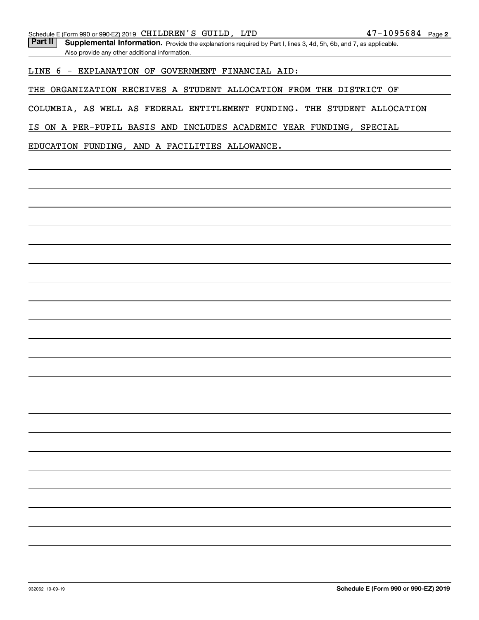Part II | Supplemental Information. Provide the explanations required by Part I, lines 3, 4d, 5h, 6b, and 7, as applicable. Also provide any other additional information.

#### LINE 6 - EXPLANATION OF GOVERNMENT FINANCIAL AID:

THE ORGANIZATION RECEIVES A STUDENT ALLOCATION FROM THE DISTRICT OF

COLUMBIA, AS WELL AS FEDERAL ENTITLEMENT FUNDING. THE STUDENT ALLOCATION

IS ON A PER-PUPIL BASIS AND INCLUDES ACADEMIC YEAR FUNDING, SPECIAL

EDUCATION FUNDING, AND A FACILITIES ALLOWANCE.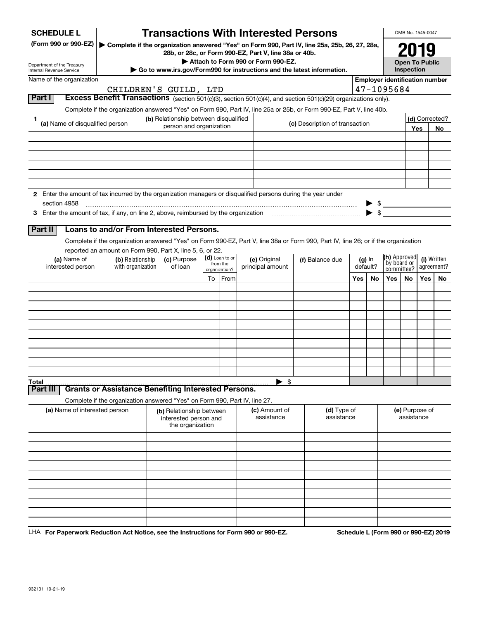| <b>SCHEDULE L</b>                                                                                                             |                                                                               | <b>Transactions With Interested Persons</b>                           |                           |                                    |                                                                                                                                    |     |          |                                                                     |                           | OMB No. 1545-0047     |             |
|-------------------------------------------------------------------------------------------------------------------------------|-------------------------------------------------------------------------------|-----------------------------------------------------------------------|---------------------------|------------------------------------|------------------------------------------------------------------------------------------------------------------------------------|-----|----------|---------------------------------------------------------------------|---------------------------|-----------------------|-------------|
| (Form 990 or 990-EZ)                                                                                                          |                                                                               | 28b, or 28c, or Form 990-EZ, Part V, line 38a or 40b.                 |                           |                                    | Complete if the organization answered "Yes" on Form 990, Part IV, line 25a, 25b, 26, 27, 28a,                                      |     |          |                                                                     |                           |                       |             |
| Department of the Treasury                                                                                                    |                                                                               |                                                                       |                           | Attach to Form 990 or Form 990-EZ. |                                                                                                                                    |     |          |                                                                     |                           | <b>Open To Public</b> |             |
| Internal Revenue Service<br>Name of the organization                                                                          |                                                                               |                                                                       |                           |                                    | Go to www.irs.gov/Form990 for instructions and the latest information.                                                             |     |          |                                                                     | Inspection                |                       |             |
|                                                                                                                               |                                                                               | CHILDREN'S GUILD, LTD                                                 |                           |                                    |                                                                                                                                    |     |          | <b>Employer identification number</b><br>47-1095684                 |                           |                       |             |
| Part I                                                                                                                        |                                                                               |                                                                       |                           |                                    | Excess Benefit Transactions (section 501(c)(3), section 501(c)(4), and section 501(c)(29) organizations only).                     |     |          |                                                                     |                           |                       |             |
|                                                                                                                               |                                                                               |                                                                       |                           |                                    | Complete if the organization answered "Yes" on Form 990, Part IV, line 25a or 25b, or Form 990-EZ, Part V, line 40b.               |     |          |                                                                     |                           |                       |             |
| 1<br>(a) Name of disqualified person                                                                                          |                                                                               | (b) Relationship between disqualified                                 |                           |                                    | (c) Description of transaction                                                                                                     |     |          |                                                                     |                           | (d) Corrected?        |             |
|                                                                                                                               |                                                                               | person and organization                                               |                           |                                    |                                                                                                                                    |     |          |                                                                     |                           | Yes                   | No          |
|                                                                                                                               |                                                                               |                                                                       |                           |                                    |                                                                                                                                    |     |          |                                                                     |                           |                       |             |
|                                                                                                                               |                                                                               |                                                                       |                           |                                    |                                                                                                                                    |     |          |                                                                     |                           |                       |             |
|                                                                                                                               |                                                                               |                                                                       |                           |                                    |                                                                                                                                    |     |          |                                                                     |                           |                       |             |
|                                                                                                                               |                                                                               |                                                                       |                           |                                    |                                                                                                                                    |     |          |                                                                     |                           |                       |             |
|                                                                                                                               |                                                                               |                                                                       |                           |                                    |                                                                                                                                    |     |          |                                                                     |                           |                       |             |
| 2 Enter the amount of tax incurred by the organization managers or disqualified persons during the year under<br>section 4958 |                                                                               |                                                                       |                           |                                    |                                                                                                                                    |     |          |                                                                     |                           |                       |             |
|                                                                                                                               |                                                                               |                                                                       |                           |                                    |                                                                                                                                    |     |          | $\begin{array}{c} \bullet \ \ \ast \\ \bullet \ \ \ast \end{array}$ |                           |                       |             |
|                                                                                                                               |                                                                               |                                                                       |                           |                                    |                                                                                                                                    |     |          |                                                                     |                           |                       |             |
| Part II                                                                                                                       | Loans to and/or From Interested Persons.                                      |                                                                       |                           |                                    |                                                                                                                                    |     |          |                                                                     |                           |                       |             |
|                                                                                                                               |                                                                               |                                                                       |                           |                                    | Complete if the organization answered "Yes" on Form 990-EZ, Part V, line 38a or Form 990, Part IV, line 26; or if the organization |     |          |                                                                     |                           |                       |             |
| (a) Name of                                                                                                                   | reported an amount on Form 990, Part X, line 5, 6, or 22.<br>(b) Relationship | (c) Purpose                                                           | (d) Loan to or            | (e) Original                       | (f) Balance due                                                                                                                    |     | $(g)$ In | (h) Approved                                                        |                           |                       | (i) Written |
| interested person                                                                                                             | with organization                                                             | of loan                                                               | from the<br>organization? | principal amount                   |                                                                                                                                    |     | default? |                                                                     | by board or<br>committee? |                       | agreement?  |
|                                                                                                                               |                                                                               |                                                                       | To From                   |                                    |                                                                                                                                    | Yes | No       | Yes                                                                 | No                        | Yes $ $               | No          |
|                                                                                                                               |                                                                               |                                                                       |                           |                                    |                                                                                                                                    |     |          |                                                                     |                           |                       |             |
|                                                                                                                               |                                                                               |                                                                       |                           |                                    |                                                                                                                                    |     |          |                                                                     |                           |                       |             |
|                                                                                                                               |                                                                               |                                                                       |                           |                                    |                                                                                                                                    |     |          |                                                                     |                           |                       |             |
|                                                                                                                               |                                                                               |                                                                       |                           |                                    |                                                                                                                                    |     |          |                                                                     |                           |                       |             |
|                                                                                                                               |                                                                               |                                                                       |                           |                                    |                                                                                                                                    |     |          |                                                                     |                           |                       |             |
|                                                                                                                               |                                                                               |                                                                       |                           |                                    |                                                                                                                                    |     |          |                                                                     |                           |                       |             |
|                                                                                                                               |                                                                               |                                                                       |                           |                                    |                                                                                                                                    |     |          |                                                                     |                           |                       |             |
|                                                                                                                               |                                                                               |                                                                       |                           |                                    |                                                                                                                                    |     |          |                                                                     |                           |                       |             |
| Total                                                                                                                         |                                                                               |                                                                       |                           | \$                                 |                                                                                                                                    |     |          |                                                                     |                           |                       |             |
| Part III                                                                                                                      | <b>Grants or Assistance Benefiting Interested Persons.</b>                    |                                                                       |                           |                                    |                                                                                                                                    |     |          |                                                                     |                           |                       |             |
|                                                                                                                               | Complete if the organization answered "Yes" on Form 990, Part IV, line 27.    |                                                                       |                           |                                    |                                                                                                                                    |     |          |                                                                     |                           |                       |             |
| (a) Name of interested person                                                                                                 |                                                                               | (b) Relationship between<br>interested person and<br>the organization |                           | (c) Amount of<br>assistance        | (d) Type of<br>assistance                                                                                                          |     |          |                                                                     | assistance                | (e) Purpose of        |             |
|                                                                                                                               |                                                                               |                                                                       |                           |                                    |                                                                                                                                    |     |          |                                                                     |                           |                       |             |
|                                                                                                                               |                                                                               |                                                                       |                           |                                    |                                                                                                                                    |     |          |                                                                     |                           |                       |             |
|                                                                                                                               |                                                                               |                                                                       |                           |                                    |                                                                                                                                    |     |          |                                                                     |                           |                       |             |
|                                                                                                                               |                                                                               |                                                                       |                           |                                    |                                                                                                                                    |     |          |                                                                     |                           |                       |             |
|                                                                                                                               |                                                                               |                                                                       |                           |                                    |                                                                                                                                    |     |          |                                                                     |                           |                       |             |
|                                                                                                                               |                                                                               |                                                                       |                           |                                    |                                                                                                                                    |     |          |                                                                     |                           |                       |             |
|                                                                                                                               |                                                                               |                                                                       |                           |                                    |                                                                                                                                    |     |          |                                                                     |                           |                       |             |
|                                                                                                                               |                                                                               |                                                                       |                           |                                    |                                                                                                                                    |     |          |                                                                     |                           |                       |             |
|                                                                                                                               |                                                                               |                                                                       |                           |                                    |                                                                                                                                    |     |          |                                                                     |                           |                       |             |

LHA For Paperwork Reduction Act Notice, see the Instructions for Form 990 or 990-EZ. Schedule L (Form 990 or 990-EZ) 2019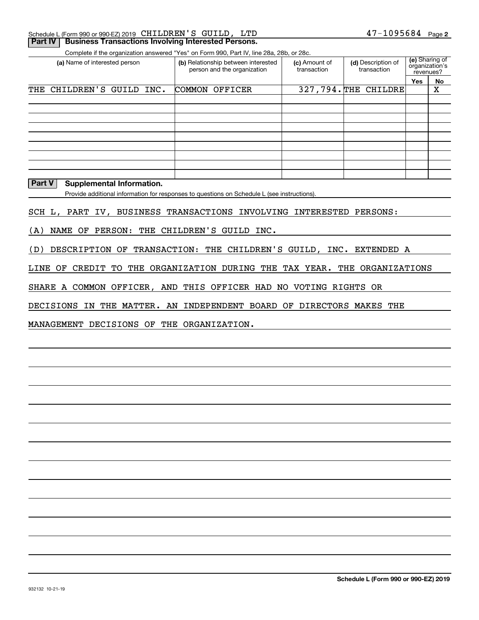| Schedule L (Form 990 or 990-EZ) 2019   CHILDREN ' S   GUILD ,    LTD |  | $47 - 1095684$ Page 2 |  |
|----------------------------------------------------------------------|--|-----------------------|--|
| <b>Part IV   Business Transactions Involving Interested Persons.</b> |  |                       |  |

Complete if the organization answered "Yes" on Form 990, Part IV, line 28a, 28b, or 28c.

| (a) Name of interested person |                           | (b) Relationship between interested<br>person and the organization |  | (c) Amount of<br>transaction | (d) Description of<br>transaction | (e) Sharing of<br>organization's<br>revenues? |     |    |
|-------------------------------|---------------------------|--------------------------------------------------------------------|--|------------------------------|-----------------------------------|-----------------------------------------------|-----|----|
|                               |                           |                                                                    |  |                              |                                   |                                               | Yes | No |
|                               | THE CHILDREN'S GUILD INC. |                                                                    |  | COMMON OFFICER               |                                   | 327,794. THE CHILDRE                          |     | X  |
|                               |                           |                                                                    |  |                              |                                   |                                               |     |    |
|                               |                           |                                                                    |  |                              |                                   |                                               |     |    |
|                               |                           |                                                                    |  |                              |                                   |                                               |     |    |
|                               |                           |                                                                    |  |                              |                                   |                                               |     |    |
|                               |                           |                                                                    |  |                              |                                   |                                               |     |    |
|                               |                           |                                                                    |  |                              |                                   |                                               |     |    |
|                               |                           |                                                                    |  |                              |                                   |                                               |     |    |
|                               |                           |                                                                    |  |                              |                                   |                                               |     |    |
|                               |                           |                                                                    |  |                              |                                   |                                               |     |    |

#### **Part V** Supplemental Information.

Provide additional information for responses to questions on Schedule L (see instructions).

SCH L, PART IV, BUSINESS TRANSACTIONS INVOLVING INTERESTED PERSONS:

(A) NAME OF PERSON: THE CHILDREN'S GUILD INC.

(D) DESCRIPTION OF TRANSACTION: THE CHILDREN'S GUILD, INC. EXTENDED A

LINE OF CREDIT TO THE ORGANIZATION DURING THE TAX YEAR. THE ORGANIZATIONS

SHARE A COMMON OFFICER, AND THIS OFFICER HAD NO VOTING RIGHTS OR

DECISIONS IN THE MATTER. AN INDEPENDENT BOARD OF DIRECTORS MAKES THE

MANAGEMENT DECISIONS OF THE ORGANIZATION.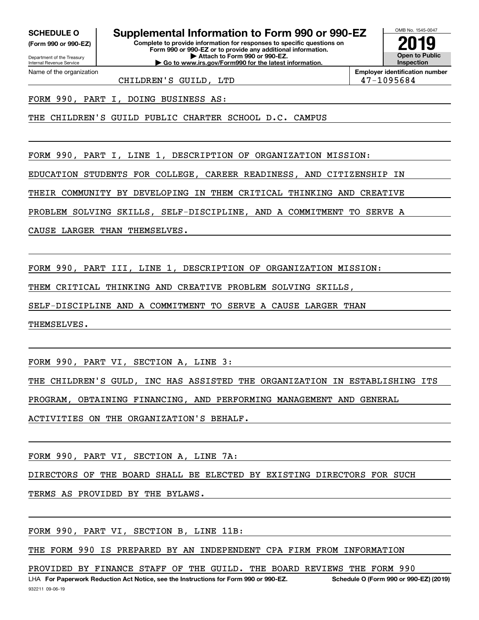**(Form 990 or 990-EZ)**

Department of the Treasury Internal Revenue Service Name of the organization

# **SCHEDULE O Supplemental Information to Form 990 or 990-EZ**

**Complete to provide information for responses to specific questions on Form 990 or 990-EZ or to provide any additional information. | Attach to Form 990 or 990-EZ. | Go to www.irs.gov/Form990 for the latest information.**



**Employer identification number**

CHILDREN'S GUILD, LTD 47-1095684

FORM 990, PART I, DOING BUSINESS AS:

THE CHILDREN'S GUILD PUBLIC CHARTER SCHOOL D.C. CAMPUS

FORM 990, PART I, LINE 1, DESCRIPTION OF ORGANIZATION MISSION:

EDUCATION STUDENTS FOR COLLEGE, CAREER READINESS, AND CITIZENSHIP IN

THEIR COMMUNITY BY DEVELOPING IN THEM CRITICAL THINKING AND CREATIVE

PROBLEM SOLVING SKILLS, SELF-DISCIPLINE, AND A COMMITMENT TO SERVE A

CAUSE LARGER THAN THEMSELVES.

FORM 990, PART III, LINE 1, DESCRIPTION OF ORGANIZATION MISSION:

THEM CRITICAL THINKING AND CREATIVE PROBLEM SOLVING SKILLS,

SELF-DISCIPLINE AND A COMMITMENT TO SERVE A CAUSE LARGER THAN

THEMSELVES.

FORM 990, PART VI, SECTION A, LINE 3:

THE CHILDREN'S GULD, INC HAS ASSISTED THE ORGANIZATION IN ESTABLISHING ITS

PROGRAM, OBTAINING FINANCING, AND PERFORMING MANAGEMENT AND GENERAL

ACTIVITIES ON THE ORGANIZATION'S BEHALF.

FORM 990, PART VI, SECTION A, LINE 7A:

DIRECTORS OF THE BOARD SHALL BE ELECTED BY EXISTING DIRECTORS FOR SUCH

TERMS AS PROVIDED BY THE BYLAWS.

FORM 990, PART VI, SECTION B, LINE 11B:

THE FORM 990 IS PREPARED BY AN INDEPENDENT CPA FIRM FROM INFORMATION

PROVIDED BY FINANCE STAFF OF THE GUILD. THE BOARD REVIEWS THE FORM 990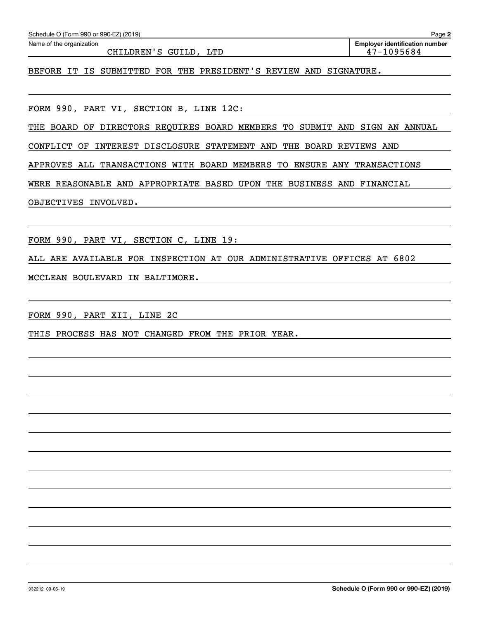| Schedule O (Form 990 or 990-EZ) (2019)                                     | Page 2                                              |
|----------------------------------------------------------------------------|-----------------------------------------------------|
| Name of the organization<br>CHILDREN'S GUILD, LTD                          | <b>Employer identification number</b><br>47-1095684 |
| BEFORE IT IS SUBMITTED FOR THE PRESIDENT'S REVIEW AND SIGNATURE.           |                                                     |
|                                                                            |                                                     |
| FORM 990, PART VI, SECTION B, LINE 12C:                                    |                                                     |
| THE BOARD OF DIRECTORS REQUIRES BOARD MEMBERS TO SUBMIT AND SIGN AN ANNUAL |                                                     |
| CONFLICT OF INTEREST DISCLOSURE STATEMENT AND THE BOARD REVIEWS AND        |                                                     |
| APPROVES ALL TRANSACTIONS WITH BOARD MEMBERS TO ENSURE ANY TRANSACTIONS    |                                                     |
| WERE REASONABLE AND APPROPRIATE BASED UPON THE BUSINESS AND FINANCIAL      |                                                     |
| OBJECTIVES INVOLVED.                                                       |                                                     |
|                                                                            |                                                     |
| FORM 990, PART VI, SECTION C, LINE 19:                                     |                                                     |
| ALL ARE AVAILABLE FOR INSPECTION AT OUR ADMINISTRATIVE OFFICES AT 6802     |                                                     |
| MCCLEAN BOULEVARD IN BALTIMORE.                                            |                                                     |
|                                                                            |                                                     |
| FORM 990, PART XII, LINE 2C                                                |                                                     |
| THIS PROCESS HAS NOT CHANGED FROM THE PRIOR YEAR.                          |                                                     |
|                                                                            |                                                     |
|                                                                            |                                                     |
|                                                                            |                                                     |
|                                                                            |                                                     |
|                                                                            |                                                     |
|                                                                            |                                                     |